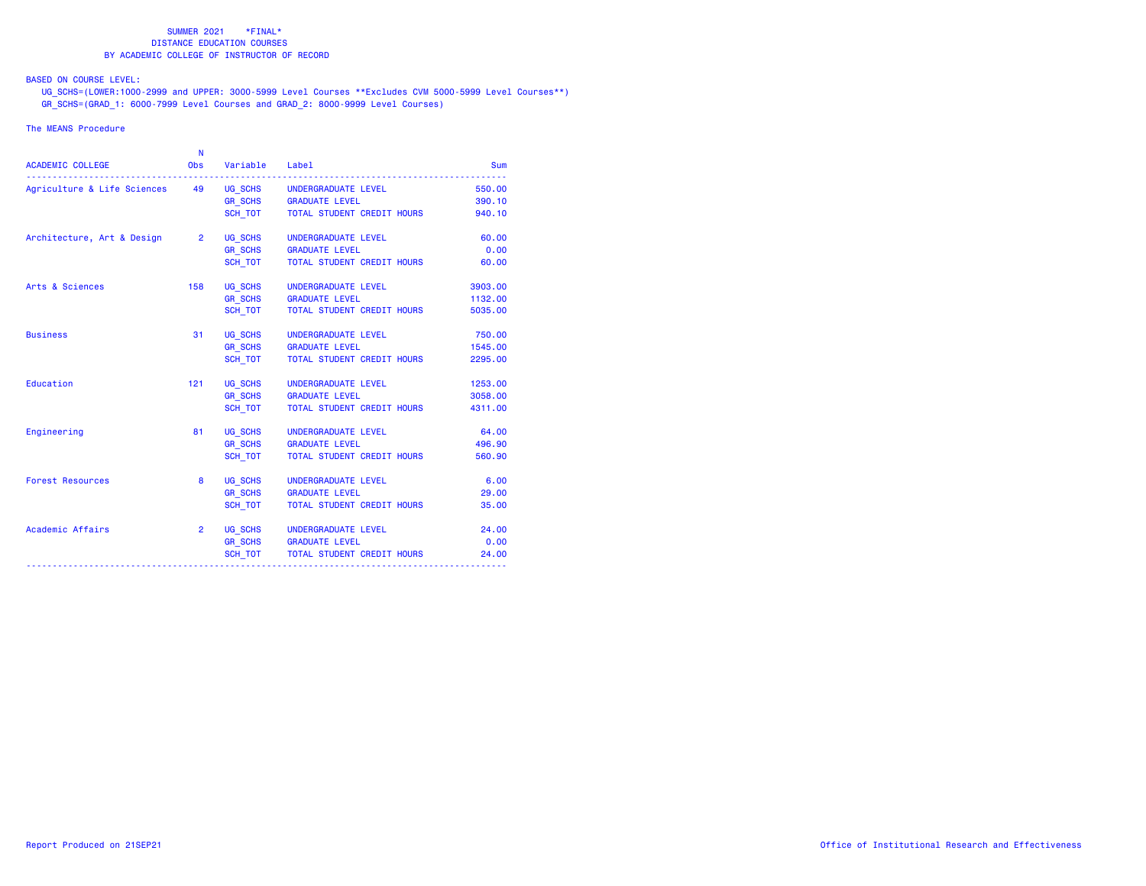BASED ON COURSE LEVEL:

 UG\_SCHS=(LOWER:1000-2999 and UPPER: 3000-5999 Level Courses \*\*Excludes CVM 5000-5999 Level Courses\*\*) GR\_SCHS=(GRAD\_1: 6000-7999 Level Courses and GRAD\_2: 8000-9999 Level Courses)

## The MEANS Procedure

| <b>ACADEMIC COLLEGE</b>                                    | N<br>Obs    | Variable Label |                                                   | <b>Sum</b> |
|------------------------------------------------------------|-------------|----------------|---------------------------------------------------|------------|
| Agriculture & Life Sciences 49 UG_SCHS UNDERGRADUATE LEVEL |             |                |                                                   | 550.00     |
|                                                            |             |                | GR_SCHS GRADUATE LEVEL                            | 390.10     |
|                                                            |             |                | SCH TOT TOTAL STUDENT CREDIT HOURS                | 940.10     |
| Architecture, Art & Design 2                               |             | UG_SCHS        | UNDERGRADUATE LEVEL                               | 60.00      |
|                                                            |             |                | GR_SCHS GRADUATE LEVEL<br>SCH_TOT TOTAL STUDENT C | 0.00       |
|                                                            |             |                | TOTAL STUDENT CREDIT HOURS                        | 60.00      |
| Arts & Sciences                                            |             |                | 158 UG_SCHS UNDERGRADUATE LEVEL                   | 3903.00    |
|                                                            |             |                | GR SCHS GRADUATE LEVEL                            | 1132.00    |
|                                                            |             | SCH_TOT        | TOTAL STUDENT CREDIT HOURS                        | 5035.00    |
| <b>Business</b>                                            | 31          | UG_SCHS        | UNDERGRADUATE LEVEL                               | 750.00     |
|                                                            |             | GR_SCHS        | <b>GRADUATE LEVEL</b>                             | 1545.00    |
|                                                            |             | SCH TOT        | TOTAL STUDENT CREDIT HOURS                        | 2295.00    |
| Education                                                  | 121         |                | UG_SCHS UNDERGRADUATE LEVEL                       | 1253.00    |
|                                                            |             |                | GR_SCHS GRADUATE LEVEL                            | 3058.00    |
|                                                            |             | SCH_TOT        | TOTAL STUDENT CREDIT HOURS                        | 4311.00    |
| Engineering                                                | 81          |                | UG_SCHS UNDERGRADUATE LEVEL                       | 64.00      |
|                                                            |             |                | GR SCHS GRADUATE LEVEL                            | 496.90     |
|                                                            |             | SCH TOT        | TOTAL STUDENT CREDIT HOURS                        | 560.90     |
| <b>Forest Resources</b>                                    | 8           |                | UG_SCHS UNDERGRADUATE LEVEL                       | 6.00       |
|                                                            |             | GR_SCHS        | <b>GRADUATE LEVEL</b>                             | 29.00      |
|                                                            |             | SCH TOT        | TOTAL STUDENT CREDIT HOURS                        | 35.00      |
| Academic Affairs                                           | $2^{\circ}$ |                | UG_SCHS UNDERGRADUATE LEVEL                       | 24,00      |
|                                                            |             |                | GR_SCHS GRADUATE LEVEL                            | 0.00       |
|                                                            |             |                | SCH_TOT TOTAL STUDENT CREDIT HOURS                | 24.00      |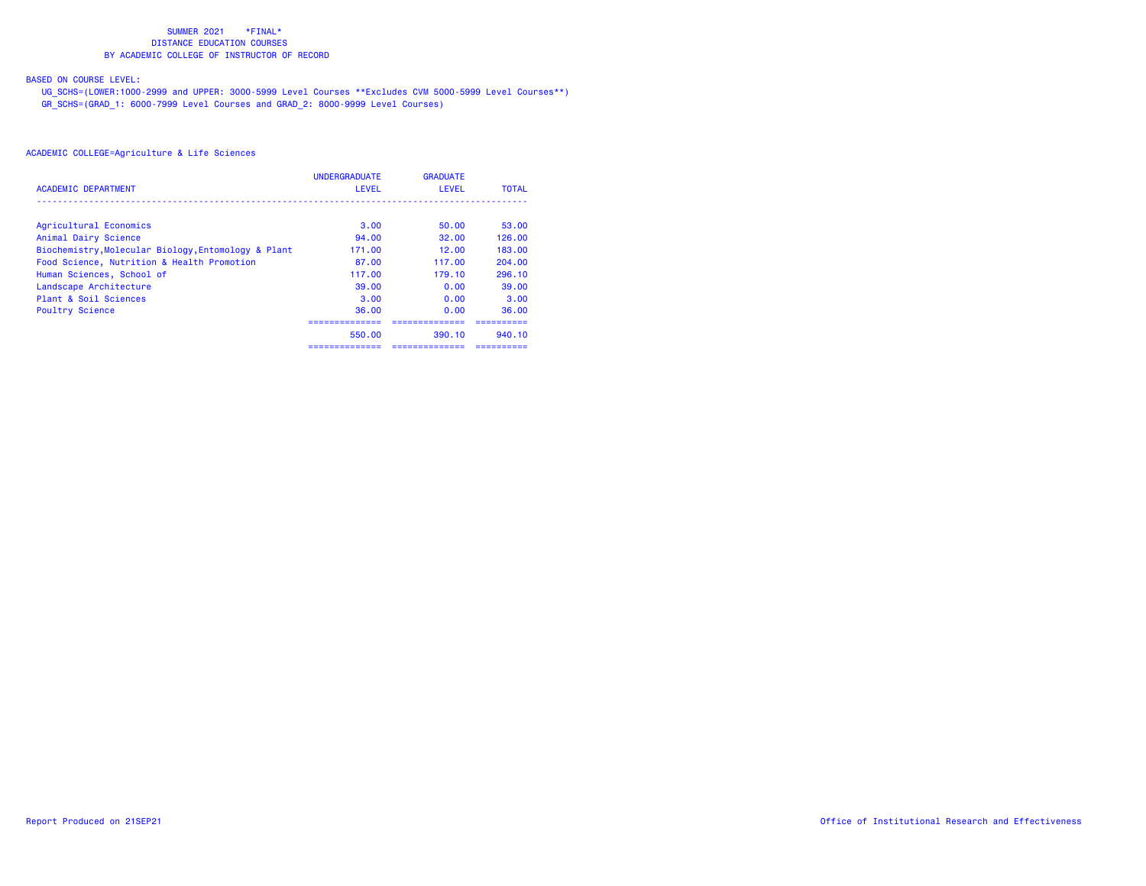# BASED ON COURSE LEVEL:

 UG\_SCHS=(LOWER:1000-2999 and UPPER: 3000-5999 Level Courses \*\*Excludes CVM 5000-5999 Level Courses\*\*) GR\_SCHS=(GRAD\_1: 6000-7999 Level Courses and GRAD\_2: 8000-9999 Level Courses)

|                                                     | <b>UNDERGRADUATE</b> | <b>GRADUATE</b> |              |
|-----------------------------------------------------|----------------------|-----------------|--------------|
| <b>ACADEMIC DEPARTMENT</b>                          | <b>LEVEL</b>         | LEVEL           | <b>TOTAL</b> |
|                                                     |                      |                 |              |
| Agricultural Economics                              | 3.00                 | 50.00           | 53.00        |
| Animal Dairy Science                                | 94.00                | 32.00           | 126.00       |
| Biochemistry, Molecular Biology, Entomology & Plant | 171.00               | 12.00           | 183.00       |
| Food Science, Nutrition & Health Promotion          | 87.00                | 117.00          | 204.00       |
| Human Sciences, School of                           | 117.00               | 179.10          | 296.10       |
| Landscape Architecture                              | 39.00                | 0.00            | 39.00        |
| Plant & Soil Sciences                               | 3.00                 | 0.00            | 3.00         |
| <b>Poultry Science</b>                              | 36.00                | 0.00            | 36.00        |
|                                                     |                      |                 |              |
|                                                     | 550.00               | 390.10          | 940.10       |
|                                                     | ==============       | ==============  | ----------   |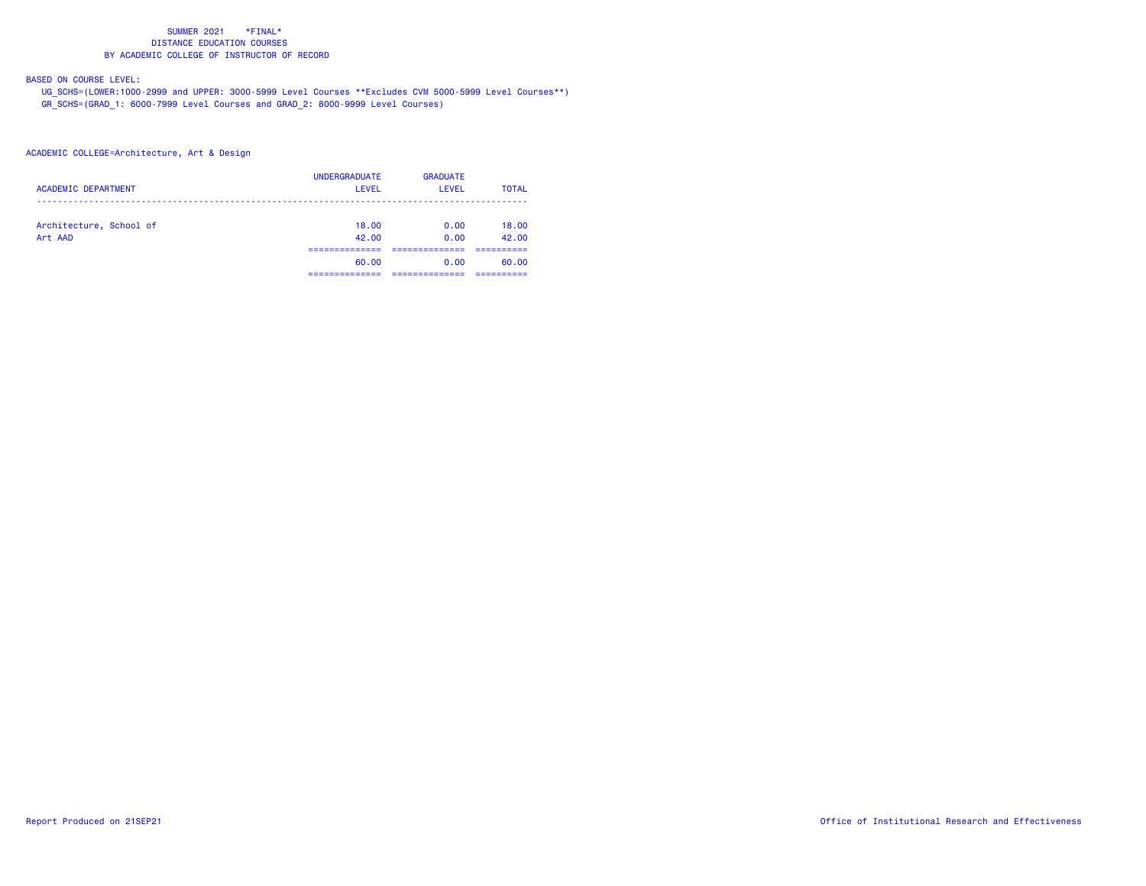# BASED ON COURSE LEVEL:

 UG\_SCHS=(LOWER:1000-2999 and UPPER: 3000-5999 Level Courses \*\*Excludes CVM 5000-5999 Level Courses\*\*) GR\_SCHS=(GRAD\_1: 6000-7999 Level Courses and GRAD\_2: 8000-9999 Level Courses)

## ACADEMIC COLLEGE=Architecture, Art & Design

| <b>ACADEMIC DEPARTMENT</b>         | <b>UNDERGRADUATE</b><br>LEVEL | <b>GRADUATE</b><br>LEVEL | <b>TOTAL</b>        |
|------------------------------------|-------------------------------|--------------------------|---------------------|
| Architecture, School of<br>Art AAD | 18,00<br>42.00                | 0.00<br>0.00             | 18.00<br>42.00      |
|                                    | -----------<br>60.00          | 0.00                     | ----------<br>60.00 |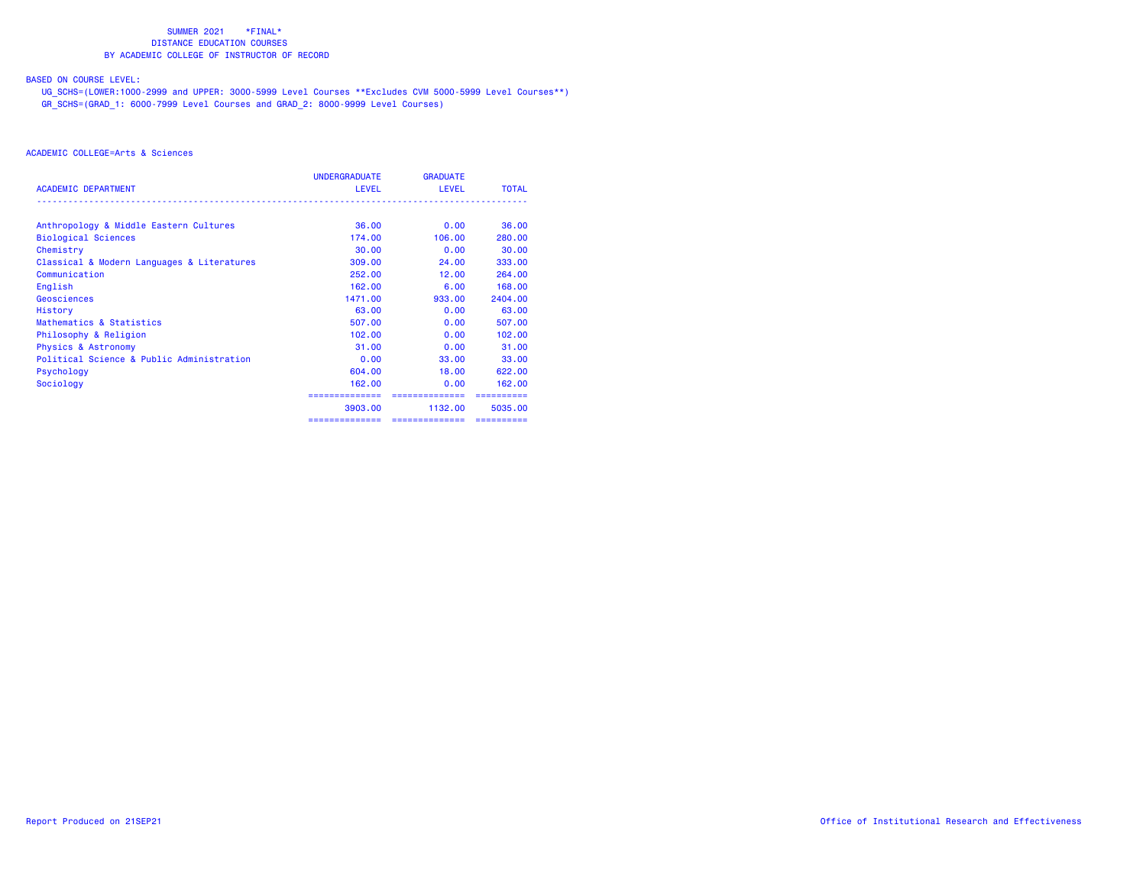## BASED ON COURSE LEVEL:

 UG\_SCHS=(LOWER:1000-2999 and UPPER: 3000-5999 Level Courses \*\*Excludes CVM 5000-5999 Level Courses\*\*) GR\_SCHS=(GRAD\_1: 6000-7999 Level Courses and GRAD\_2: 8000-9999 Level Courses)

|                                            | <b>UNDERGRADUATE</b> | <b>GRADUATE</b> |              |
|--------------------------------------------|----------------------|-----------------|--------------|
| <b>ACADEMIC DEPARTMENT</b>                 | <b>LEVEL</b>         | <b>LEVEL</b>    | <b>TOTAL</b> |
| Anthropology & Middle Eastern Cultures     | 36,00                | 0.00            | 36.00        |
| <b>Biological Sciences</b>                 | 174.00               | 106,00          | 280,00       |
| Chemistry                                  | 30,00                | 0.00            | 30.00        |
| Classical & Modern Languages & Literatures | 309,00               | 24,00           | 333,00       |
| Communication                              | 252,00               | 12.00           | 264,00       |
| English                                    | 162,00               | 6.00            | 168,00       |
| Geosciences                                | 1471.00              | 933,00          | 2404.00      |
| History                                    | 63,00                | 0.00            | 63.00        |
| Mathematics & Statistics                   | 507.00               | 0.00            | 507.00       |
| Philosophy & Religion                      | 102,00               | 0.00            | 102,00       |
| <b>Physics &amp; Astronomy</b>             | 31.00                | 0.00            | 31.00        |
| Political Science & Public Administration  | 0.00                 | 33,00           | 33,00        |
| Psychology                                 | 604.00               | 18.00           | 622,00       |
| Sociology                                  | 162,00               | 0.00            | 162,00       |
|                                            |                      | ,,,,,,,,,,,,,   |              |
|                                            | 3903.00              | 1132.00         | 5035.00      |
|                                            | ==============       | ==============  |              |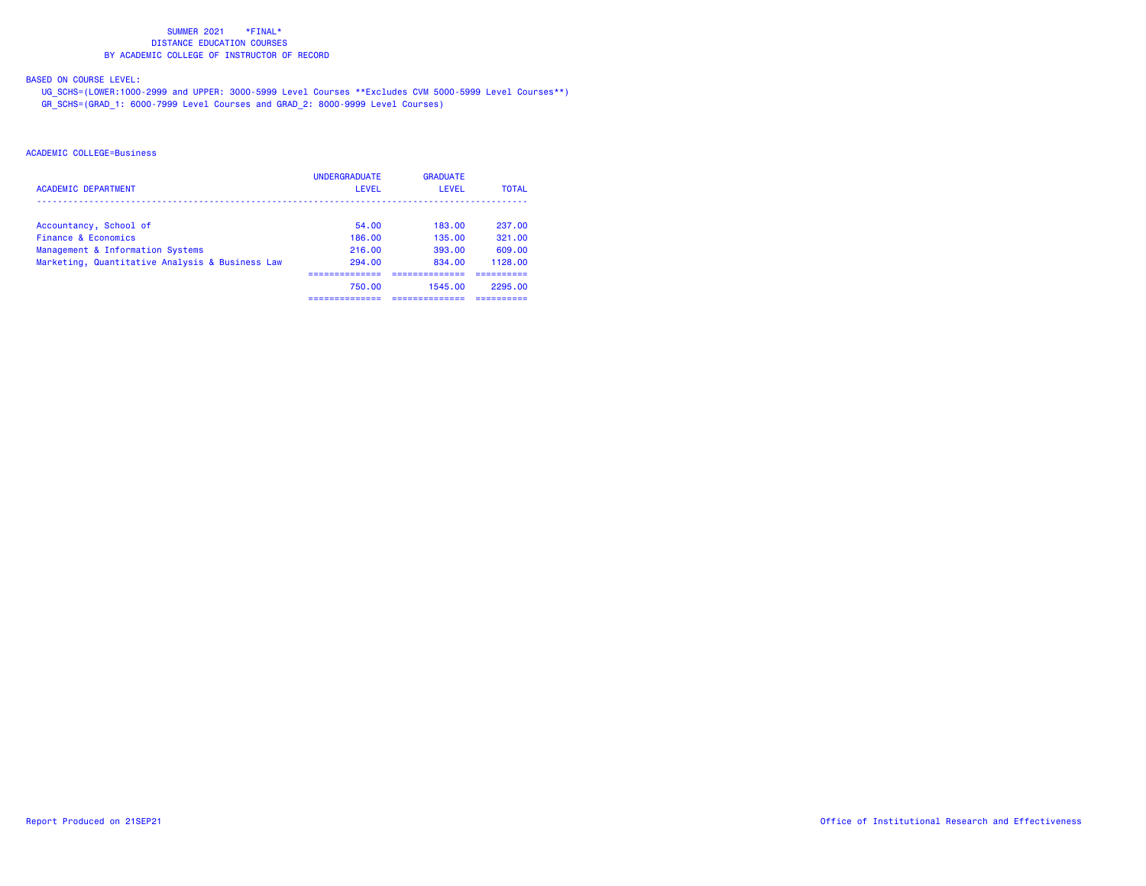# BASED ON COURSE LEVEL:

 UG\_SCHS=(LOWER:1000-2999 and UPPER: 3000-5999 Level Courses \*\*Excludes CVM 5000-5999 Level Courses\*\*) GR\_SCHS=(GRAD\_1: 6000-7999 Level Courses and GRAD\_2: 8000-9999 Level Courses)

|                                                 | <b>UNDERGRADUATE</b> | <b>GRADUATE</b> |              |
|-------------------------------------------------|----------------------|-----------------|--------------|
| <b>ACADEMIC DEPARTMENT</b>                      | LEVEL                | LEVEL           | <b>TOTAL</b> |
| Accountancy, School of                          | 54.00                | 183.00          | 237.00       |
| Finance & Economics                             | 186.00               | 135.00          | 321.00       |
| Management & Information Systems                | 216.00               | 393.00          | 609.00       |
| Marketing, Quantitative Analysis & Business Law | 294.00               | 834,00          | 1128.00      |
|                                                 |                      |                 |              |
|                                                 | 750.00               | 1545.00         | 2295.00      |
|                                                 |                      |                 |              |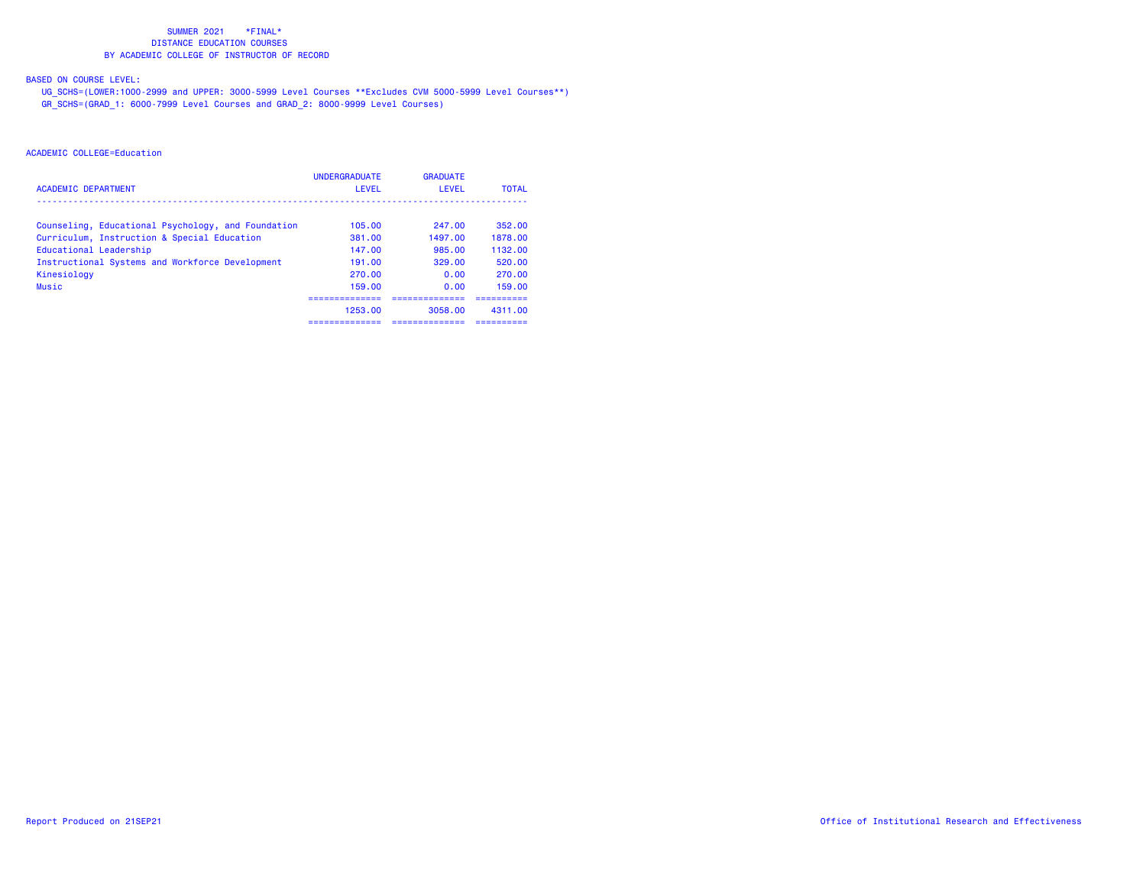## BASED ON COURSE LEVEL:

 UG\_SCHS=(LOWER:1000-2999 and UPPER: 3000-5999 Level Courses \*\*Excludes CVM 5000-5999 Level Courses\*\*) GR\_SCHS=(GRAD\_1: 6000-7999 Level Courses and GRAD\_2: 8000-9999 Level Courses)

| <b>ACADEMIC DEPARTMENT</b>                         | <b>UNDERGRADUATE</b><br>LEVEL | <b>GRADUATE</b><br>LEVEL | <b>TOTAL</b> |
|----------------------------------------------------|-------------------------------|--------------------------|--------------|
|                                                    |                               |                          |              |
| Counseling, Educational Psychology, and Foundation | 105.00                        | 247.00                   | 352.00       |
| Curriculum, Instruction & Special Education        | 381.00                        | 1497.00                  | 1878.00      |
| Educational Leadership                             | 147.00                        | 985.00                   | 1132.00      |
| Instructional Systems and Workforce Development    | 191.00                        | 329.00                   | 520.00       |
| Kinesiology                                        | 270.00                        | 0.00                     | 270.00       |
| <b>Music</b>                                       | 159.00                        | 0.00                     | 159.00       |
|                                                    | 1253.00                       | 3058.00                  | 4311.00      |
|                                                    |                               |                          |              |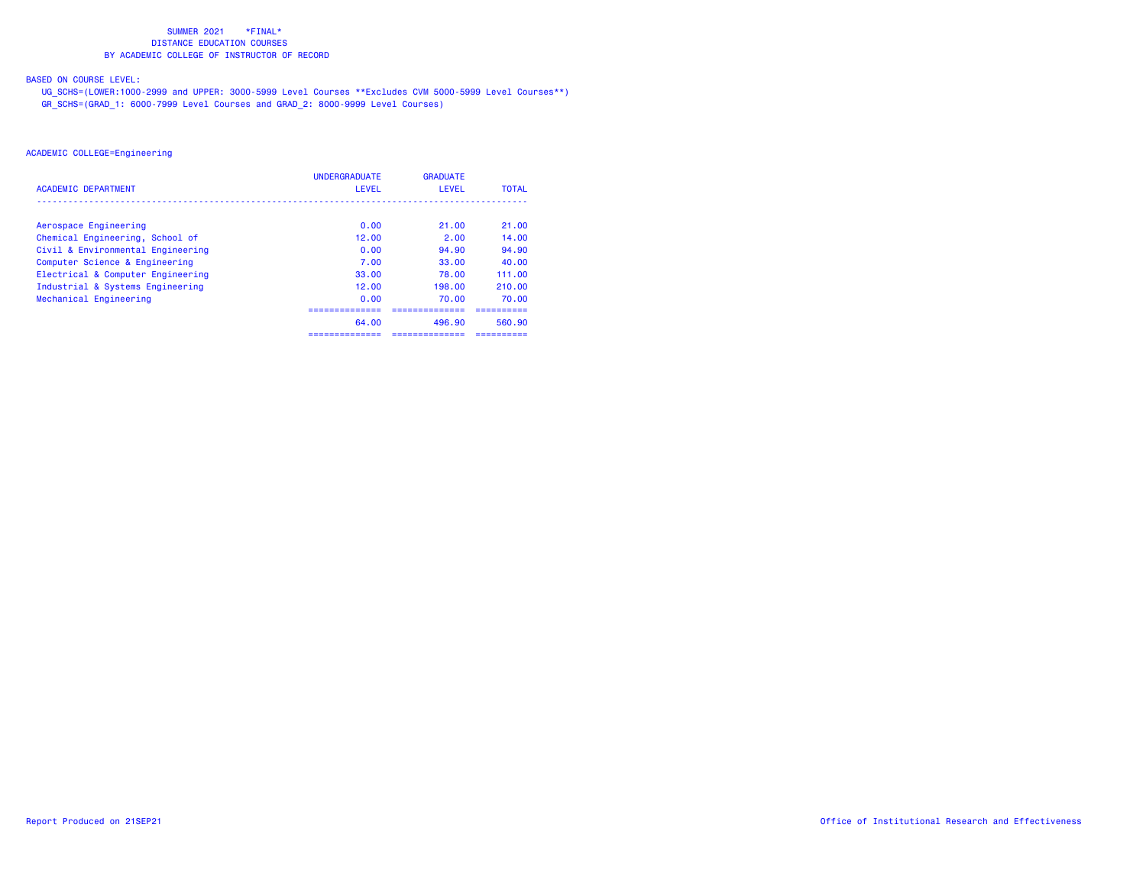## BASED ON COURSE LEVEL:

 UG\_SCHS=(LOWER:1000-2999 and UPPER: 3000-5999 Level Courses \*\*Excludes CVM 5000-5999 Level Courses\*\*) GR\_SCHS=(GRAD\_1: 6000-7999 Level Courses and GRAD\_2: 8000-9999 Level Courses)

|                                   | <b>UNDERGRADUATE</b> | <b>GRADUATE</b> |              |
|-----------------------------------|----------------------|-----------------|--------------|
| <b>ACADEMIC DEPARTMENT</b>        | LEVEL                | LEVEL           | <b>TOTAL</b> |
|                                   |                      |                 |              |
| Aerospace Engineering             | 0.00                 | 21.00           | 21.00        |
| Chemical Engineering, School of   | 12.00                | 2.00            | 14.00        |
| Civil & Environmental Engineering | 0.00                 | 94.90           | 94.90        |
| Computer Science & Engineering    | 7.00                 | 33.00           | 40.00        |
| Electrical & Computer Engineering | 33.00                | 78.00           | 111.00       |
| Industrial & Systems Engineering  | 12.00                | 198.00          | 210.00       |
| Mechanical Engineering            | 0.00                 | 70.00           | 70.00        |
|                                   |                      |                 |              |
|                                   | 64.00                | 496.90          | 560.90       |
|                                   |                      |                 |              |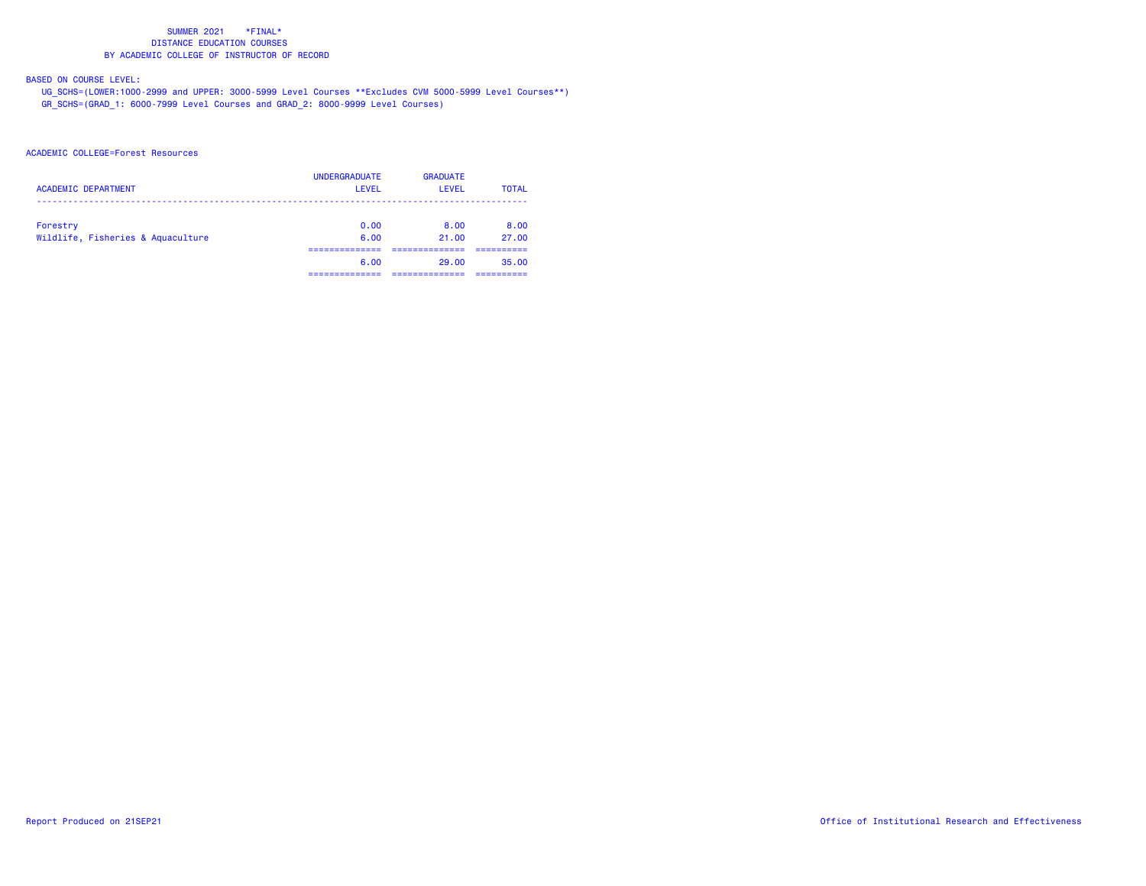# BASED ON COURSE LEVEL:

 UG\_SCHS=(LOWER:1000-2999 and UPPER: 3000-5999 Level Courses \*\*Excludes CVM 5000-5999 Level Courses\*\*) GR\_SCHS=(GRAD\_1: 6000-7999 Level Courses and GRAD\_2: 8000-9999 Level Courses)

## ACADEMIC COLLEGE=Forest Resources

| <b>ACADEMIC DEPARTMENT</b>                    | <b>UNDERGRADUATE</b><br>LEVEL | <b>GRADUATE</b><br><b>LEVEL</b> | <b>TOTAL</b>  |
|-----------------------------------------------|-------------------------------|---------------------------------|---------------|
| Forestry<br>Wildlife, Fisheries & Aquaculture | 0.00<br>6.00                  | 8.00<br>21.00                   | 8.00<br>27.00 |
|                                               | -------------                 |                                 |               |
|                                               | 6.00                          | 29.00                           | 35.00         |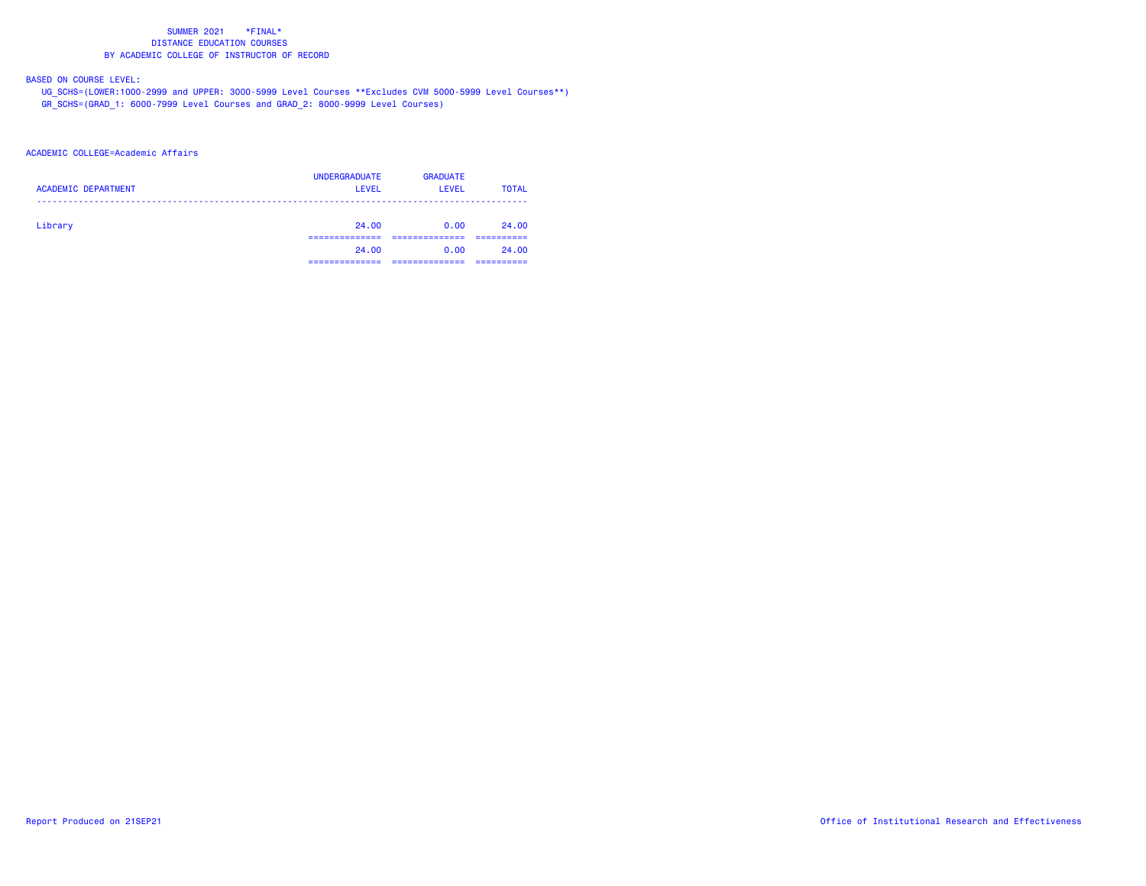## BASED ON COURSE LEVEL:

 UG\_SCHS=(LOWER:1000-2999 and UPPER: 3000-5999 Level Courses \*\*Excludes CVM 5000-5999 Level Courses\*\*) GR\_SCHS=(GRAD\_1: 6000-7999 Level Courses and GRAD\_2: 8000-9999 Level Courses)

## ACADEMIC COLLEGE=Academic Affairs

| <b>ACADEMIC DEPARTMENT</b> | <b>UNDERGRADUATE</b><br><b>LEVEL</b> | <b>GRADUATE</b><br>LEVEL | <b>TOTAL</b> |
|----------------------------|--------------------------------------|--------------------------|--------------|
| Library                    | 24.00                                | 0.00                     | 24.00        |
|                            | 24.00                                | 0.00                     | 24.00        |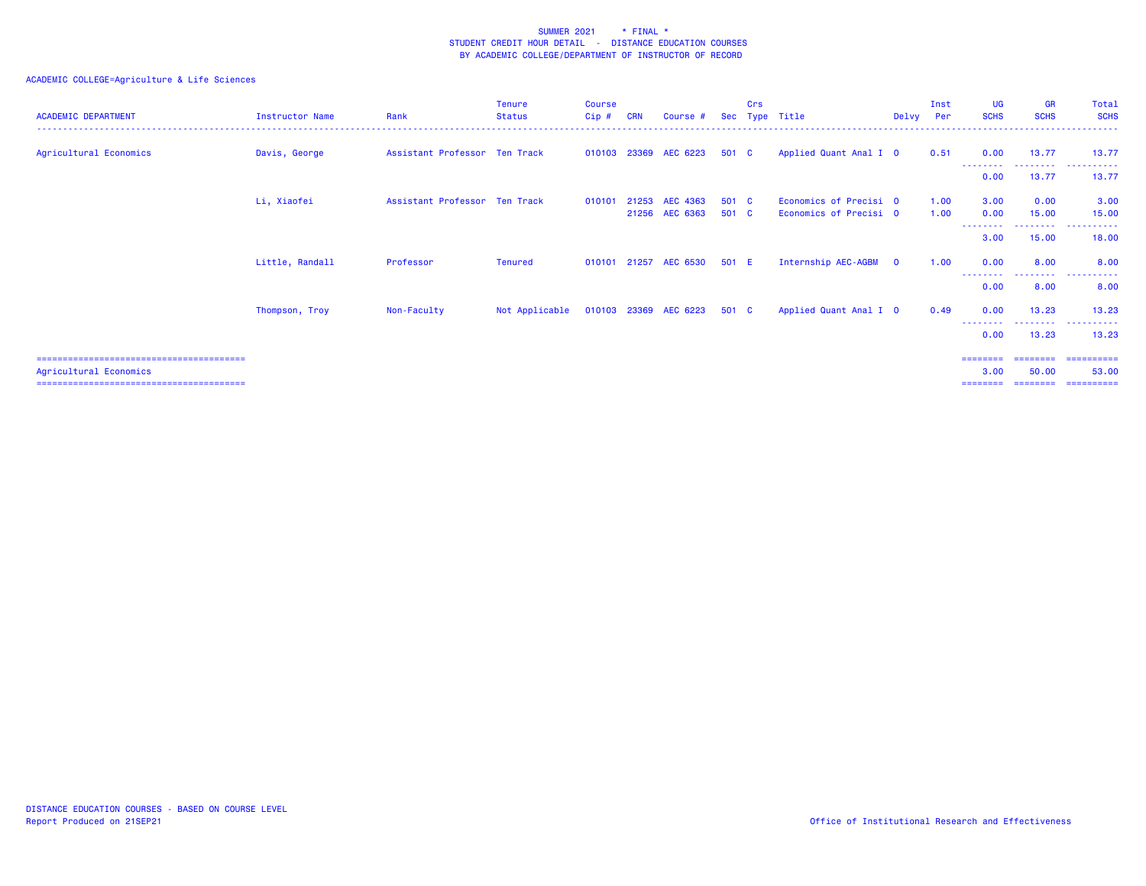| <b>ACADEMIC DEPARTMENT</b> | Instructor Name | Rank                          | <b>Tenure</b><br><b>Status</b> | <b>Course</b><br>Cip# | <b>CRN</b> | Course #                   | <b>Sec</b>   | Crs      | Type Title                                       | Delvy Per               | Inst         | UG<br><b>SCHS</b>            | <b>GR</b><br><b>SCHS</b>      | Total<br><b>SCHS</b>               |
|----------------------------|-----------------|-------------------------------|--------------------------------|-----------------------|------------|----------------------------|--------------|----------|--------------------------------------------------|-------------------------|--------------|------------------------------|-------------------------------|------------------------------------|
| Agricultural Economics     | Davis, George   | Assistant Professor Ten Track |                                |                       |            | 010103 23369 AEC 6223      | 501 C        |          | Applied Quant Anal I 0                           |                         | 0.51         | 0.00                         | 13.77                         | 13.77                              |
|                            |                 |                               |                                |                       |            |                            |              |          |                                                  |                         |              | --------<br>0.00             | --------<br>13.77             | . <b>.</b><br>13.77                |
|                            | Li, Xiaofei     | Assistant Professor Ten Track |                                | 010101                | 21253      | AEC 4363<br>21256 AEC 6363 | 501<br>501 C | <b>C</b> | Economics of Precisi 0<br>Economics of Precisi 0 |                         | 1.00<br>1.00 | 3.00<br>0.00                 | 0.00<br>15.00                 | 3.00<br>15.00                      |
|                            |                 |                               |                                |                       |            |                            |              |          |                                                  |                         |              | 3.00                         | -----<br>15.00                | 18.00                              |
|                            | Little, Randall | Professor                     | Tenured                        |                       |            | 010101 21257 AEC 6530      | 501 E        |          | Internship AEC-AGBM                              | $\overline{\mathbf{0}}$ | 1.00         | 0.00                         | 8.00                          | 8.00                               |
|                            |                 |                               |                                |                       |            |                            |              |          |                                                  |                         |              | 0.00                         | 8.00                          | 8.00                               |
|                            | Thompson, Troy  | Non-Faculty                   | Not Applicable                 |                       |            | 010103 23369 AEC 6223      | 501 C        |          | Applied Quant Anal I 0                           |                         | 0.49         | 0.00                         | 13.23                         | 13.23                              |
|                            |                 |                               |                                |                       |            |                            |              |          |                                                  |                         |              | --------<br>0.00             | -------<br>13.23              | .<br>13.23                         |
| Agricultural Economics     |                 |                               |                                |                       |            |                            |              |          |                                                  |                         |              | ========<br>3.00<br>======== | ========<br>50.00<br>======== | ==========<br>53.00<br>----------- |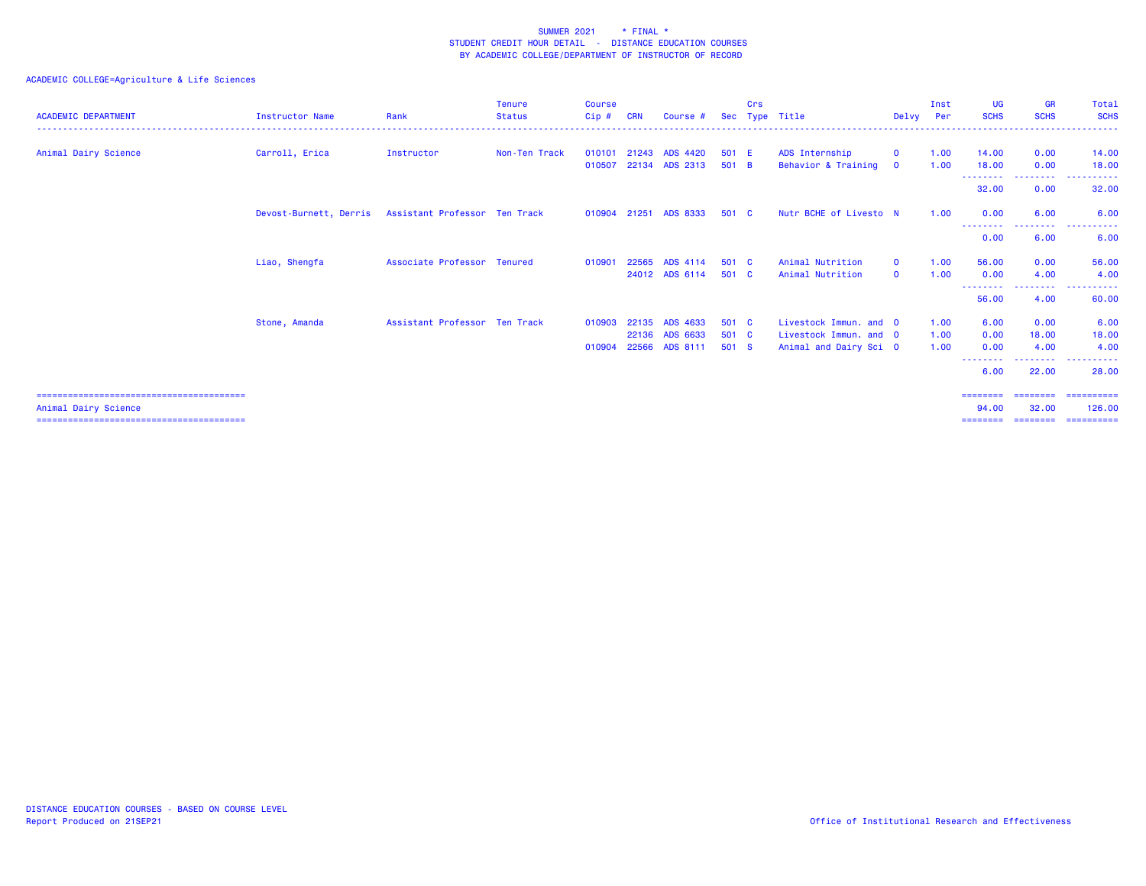| <b>ACADEMIC DEPARTMENT</b> | <b>Instructor Name</b> | Rank                          | <b>Tenure</b><br><b>Status</b> | <b>Course</b><br>Cip# | <b>CRN</b> | Course #              | <b>Sec</b> | Crs | Type Title             | Delvv        | Inst<br>Per | UG<br><b>SCHS</b>         | <b>GR</b><br><b>SCHS</b>                                                                                                                                     | Total<br><b>SCHS</b>  |
|----------------------------|------------------------|-------------------------------|--------------------------------|-----------------------|------------|-----------------------|------------|-----|------------------------|--------------|-------------|---------------------------|--------------------------------------------------------------------------------------------------------------------------------------------------------------|-----------------------|
| Animal Dairy Science       | Carroll, Erica         | Instructor                    | Non-Ten Track                  | 010101                | 21243      | <b>ADS 4420</b>       | 501 E      |     | ADS Internship         | $\mathbf{O}$ | 1.00        | 14.00                     | 0.00                                                                                                                                                         | 14.00                 |
|                            |                        |                               |                                | 010507                |            | 22134 ADS 2313        | 501 B      |     | Behavior & Training    | $\mathbf{O}$ | 1.00        | 18.00                     | 0.00                                                                                                                                                         | 18.00                 |
|                            |                        |                               |                                |                       |            |                       |            |     |                        |              |             | ---------<br>32.00        | <b><i><u><u> - - - - - - - -</u></u></i></b><br>0.00                                                                                                         | .<br>32.00            |
|                            | Devost-Burnett, Derris | Assistant Professor Ten Track |                                |                       |            | 010904 21251 ADS 8333 | 501 C      |     | Nutr BCHE of Livesto N |              | 1.00        | 0.00<br><u>.</u>          | 6.00<br>$\frac{1}{2} \left( \frac{1}{2} \right) \left( \frac{1}{2} \right) \left( \frac{1}{2} \right) \left( \frac{1}{2} \right) \left( \frac{1}{2} \right)$ | 6.00                  |
|                            |                        |                               |                                |                       |            |                       |            |     |                        |              |             | 0.00                      | 6.00                                                                                                                                                         | 6.00                  |
|                            | Liao, Shengfa          | Associate Professor Tenured   |                                | 010901                | 22565      | ADS 4114              | 501 C      |     | Animal Nutrition       | $\mathbf{O}$ | 1.00        | 56.00                     | 0.00                                                                                                                                                         | 56.00                 |
|                            |                        |                               |                                |                       |            | 24012 ADS 6114        | 501 C      |     | Animal Nutrition       | $\Omega$     | 1.00        | 0.00                      | 4.00                                                                                                                                                         | 4.00                  |
|                            |                        |                               |                                |                       |            |                       |            |     |                        |              |             | --------<br>56.00         | --------<br>4.00                                                                                                                                             | . <b>.</b> .<br>60.00 |
|                            | Stone, Amanda          | Assistant Professor Ten Track |                                | 010903                |            | 22135 ADS 4633        | 501 C      |     | Livestock Immun, and 0 |              | 1.00        | 6.00                      | 0.00                                                                                                                                                         | 6.00                  |
|                            |                        |                               |                                |                       |            | 22136 ADS 6633        | 501 C      |     | Livestock Immun, and 0 |              | 1.00        | 0.00                      | 18.00                                                                                                                                                        | 18.00                 |
|                            |                        |                               |                                | 010904                |            | 22566 ADS 8111        | 501 S      |     | Animal and Dairy Sci 0 |              | 1.00        | 0.00<br>- - - - - - - - - | 4.00<br>. <u>.</u>                                                                                                                                           | 4.00<br>. <b>.</b> .  |
|                            |                        |                               |                                |                       |            |                       |            |     |                        |              |             | 6.00                      | 22.00                                                                                                                                                        | 28.00                 |
|                            |                        |                               |                                |                       |            |                       |            |     |                        |              |             | ========                  |                                                                                                                                                              | ======== =========    |
| Animal Dairy Science       |                        |                               |                                |                       |            |                       |            |     |                        |              |             | 94.00                     | 32.00                                                                                                                                                        | 126,00                |
|                            |                        |                               |                                |                       |            |                       |            |     |                        |              |             | ========                  | ========                                                                                                                                                     | ==========            |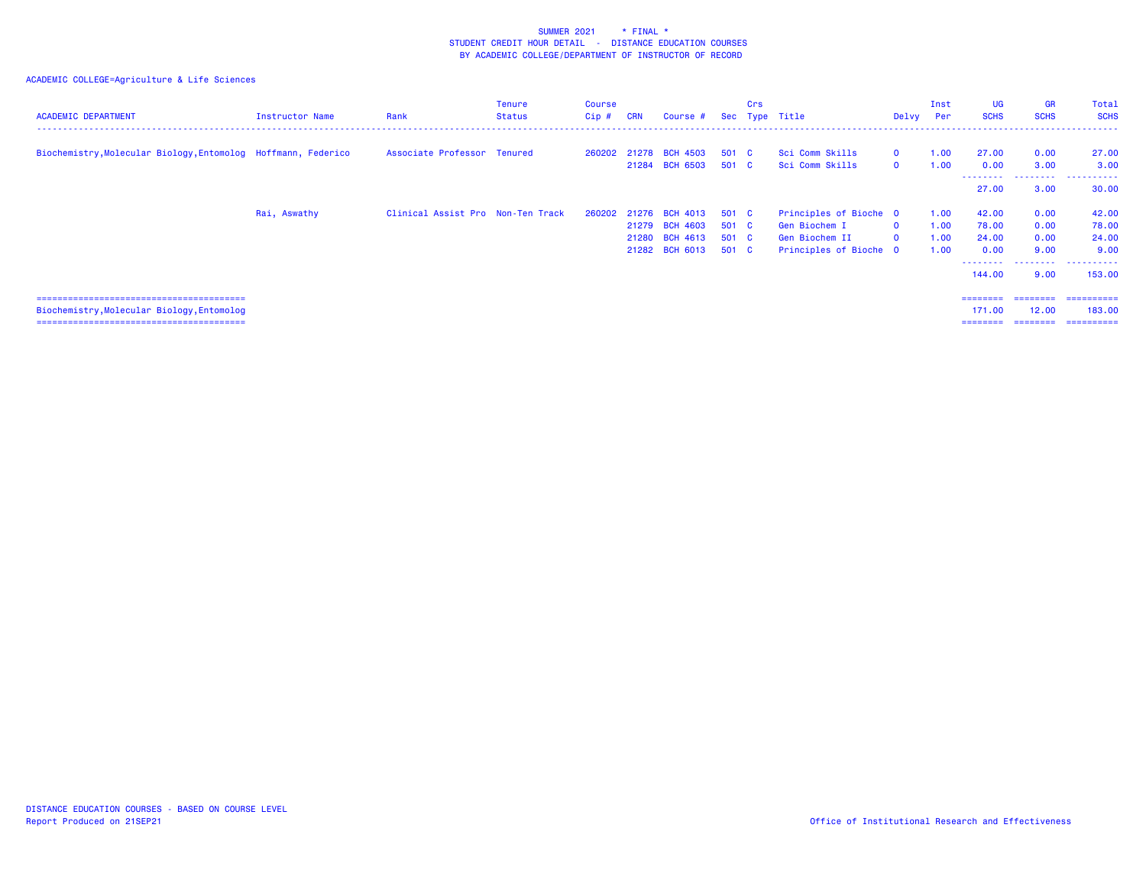| <b>ACADEMIC DEPARTMENT</b>                                    | Instructor Name | Rank                              | Tenure<br><b>Status</b> | Course<br>Cip# | <b>CRN</b> | Course #                                |                | Crs | Sec Type Title                     | Delvy Per                    | Inst         | UG<br><b>SCHS</b>  | <b>GR</b><br><b>SCHS</b> | <b>Total</b><br><b>SCHS</b> |
|---------------------------------------------------------------|-----------------|-----------------------------------|-------------------------|----------------|------------|-----------------------------------------|----------------|-----|------------------------------------|------------------------------|--------------|--------------------|--------------------------|-----------------------------|
| Biochemistry, Molecular Biology, Entomolog Hoffmann, Federico |                 | Associate Professor Tenured       |                         |                |            | 260202 21278 BCH 4503<br>21284 BCH 6503 | 501 C<br>501 C |     | Sci Comm Skills<br>Sci Comm Skills | $\mathbf{0}$<br>$\mathbf{0}$ | 1.00<br>1.00 | 27.00<br>0.00<br>. | 0.00<br>3.00<br>.        | 27.00<br>3.00<br>.          |
|                                                               |                 |                                   |                         |                |            |                                         |                |     |                                    |                              |              | 27.00              | 3.00                     | 30.00                       |
|                                                               | Rai, Aswathy    | Clinical Assist Pro Non-Ten Track |                         | 260202         |            | 21276 BCH 4013                          | 501 C          |     | Principles of Bioche 0             |                              | 1.00         | 42.00              | 0.00                     | 42.00                       |
|                                                               |                 |                                   |                         |                |            | 21279 BCH 4603                          | 501 C          |     | Gen Biochem I                      | $\mathbf{0}$                 | 1.00         | 78.00              | 0.00                     | 78.00                       |
|                                                               |                 |                                   |                         |                |            | 21280 BCH 4613                          | 501 C          |     | Gen Biochem II                     | $\mathbf{0}$                 | 1.00         | 24.00              | 0.00                     | 24.00                       |
|                                                               |                 |                                   |                         |                |            | 21282 BCH 6013                          | 501 C          |     | Principles of Bioche 0             |                              | 1.00         | 0.00<br>--------   | 9.00<br>.                | 9.00<br>----------          |
|                                                               |                 |                                   |                         |                |            |                                         |                |     |                                    |                              |              | 144.00             | 9.00                     | 153.00                      |
|                                                               |                 |                                   |                         |                |            |                                         |                |     |                                    |                              |              | ========           | ========                 | ==========                  |
| Biochemistry, Molecular Biology, Entomolog                    |                 |                                   |                         |                |            |                                         |                |     |                                    |                              |              | 171.00             | 12.00                    | 183,00                      |
|                                                               |                 |                                   |                         |                |            |                                         |                |     |                                    |                              |              | ========           |                          | -----------                 |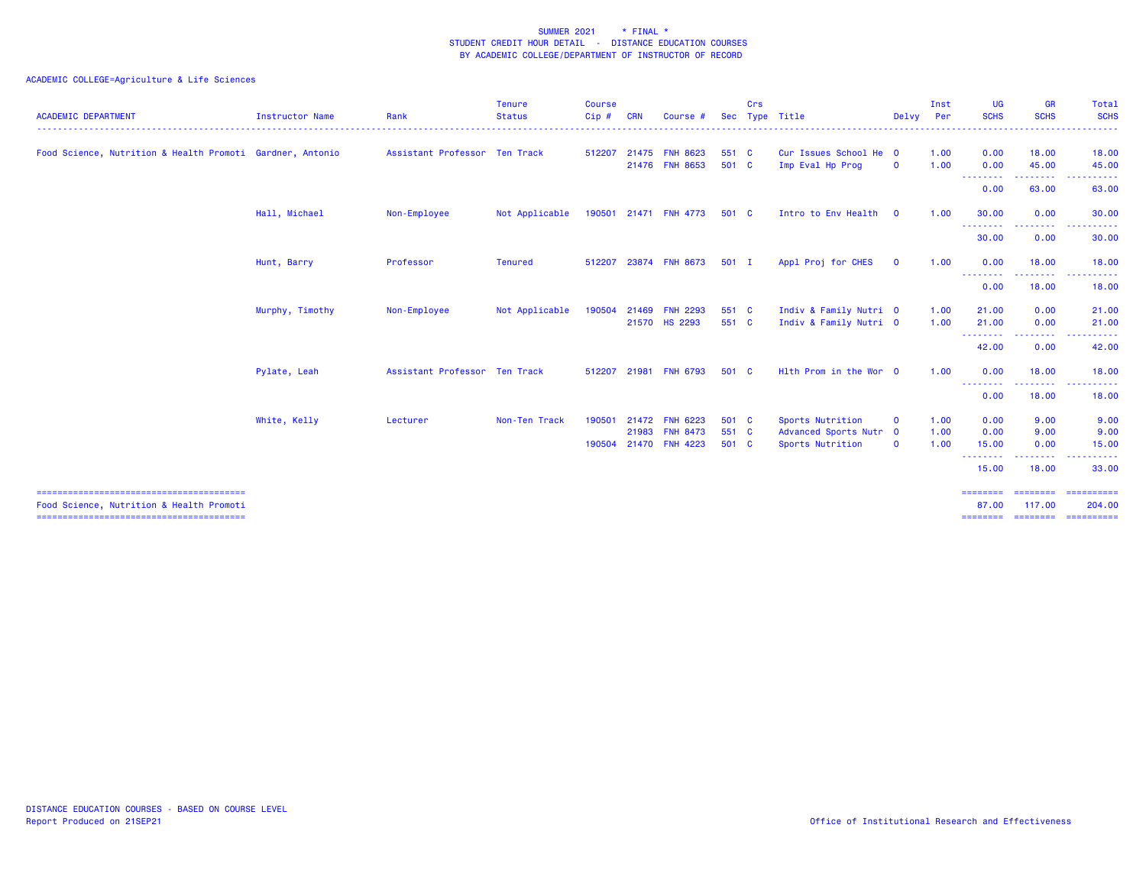| <b>ACADEMIC DEPARTMENT</b>                                | <b>Instructor Name</b> | Rank                          | <b>Tenure</b><br><b>Status</b> | <b>Course</b><br>Cip# | <b>CRN</b> | Course                           | Sec            | Crs | Type Title                                       | Delvy Per    | Inst         | <b>UG</b><br><b>SCHS</b>      | <b>GR</b><br><b>SCHS</b>  | Total<br><b>SCHS</b><br>$\frac{1}{2} \left( \frac{1}{2} \right) \left( \frac{1}{2} \right) \left( \frac{1}{2} \right) \left( \frac{1}{2} \right)$                                                                                                                                                                                                                                                                                                                                                                        |
|-----------------------------------------------------------|------------------------|-------------------------------|--------------------------------|-----------------------|------------|----------------------------------|----------------|-----|--------------------------------------------------|--------------|--------------|-------------------------------|---------------------------|--------------------------------------------------------------------------------------------------------------------------------------------------------------------------------------------------------------------------------------------------------------------------------------------------------------------------------------------------------------------------------------------------------------------------------------------------------------------------------------------------------------------------|
| Food Science, Nutrition & Health Promoti Gardner, Antonio |                        | Assistant Professor Ten Track |                                | 512207                |            | 21475 FNH 8623<br>21476 FNH 8653 | 551 C<br>501 C |     | Cur Issues School He 0<br>Imp Eval Hp Prog       | $\mathbf 0$  | 1.00<br>1.00 | 0.00<br>0.00                  | 18.00<br>45.00            | 18.00<br>45.00                                                                                                                                                                                                                                                                                                                                                                                                                                                                                                           |
|                                                           |                        |                               |                                |                       |            |                                  |                |     |                                                  |              |              | .<br>0.00                     | ---------<br>63.00        | . <b>.</b> .<br>63.00                                                                                                                                                                                                                                                                                                                                                                                                                                                                                                    |
|                                                           | Hall, Michael          | Non-Employee                  | Not Applicable                 |                       |            | 190501 21471 FNH 4773            | 501 C          |     | Intro to Env Health                              | $\mathbf{0}$ | 1.00         | 30.00                         | 0.00                      | 30.00                                                                                                                                                                                                                                                                                                                                                                                                                                                                                                                    |
|                                                           |                        |                               |                                |                       |            |                                  |                |     |                                                  |              |              | .<br>30.00                    | -----<br>0.00             | .<br>30.00                                                                                                                                                                                                                                                                                                                                                                                                                                                                                                               |
|                                                           | Hunt, Barry            | Professor                     | <b>Tenured</b>                 | 512207                |            | 23874 FNH 8673                   | 501 I          |     | Appl Proj for CHES                               | $\mathbf 0$  | 1.00         | 0.00<br>.                     | 18.00                     | 18.00                                                                                                                                                                                                                                                                                                                                                                                                                                                                                                                    |
|                                                           |                        |                               |                                |                       |            |                                  |                |     |                                                  |              |              | 0.00                          | 18.00                     | 18.00                                                                                                                                                                                                                                                                                                                                                                                                                                                                                                                    |
|                                                           | Murphy, Timothy        | Non-Employee                  | Not Applicable                 | 190504                |            | 21469 FNH 2293<br>21570 HS 2293  | 551 C<br>551 C |     | Indiv & Family Nutri 0<br>Indiv & Family Nutri 0 |              | 1.00<br>1.00 | 21,00<br>21.00                | 0.00<br>0.00              | 21.00<br>21.00                                                                                                                                                                                                                                                                                                                                                                                                                                                                                                           |
|                                                           |                        |                               |                                |                       |            |                                  |                |     |                                                  |              |              | --------<br>42.00             | .<br>0.00                 | 42.00                                                                                                                                                                                                                                                                                                                                                                                                                                                                                                                    |
|                                                           | Pylate, Leah           | Assistant Professor Ten Track |                                | 512207                |            | 21981 FNH 6793                   | 501 C          |     | Hlth Prom in the Wor 0                           |              | 1.00         | 0.00                          | 18.00                     | 18.00                                                                                                                                                                                                                                                                                                                                                                                                                                                                                                                    |
|                                                           |                        |                               |                                |                       |            |                                  |                |     |                                                  |              |              | --------<br>0.00              | 18.00                     | .<br>18.00                                                                                                                                                                                                                                                                                                                                                                                                                                                                                                               |
|                                                           | White, Kelly           | Lecturer                      | Non-Ten Track                  | 190501                |            | 21472 FNH 6223<br>21983 FNH 8473 | 501 C<br>551 C |     | Sports Nutrition<br>Advanced Sports Nutr 0       | $\mathbf{o}$ | 1.00<br>1.00 | 0.00<br>0.00                  | 9.00<br>9.00              | 9.00<br>9.00                                                                                                                                                                                                                                                                                                                                                                                                                                                                                                             |
|                                                           |                        |                               |                                | 190504                |            | 21470 FNH 4223                   | 501 C          |     | Sports Nutrition                                 | $\mathbf 0$  | 1.00         | 15.00<br>- - - - - - - - -    | 0.00                      | 15.00                                                                                                                                                                                                                                                                                                                                                                                                                                                                                                                    |
|                                                           |                        |                               |                                |                       |            |                                  |                |     |                                                  |              |              | 15.00                         | 18.00                     | 33.00                                                                                                                                                                                                                                                                                                                                                                                                                                                                                                                    |
| Food Science, Nutrition & Health Promoti                  |                        |                               |                                |                       |            |                                  |                |     |                                                  |              |              | ========<br>87.00<br>======== | <b>SEREEBER</b><br>117.00 | $\begin{array}{cccccccccc} \multicolumn{2}{c}{} & \multicolumn{2}{c}{} & \multicolumn{2}{c}{} & \multicolumn{2}{c}{} & \multicolumn{2}{c}{} & \multicolumn{2}{c}{} & \multicolumn{2}{c}{} & \multicolumn{2}{c}{} & \multicolumn{2}{c}{} & \multicolumn{2}{c}{} & \multicolumn{2}{c}{} & \multicolumn{2}{c}{} & \multicolumn{2}{c}{} & \multicolumn{2}{c}{} & \multicolumn{2}{c}{} & \multicolumn{2}{c}{} & \multicolumn{2}{c}{} & \multicolumn{2}{c}{} & \multicolumn{2}{c}{} & \mult$<br>204.00<br>-------------------- |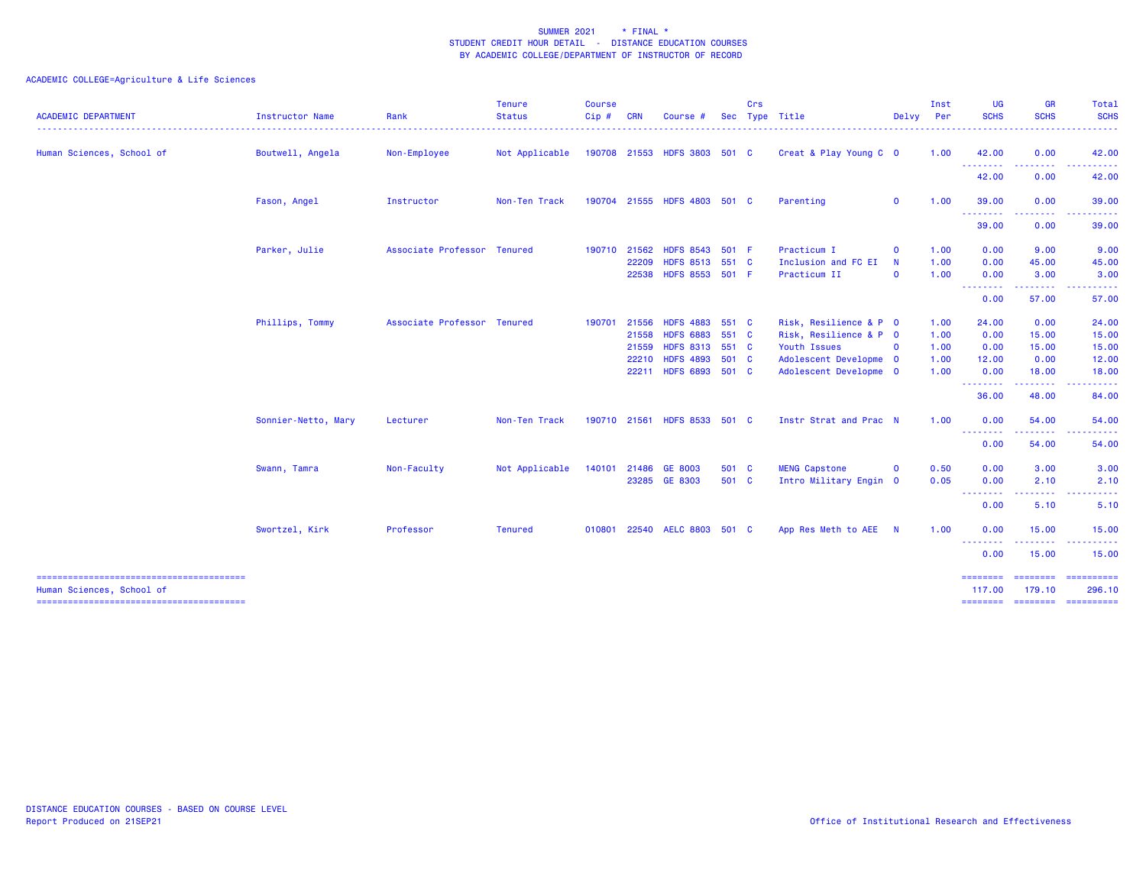| <b>ACADEMIC DEPARTMENT</b> | <b>Instructor Name</b> | Rank                        | <b>Tenure</b><br><b>Status</b> | <b>Course</b><br>Cip# | <b>CRN</b>     | Course                             | <b>Sec</b> | Crs | Type Title                          |                            | Inst<br>Delvy Per | <b>UG</b><br><b>SCHS</b> | <b>GR</b><br><b>SCHS</b> | Total<br><b>SCHS</b>  |
|----------------------------|------------------------|-----------------------------|--------------------------------|-----------------------|----------------|------------------------------------|------------|-----|-------------------------------------|----------------------------|-------------------|--------------------------|--------------------------|-----------------------|
| Human Sciences, School of  | Boutwell, Angela       | Non-Employee                | Not Applicable                 |                       |                | 190708 21553 HDFS 3803 501 C       |            |     | Creat & Play Young C 0              |                            | 1.00              | 42.00                    | 0.00<br>.                | 42.00                 |
|                            |                        |                             |                                |                       |                |                                    |            |     |                                     |                            |                   | .<br>42.00               | 0.00                     | 42.00                 |
|                            | Fason, Angel           | Instructor                  | Non-Ten Track                  |                       |                | 190704 21555 HDFS 4803 501 C       |            |     | Parenting                           | $\mathbf 0$                | 1.00              | 39.00                    | 0.00                     | 39.00                 |
|                            |                        |                             |                                |                       |                |                                    |            |     |                                     |                            |                   | <b>.</b> .<br>39.00      | 0.00                     | 39.00                 |
|                            | Parker, Julie          | Associate Professor Tenured |                                |                       | 190710 21562   | HDFS 8543 501 F                    |            |     | Practicum I                         | $\mathbf 0$                | 1.00              | 0.00                     | 9.00                     | 9.00                  |
|                            |                        |                             |                                |                       | 22209<br>22538 | HDFS 8513 551 C<br>HDFS 8553 501 F |            |     | Inclusion and FC EI<br>Practicum II | $\mathbf N$<br>$\mathbf 0$ | 1.00<br>1.00      | 0.00<br>0.00             | 45.00<br>3.00            | 45.00<br>3.00         |
|                            |                        |                             |                                |                       |                |                                    |            |     |                                     |                            |                   | --------<br>0.00         | .<br>57.00               | . <u>.</u> .<br>57.00 |
|                            | Phillips, Tommy        | Associate Professor Tenured |                                | 190701                | 21556          | HDFS 4883 551 C                    |            |     | Risk, Resilience & P 0              |                            | 1.00              | 24.00                    | 0.00                     | 24.00                 |
|                            |                        |                             |                                |                       | 21558          | <b>HDFS 6883</b>                   | 551 C      |     | Risk, Resilience & P 0              |                            | 1.00              | 0.00                     | 15.00                    | 15.00                 |
|                            |                        |                             |                                |                       | 21559          | HDFS 8313 551 C                    |            |     | Youth Issues                        | $\mathbf 0$                | 1.00              | 0.00                     | 15.00                    | 15.00                 |
|                            |                        |                             |                                |                       |                | 22210 HDFS 4893 501 C              |            |     | Adolescent Developme 0              |                            | 1.00              | 12.00                    | 0.00                     | 12.00                 |
|                            |                        |                             |                                |                       | 22211          | HDFS 6893 501 C                    |            |     | Adolescent Developme 0              |                            | 1.00              | 0.00<br>--------         | 18.00<br>.               | 18.00<br>.            |
|                            |                        |                             |                                |                       |                |                                    |            |     |                                     |                            |                   | 36.00                    | 48.00                    | 84.00                 |
|                            | Sonnier-Netto, Mary    | Lecturer                    | Non-Ten Track                  |                       | 190710 21561   | HDFS 8533 501 C                    |            |     | Instr Strat and Prac N              |                            | 1.00              | 0.00                     | 54.00                    | 54.00                 |
|                            |                        |                             |                                |                       |                |                                    |            |     |                                     |                            |                   | <b></b><br>0.00          | .<br>54.00               | 54.00                 |
|                            | Swann, Tamra           | Non-Faculty                 | Not Applicable                 | 140101                | 21486          | GE 8003                            | 501 C      |     | <b>MENG Capstone</b>                | $\mathbf{o}$               | 0.50              | 0.00                     | 3.00                     | 3.00                  |
|                            |                        |                             |                                |                       |                | 23285 GE 8303                      | 501 C      |     | Intro Military Engin 0              |                            | 0.05              | 0.00                     | 2.10                     | 2.10                  |
|                            |                        |                             |                                |                       |                |                                    |            |     |                                     |                            |                   | 0.00                     | .<br>5.10                | 5.10                  |
|                            |                        |                             |                                |                       |                |                                    |            |     |                                     |                            |                   |                          |                          |                       |
|                            | Swortzel, Kirk         | Professor                   | <b>Tenured</b>                 | 010801                |                | 22540 AELC 8803 501 C              |            |     | App Res Meth to AEE N               |                            | 1.00              | 0.00<br>--------         | 15.00<br>-----           | 15.00<br>.            |
|                            |                        |                             |                                |                       |                |                                    |            |     |                                     |                            |                   | 0.00                     | 15.00                    | 15.00                 |
|                            |                        |                             |                                |                       |                |                                    |            |     |                                     |                            |                   | ========                 |                          | $=$ = = = = = = = = = |
| Human Sciences, School of  |                        |                             |                                |                       |                |                                    |            |     |                                     |                            |                   | 117,00                   | 179.10                   | 296.10                |
|                            |                        |                             |                                |                       |                |                                    |            |     |                                     |                            |                   |                          |                          |                       |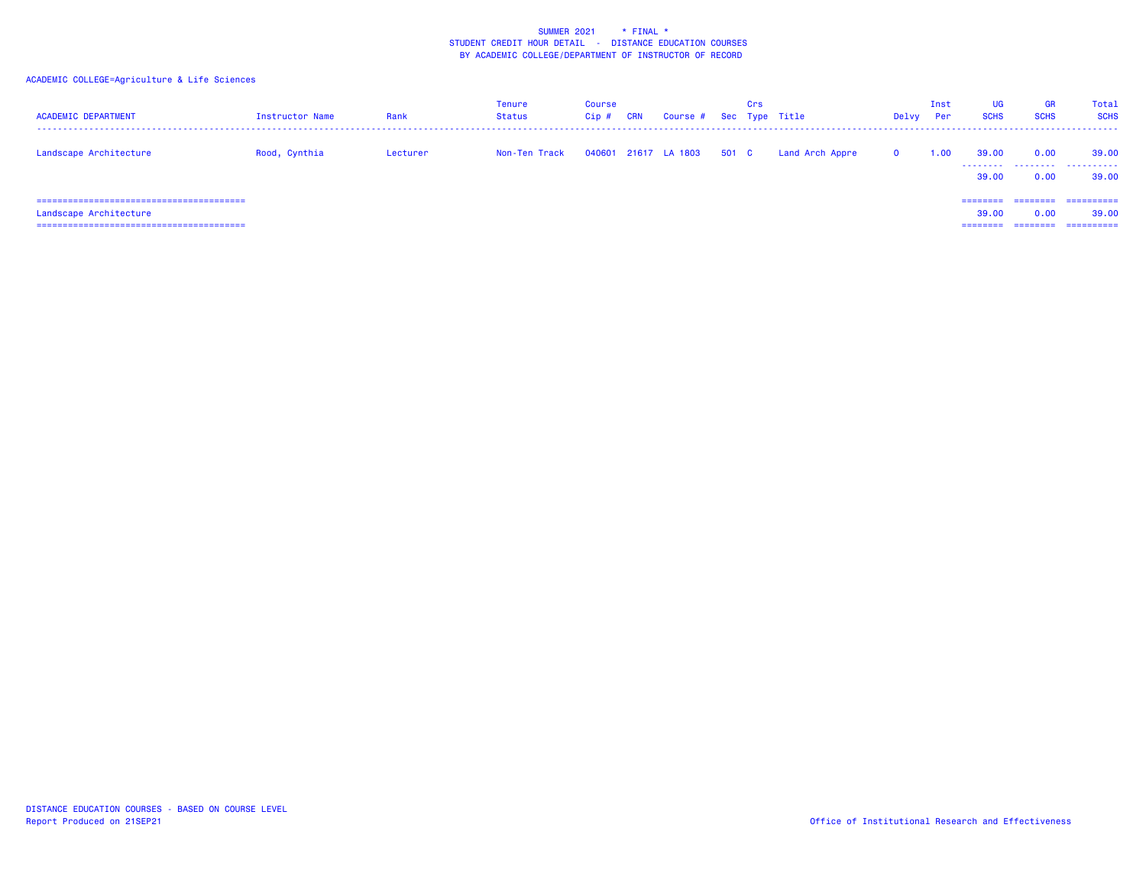| <b>ACADEMIC DEPARTMENT</b>                                    | Instructor Name | Rank     | Tenure<br>Status | <b>Course</b><br>Cip# | <b>CRN</b> | Course # Sec Type Title |       | Crs |                 | Delvy        | Inst<br>Per | <b>UG</b><br><b>SCHS</b>      | <b>GR</b><br><b>SCHS</b>              | Total<br><b>SCHS</b>              |
|---------------------------------------------------------------|-----------------|----------|------------------|-----------------------|------------|-------------------------|-------|-----|-----------------|--------------|-------------|-------------------------------|---------------------------------------|-----------------------------------|
| Landscape Architecture                                        | Rood, Cynthia   | Lecturer | Non-Ten Track    |                       |            | 040601 21617 LA 1803    | 501 C |     | Land Arch Appre | $\mathbf{o}$ | 1.00        | 39,00<br>39,00                | 0.00<br>0.00                          | 39,00<br>.<br>39,00               |
| -----------------------------------<br>Landscape Architecture |                 |          |                  |                       |            |                         |       |     |                 |              |             | ========<br>39,00<br>======== | $=$ = = = = = = =<br>0.00<br>======== | ==========<br>39,00<br>========== |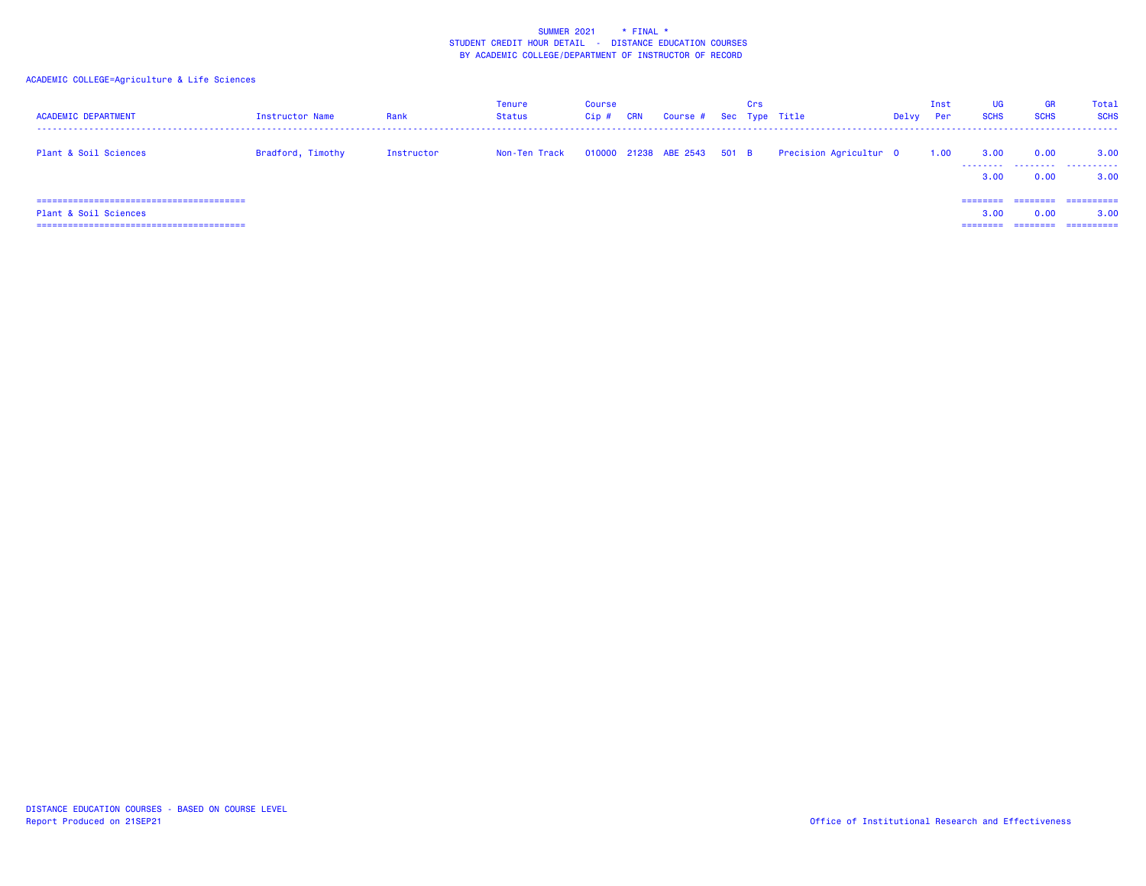| <b>ACADEMIC DEPARTMENT</b> | Instructor Name   | Rank       | Tenure<br><b>Status</b> | <b>Course</b><br>Cip# | <b>CRN</b> | Course # Sec Type Title     | Crs |                        | Delvy | Inst<br><b>Per</b> | <b>UG</b><br><b>SCHS</b>     | <b>GR</b><br><b>SCHS</b>     | Total<br><b>SCHS</b>            |
|----------------------------|-------------------|------------|-------------------------|-----------------------|------------|-----------------------------|-----|------------------------|-------|--------------------|------------------------------|------------------------------|---------------------------------|
| Plant & Soil Sciences      | Bradford, Timothy | Instructor | Non-Ten Track           |                       |            | 010000 21238 ABE 2543 501 B |     | Precision Agricultur 0 |       | 1.00               | 3.00<br>3.00                 | 0.00<br>0.00                 | 3.00<br>.<br>3.00               |
| Plant & Soil Sciences      |                   |            |                         |                       |            |                             |     |                        |       |                    | ========<br>3.00<br>======== | ========<br>0.00<br>======== | ==========<br>3.00<br>========= |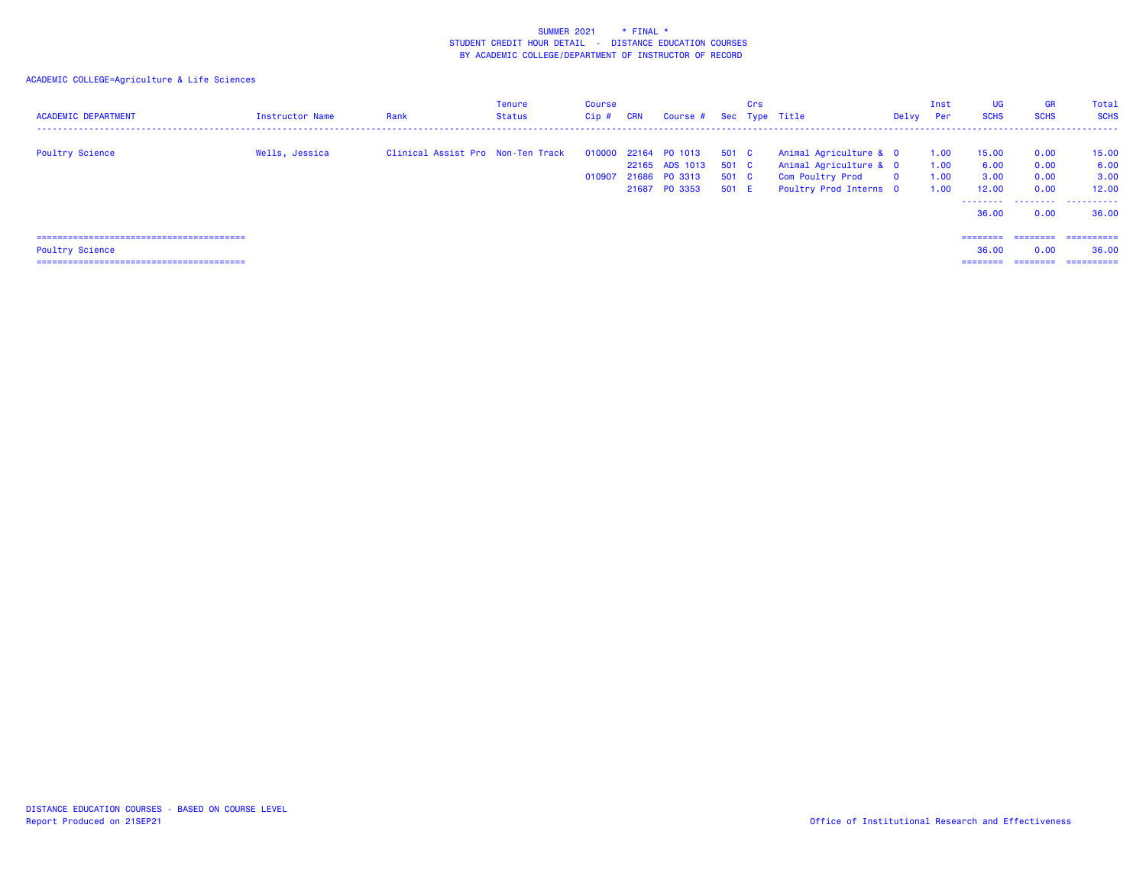| <b>ACADEMIC DEPARTMENT</b> | Instructor Name | Rank                              | Tenure<br><b>Status</b> | Course<br>Cip# | <b>CRN</b> | Course #                        |                | Crs | Sec Type Title                                    | Delvy    | Inst<br><b>Per</b> | <b>UG</b><br><b>SCHS</b> | <b>GR</b><br><b>SCHS</b> | Total<br><b>SCHS</b> |
|----------------------------|-----------------|-----------------------------------|-------------------------|----------------|------------|---------------------------------|----------------|-----|---------------------------------------------------|----------|--------------------|--------------------------|--------------------------|----------------------|
| <b>Poultry Science</b>     | Wells, Jessica  | Clinical Assist Pro Non-Ten Track |                         |                |            | 010000 22164 P0 1013            | 501 C          |     | Animal Agriculture & O                            |          | 1.00               | 15.00                    | 0.00                     | 15.00                |
|                            |                 |                                   |                         |                |            | 22165 ADS 1013<br>21686 PO 3313 | 501 C<br>501 C |     | Animal Agriculture & 0<br><b>Com Poultry Prod</b> | $\Omega$ | 1.00<br>1.00       | 6.00<br>3.00             | 0.00<br>0.00             | 6.00<br>3.00         |
|                            |                 |                                   |                         | 010907         |            | 21687 PO 3353                   | 501 E          |     | Poultry Prod Interns 0                            |          | 1.00               | 12.00                    | 0.00                     | 12.00                |
|                            |                 |                                   |                         |                |            |                                 |                |     |                                                   |          |                    |                          |                          | .                    |
|                            |                 |                                   |                         |                |            |                                 |                |     |                                                   |          |                    | 36.00                    | 0.00                     | 36.00                |
|                            |                 |                                   |                         |                |            |                                 |                |     |                                                   |          |                    |                          |                          |                      |
|                            |                 |                                   |                         |                |            |                                 |                |     |                                                   |          |                    | ========                 | ---------                | ==========           |
| <b>Poultry Science</b>     |                 |                                   |                         |                |            |                                 |                |     |                                                   |          |                    | 36.00                    | 0.00                     | 36.00                |
|                            |                 |                                   |                         |                |            |                                 |                |     |                                                   |          |                    | ========                 |                          | ==========           |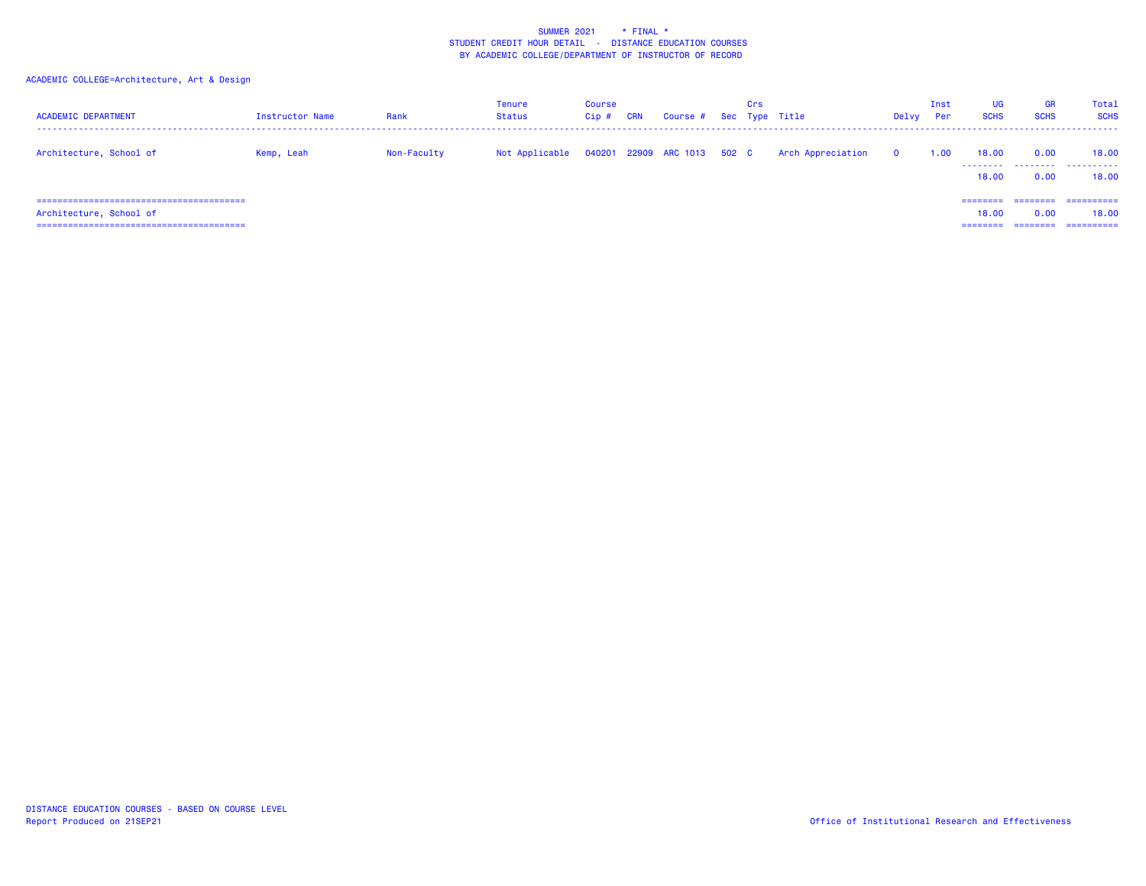## ACADEMIC COLLEGE=Architecture, Art & Design

| <b>ACADEMIC DEPARTMENT</b> | Instructor Name | Rank        | Tenure<br><b>Status</b> | <b>Course</b><br>Cip# | <b>CRN</b> | Course # Sec Type Title     | Crs |                   | Delvy        | Inst<br>Per | <b>UG</b><br><b>SCHS</b>      | GR<br><b>SCHS</b>            | Total<br><b>SCHS</b>               |
|----------------------------|-----------------|-------------|-------------------------|-----------------------|------------|-----------------------------|-----|-------------------|--------------|-------------|-------------------------------|------------------------------|------------------------------------|
| Architecture, School of    | Kemp, Leah      | Non-Faculty | Not Applicable          |                       |            | 040201 22909 ARC 1013 502 C |     | Arch Appreciation | $\mathbf{0}$ | 1.00        | 18.00<br>18,00                | 0.00<br>0.00                 | 18.00<br><br>18.00                 |
| Architecture, School of    |                 |             |                         |                       |            |                             |     |                   |              |             | ========<br>18,00<br>======== | ========<br>0.00<br>======== | -----------<br>18.00<br>========== |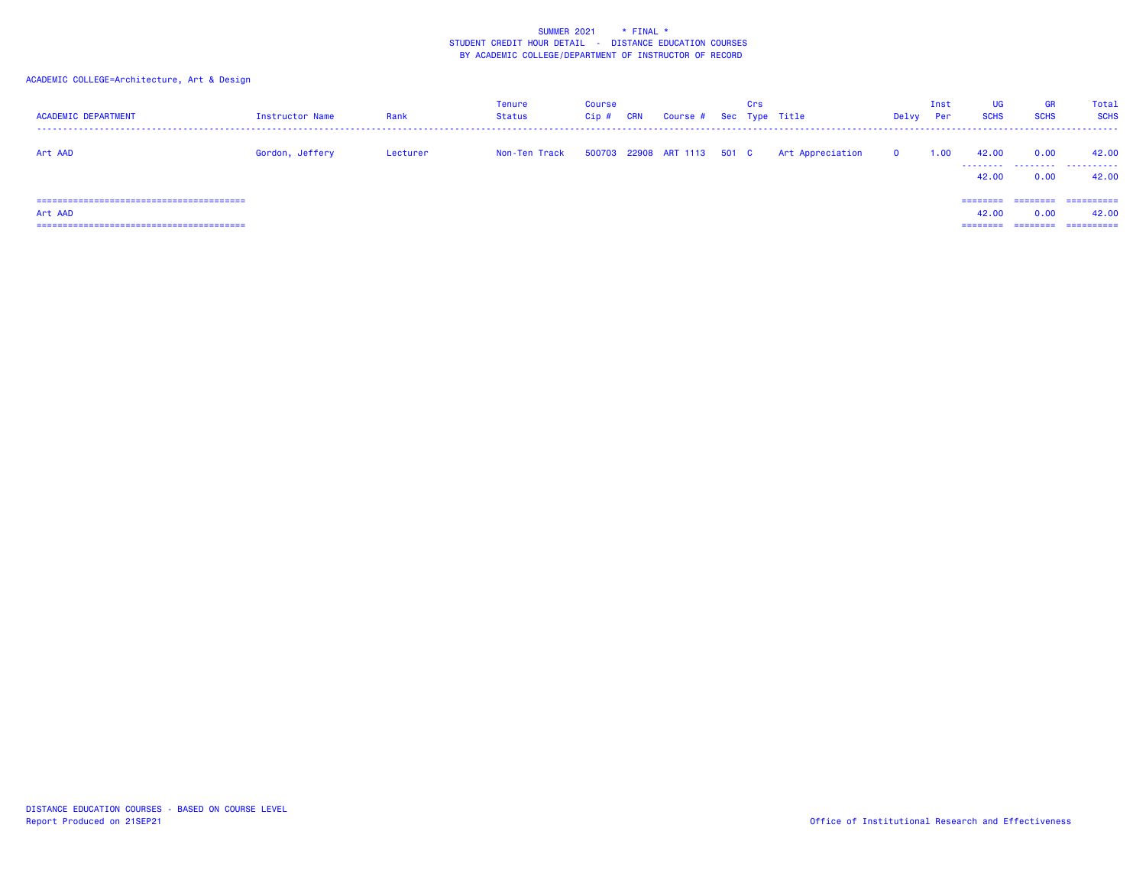ACADEMIC COLLEGE=Architecture, Art & Design

| <b>ACADEMIC DEPARTMENT</b> | Instructor Name | Rank     | Tenure<br>Status | <b>Course</b><br>Cip# | <b>CRN</b> | Course # Sec Type Title     | Crs |                  | Delvy        | Inst<br>Per | <b>UG</b><br><b>SCHS</b>      | GR<br><b>SCHS</b>            | Total<br><b>SCHS</b>               |
|----------------------------|-----------------|----------|------------------|-----------------------|------------|-----------------------------|-----|------------------|--------------|-------------|-------------------------------|------------------------------|------------------------------------|
| Art AAD                    | Gordon, Jeffery | Lecturer | Non-Ten Track    |                       |            | 500703 22908 ART 1113 501 C |     | Art Appreciation | $\mathbf{o}$ | 1.00        | 42.00<br>42.00                | 0.00<br>0.00                 | 42.00<br><br>42.00                 |
| Art AAD                    |                 |          |                  |                       |            |                             |     |                  |              |             | ========<br>42.00<br>======== | ========<br>0.00<br>======== | -----------<br>42.00<br>========== |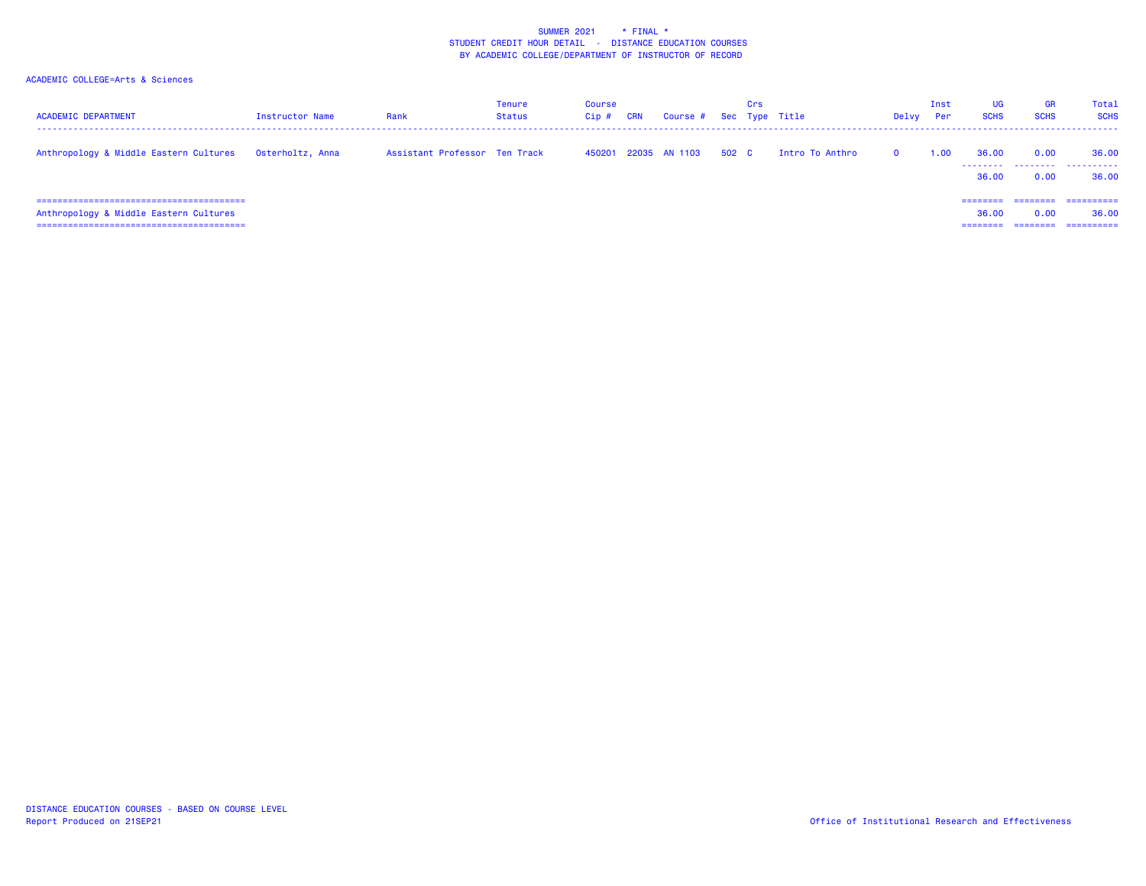| <b>ACADEMIC DEPARTMENT</b>                              | Instructor Name | Rank                          | Tenure<br>Status | <b>Course</b><br>Cip# | CRN | Course # Sec Type Title |       | Crs |                 | Delvy    | Inst<br>Per | UG<br><b>SCHS</b>             | <b>GR</b><br><b>SCHS</b> | Total<br><b>SCHS</b>               |
|---------------------------------------------------------|-----------------|-------------------------------|------------------|-----------------------|-----|-------------------------|-------|-----|-----------------|----------|-------------|-------------------------------|--------------------------|------------------------------------|
| Anthropology & Middle Eastern Cultures Osterholtz, Anna |                 | Assistant Professor Ten Track |                  | 450201                |     | 22035 AN 1103           | 502 C |     | Intro To Anthro | $\Omega$ | 1.00        | 36.00<br>36.00                | 0.00<br>0.00             | 36.00<br><br>36.00                 |
| Anthropology & Middle Eastern Cultures                  |                 |                               |                  |                       |     |                         |       |     |                 |          |             | ========<br>36.00<br>======== | ---------<br>0.00        | -----------<br>36.00<br>========== |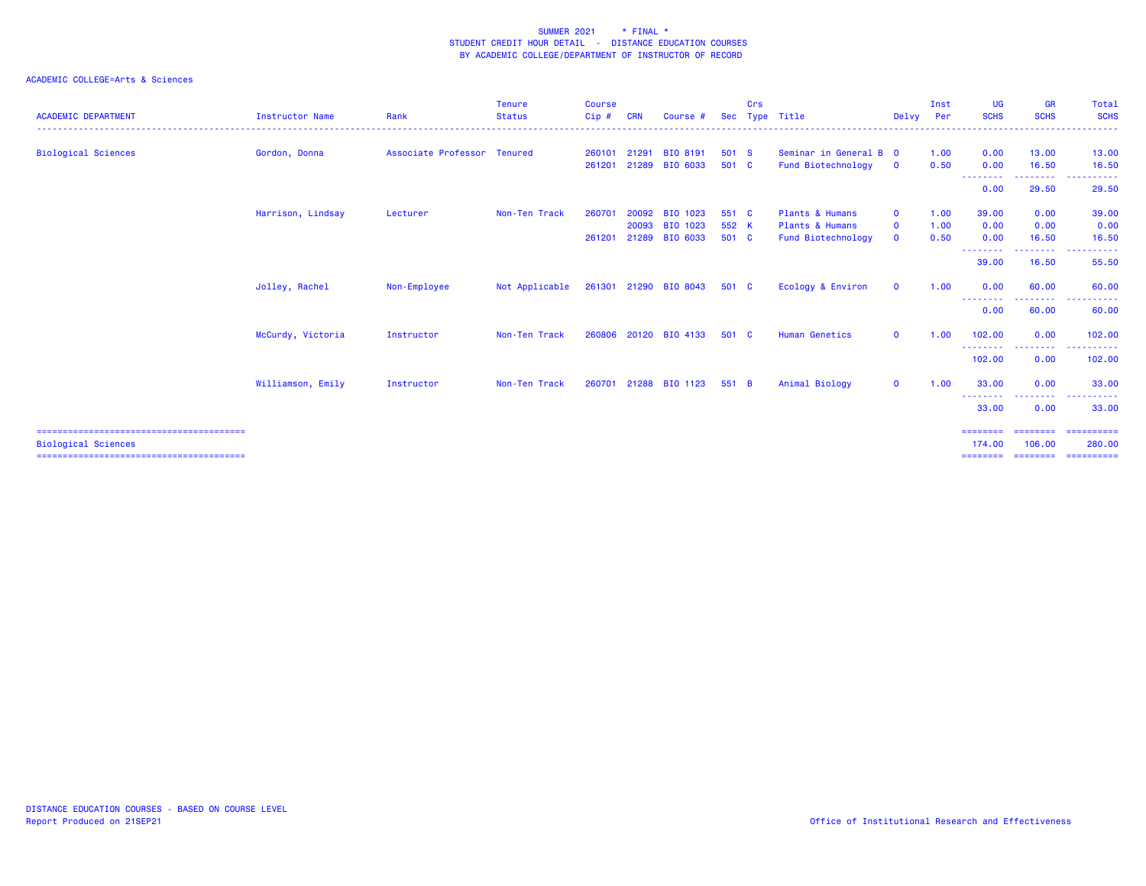| <b>ACADEMIC DEPARTMENT</b> | <b>Instructor Name</b> | Rank                        | <b>Tenure</b><br><b>Status</b> | <b>Course</b><br>Cip# | CRN   | Course #        |       | Crs | Sec Type Title         | Delvy Per    | Inst | <b>UG</b><br><b>SCHS</b> | <b>GR</b><br><b>SCHS</b> | Total<br><b>SCHS</b><br>.               |
|----------------------------|------------------------|-----------------------------|--------------------------------|-----------------------|-------|-----------------|-------|-----|------------------------|--------------|------|--------------------------|--------------------------|-----------------------------------------|
| <b>Biological Sciences</b> | Gordon, Donna          | Associate Professor Tenured |                                | 260101                | 21291 | <b>BIO 8191</b> | 501 S |     | Seminar in General B 0 |              | 1.00 | 0.00                     | 13.00                    | 13.00                                   |
|                            |                        |                             |                                | 261201                |       | 21289 BIO 6033  | 501 C |     | Fund Biotechnology     | $\mathbf 0$  | 0.50 | 0.00                     | 16.50                    | 16.50                                   |
|                            |                        |                             |                                |                       |       |                 |       |     |                        |              |      | --------<br>0.00         | .<br>29.50               | .<br>29.50                              |
|                            | Harrison, Lindsay      | Lecturer                    | Non-Ten Track                  | 260701                | 20092 | BIO 1023        | 551 C |     | Plants & Humans        | $\Omega$     | 1.00 | 39.00                    | 0.00                     | 39.00                                   |
|                            |                        |                             |                                |                       | 20093 | BIO 1023        | 552 K |     | Plants & Humans        | $\mathbf 0$  | 1.00 | 0.00                     | 0.00                     | 0.00                                    |
|                            |                        |                             |                                | 261201                | 21289 | BIO 6033        | 501 C |     | Fund Biotechnology     | $\mathbf{0}$ | 0.50 | 0.00                     | 16.50                    | 16.50                                   |
|                            |                        |                             |                                |                       |       |                 |       |     |                        |              |      | --------<br>39.00        | --------<br>16.50        | .<br>$\sim$ $\sim$ $\sim$<br>55.50      |
|                            | Jolley, Rachel         | Non-Employee                | Not Applicable                 | 261301                |       | 21290 BIO 8043  | 501 C |     | Ecology & Environ      | $\mathbf 0$  | 1.00 | 0.00<br>---------        | 60.00<br>--------        | 60.00<br>------<br>$\sim$ $\sim$ $\sim$ |
|                            |                        |                             |                                |                       |       |                 |       |     |                        |              |      | 0.00                     | 60.00                    | 60.00                                   |
|                            | McCurdy, Victoria      | Instructor                  | Non-Ten Track                  | 260806                |       | 20120 BIO 4133  | 501 C |     | <b>Human Genetics</b>  | $\mathbf 0$  | 1.00 | 102,00<br>---------      | 0.00<br>.                | 102.00<br>.                             |
|                            |                        |                             |                                |                       |       |                 |       |     |                        |              |      | 102.00                   | 0.00                     | 102.00                                  |
|                            | Williamson, Emily      | Instructor                  | Non-Ten Track                  | 260701                |       | 21288 BIO 1123  | 551 B |     | Animal Biology         | $\mathbf{O}$ | 1.00 | 33.00<br>--------        | 0.00                     | 33.00<br>.                              |
|                            |                        |                             |                                |                       |       |                 |       |     |                        |              |      | 33.00                    | 0.00                     | 33,00                                   |
|                            |                        |                             |                                |                       |       |                 |       |     |                        |              |      | ========                 |                          |                                         |
| <b>Biological Sciences</b> |                        |                             |                                |                       |       |                 |       |     |                        |              |      | 174.00                   | 106,00                   | 280.00                                  |
|                            |                        |                             |                                |                       |       |                 |       |     |                        |              |      | ========                 | ========                 | ==========                              |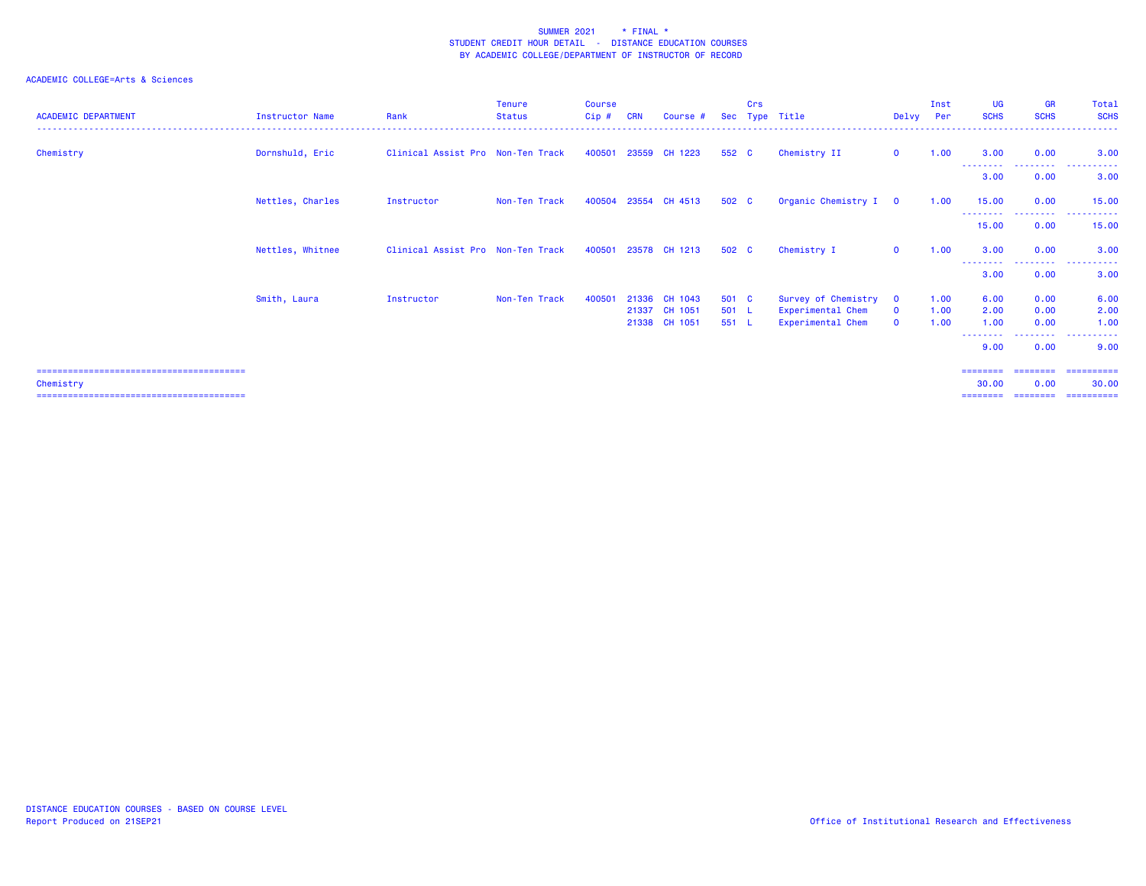| <b>ACADEMIC DEPARTMENT</b> | <b>Instructor Name</b> | Rank                              | Tenure<br><b>Status</b> | <b>Course</b><br>$Cip$ # | <b>CRN</b> | Course #                       | Sec            | Crs | Type Title                             | Delvy Per                    | Inst         | <b>UG</b><br><b>SCHS</b>         | <b>GR</b><br><b>SCHS</b>         | Total<br><b>SCHS</b><br>------   |
|----------------------------|------------------------|-----------------------------------|-------------------------|--------------------------|------------|--------------------------------|----------------|-----|----------------------------------------|------------------------------|--------------|----------------------------------|----------------------------------|----------------------------------|
| Chemistry                  | Dornshuld, Eric        | Clinical Assist Pro Non-Ten Track |                         | 400501                   |            | 23559 CH 1223                  | 552 C          |     | Chemistry II                           | $\mathbf{O}$                 | 1.00         | 3.00<br>- - - - - - - - <b>-</b> | 0.00<br>.                        | 3.00<br>.                        |
|                            |                        |                                   |                         |                          |            |                                |                |     |                                        |                              |              | 3.00                             | 0.00                             | 3.00                             |
|                            | Nettles, Charles       | Instructor                        | Non-Ten Track           | 400504                   |            | 23554 CH 4513                  | 502 C          |     | Organic Chemistry I 0                  |                              | 1.00         | 15.00<br>.                       | 0.00<br>.                        | 15.00<br>. <u>.</u> .<br>$- - -$ |
|                            |                        |                                   |                         |                          |            |                                |                |     |                                        |                              |              | 15.00                            | 0.00                             | 15.00                            |
|                            | Nettles, Whitnee       | Clinical Assist Pro Non-Ten Track |                         | 400501                   |            | 23578 CH 1213                  | 502 C          |     | Chemistry I                            | $\mathbf{0}$                 | 1.00         | 3.00                             | 0.00<br><u>- - - - - - - - -</u> | 3.00                             |
|                            |                        |                                   |                         |                          |            |                                |                |     |                                        |                              |              | 3.00                             | 0.00                             | 3.00                             |
|                            | Smith, Laura           | Instructor                        | Non-Ten Track           | 400501                   |            | 21336 CH 1043                  | 501 C          |     | Survey of Chemistry                    | $\overline{\mathbf{0}}$      | 1.00         | 6.00                             | 0.00                             | 6.00                             |
|                            |                        |                                   |                         |                          |            | 21337 CH 1051<br>21338 CH 1051 | 501 L<br>551 L |     | Experimental Chem<br>Experimental Chem | $\mathbf{O}$<br>$\mathbf{O}$ | 1.00<br>1.00 | 2.00<br>1.00                     | 0.00<br>0.00                     | 2.00<br>1.00                     |
|                            |                        |                                   |                         |                          |            |                                |                |     |                                        |                              |              | --------                         | --------                         | .                                |
|                            |                        |                                   |                         |                          |            |                                |                |     |                                        |                              |              | 9.00                             | 0.00                             | 9.00                             |
|                            |                        |                                   |                         |                          |            |                                |                |     |                                        |                              |              | ========                         | ========                         | -----------                      |
| Chemistry                  |                        |                                   |                         |                          |            |                                |                |     |                                        |                              |              | 30.00<br>========                | 0.00<br>========                 | 30,00<br>-----------             |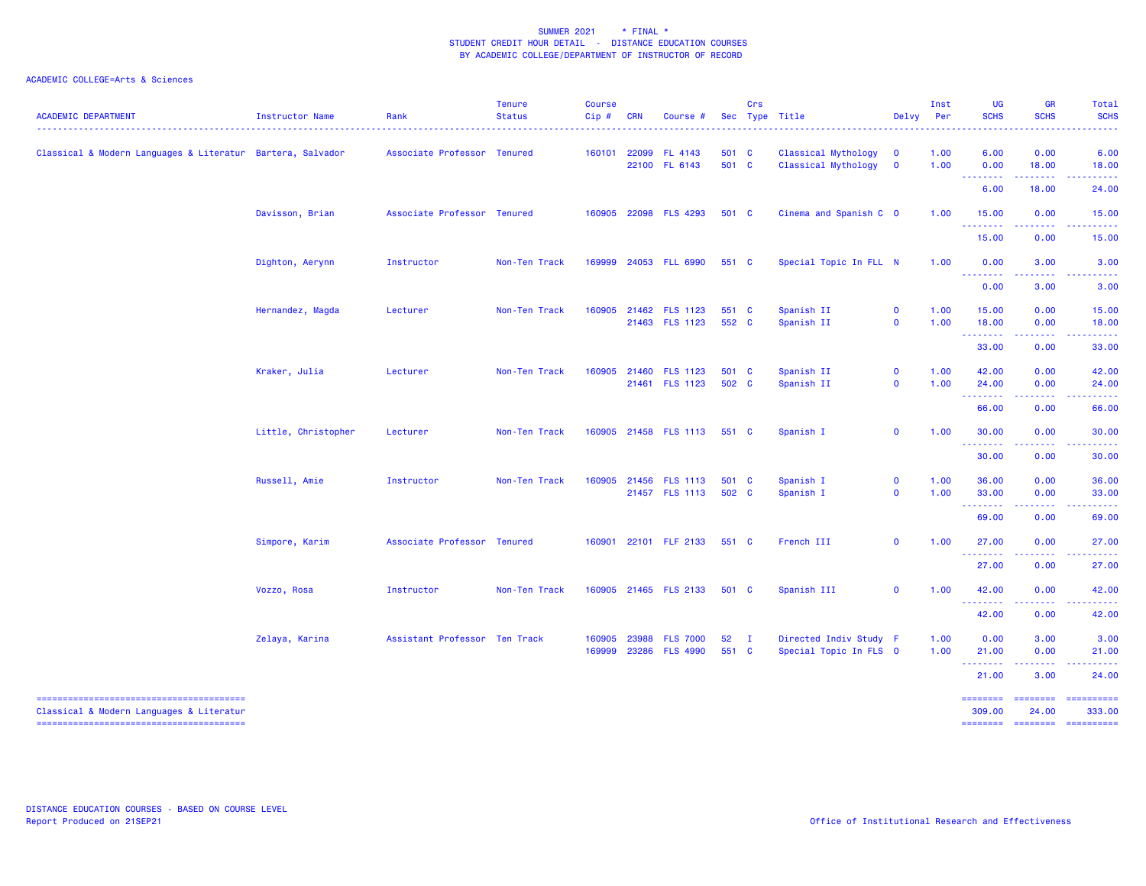| <b>ACADEMIC DEPARTMENT</b>                                 | Instructor Name     | Rank                          | <b>Tenure</b><br><b>Status</b> | <b>Course</b><br>Cip# | <b>CRN</b> | Course #                                |                | Crs          | Sec Type Title<br>.                              | Delvy                                              | Inst<br>Per  | <b>UG</b><br><b>SCHS</b>                                                                                                                                                                                                                                                                                                                                                                                                                                                                        | <b>GR</b><br><b>SCHS</b>                                                                                                                                     | <b>Total</b><br><b>SCHS</b>         |
|------------------------------------------------------------|---------------------|-------------------------------|--------------------------------|-----------------------|------------|-----------------------------------------|----------------|--------------|--------------------------------------------------|----------------------------------------------------|--------------|-------------------------------------------------------------------------------------------------------------------------------------------------------------------------------------------------------------------------------------------------------------------------------------------------------------------------------------------------------------------------------------------------------------------------------------------------------------------------------------------------|--------------------------------------------------------------------------------------------------------------------------------------------------------------|-------------------------------------|
| Classical & Modern Languages & Literatur Bartera, Salvador |                     | Associate Professor Tenured   |                                |                       |            | 160101 22099 FL 4143<br>22100 FL 6143   | 501 C<br>501 C |              | Classical Mythology<br>Classical Mythology       | $\overline{\mathbf{0}}$<br>$\overline{\mathbf{0}}$ | 1.00<br>1.00 | 6.00<br>0.00                                                                                                                                                                                                                                                                                                                                                                                                                                                                                    | 0.00<br>18.00                                                                                                                                                | 6.00<br>18.00                       |
|                                                            |                     |                               |                                |                       |            |                                         |                |              |                                                  |                                                    |              | <b></b><br>6.00                                                                                                                                                                                                                                                                                                                                                                                                                                                                                 | 18.00                                                                                                                                                        | 24.00                               |
|                                                            | Davisson, Brian     | Associate Professor Tenured   |                                |                       |            | 160905 22098 FLS 4293                   | 501 C          |              | Cinema and Spanish C 0                           |                                                    | 1.00         | 15.00<br>.                                                                                                                                                                                                                                                                                                                                                                                                                                                                                      | 0.00                                                                                                                                                         | 15.00                               |
|                                                            |                     |                               |                                |                       |            |                                         |                |              |                                                  |                                                    |              | 15.00                                                                                                                                                                                                                                                                                                                                                                                                                                                                                           | 0.00                                                                                                                                                         | 15.00                               |
|                                                            | Dighton, Aerynn     | Instructor                    | Non-Ten Track                  |                       |            | 169999 24053 FLL 6990                   | 551 C          |              | Special Topic In FLL N                           |                                                    | 1.00         | 0.00<br>.                                                                                                                                                                                                                                                                                                                                                                                                                                                                                       | 3.00<br>.                                                                                                                                                    | 3.00                                |
|                                                            |                     |                               |                                |                       |            |                                         |                |              |                                                  |                                                    |              | 0.00                                                                                                                                                                                                                                                                                                                                                                                                                                                                                            | 3.00                                                                                                                                                         | 3.00                                |
|                                                            | Hernandez, Magda    | Lecturer                      | Non-Ten Track                  |                       |            | 160905 21462 FLS 1123<br>21463 FLS 1123 | 551 C<br>552 C |              | Spanish II<br>Spanish II                         | $\mathbf 0$<br>$\mathbf{0}$                        | 1.00<br>1.00 | 15.00<br>18.00                                                                                                                                                                                                                                                                                                                                                                                                                                                                                  | 0.00<br>0.00                                                                                                                                                 | 15.00<br>18.00                      |
|                                                            |                     |                               |                                |                       |            |                                         |                |              |                                                  |                                                    |              | $\begin{array}{cccccccccccccc} \multicolumn{2}{c}{} & \multicolumn{2}{c}{} & \multicolumn{2}{c}{} & \multicolumn{2}{c}{} & \multicolumn{2}{c}{} & \multicolumn{2}{c}{} & \multicolumn{2}{c}{} & \multicolumn{2}{c}{} & \multicolumn{2}{c}{} & \multicolumn{2}{c}{} & \multicolumn{2}{c}{} & \multicolumn{2}{c}{} & \multicolumn{2}{c}{} & \multicolumn{2}{c}{} & \multicolumn{2}{c}{} & \multicolumn{2}{c}{} & \multicolumn{2}{c}{} & \multicolumn{2}{c}{} & \multicolumn{2}{c}{} & \$<br>33.00 | $\frac{1}{2} \left( \frac{1}{2} \right) \left( \frac{1}{2} \right) \left( \frac{1}{2} \right) \left( \frac{1}{2} \right) \left( \frac{1}{2} \right)$<br>0.00 | .<br>33.00                          |
|                                                            | Kraker, Julia       | Lecturer                      | Non-Ten Track                  | 160905                |            | 21460 FLS 1123<br>21461 FLS 1123        | 501 C<br>502 C |              | Spanish II<br>Spanish II                         | $\mathbf 0$<br>$\mathbf 0$                         | 1.00<br>1.00 | 42.00<br>24.00<br><b><i><u><u> - - - - - - -</u></u></i></b>                                                                                                                                                                                                                                                                                                                                                                                                                                    | 0.00<br>0.00                                                                                                                                                 | 42.00<br>24.00                      |
|                                                            |                     |                               |                                |                       |            |                                         |                |              |                                                  |                                                    |              | 66.00                                                                                                                                                                                                                                                                                                                                                                                                                                                                                           | 0.00                                                                                                                                                         | 66.00                               |
|                                                            | Little, Christopher | Lecturer                      | Non-Ten Track                  |                       |            | 160905 21458 FLS 1113 551 C             |                |              | Spanish I                                        | $\mathbf 0$                                        | 1.00         | 30.00<br><u>.</u>                                                                                                                                                                                                                                                                                                                                                                                                                                                                               | 0.00<br>المتمالين                                                                                                                                            | 30.00                               |
|                                                            |                     |                               |                                |                       |            |                                         |                |              |                                                  |                                                    |              | 30.00                                                                                                                                                                                                                                                                                                                                                                                                                                                                                           | 0.00                                                                                                                                                         | 30.00                               |
|                                                            | Russell, Amie       | Instructor                    | Non-Ten Track                  |                       |            | 160905 21456 FLS 1113                   | 501 C          |              | Spanish I                                        | $\mathbf 0$                                        | 1.00         | 36.00                                                                                                                                                                                                                                                                                                                                                                                                                                                                                           | 0.00                                                                                                                                                         | 36.00                               |
|                                                            |                     |                               |                                |                       |            | 21457 FLS 1113                          | 502 C          |              | Spanish I                                        | $\mathbf{0}$                                       | 1.00         | 33.00<br><b></b>                                                                                                                                                                                                                                                                                                                                                                                                                                                                                | 0.00<br><u>.</u>                                                                                                                                             | 33.00<br>.                          |
|                                                            |                     |                               |                                |                       |            |                                         |                |              |                                                  |                                                    |              | 69.00                                                                                                                                                                                                                                                                                                                                                                                                                                                                                           | 0.00                                                                                                                                                         | 69.00                               |
|                                                            | Simpore, Karim      | Associate Professor Tenured   |                                |                       |            | 160901 22101 FLF 2133                   | 551 C          |              | French III                                       | $\mathbf{0}$                                       | 1.00         | 27.00<br>--------                                                                                                                                                                                                                                                                                                                                                                                                                                                                               | 0.00<br>$\frac{1}{2} \left( \frac{1}{2} \right) \left( \frac{1}{2} \right) \left( \frac{1}{2} \right) \left( \frac{1}{2} \right) \left( \frac{1}{2} \right)$ | 27.00<br>.                          |
|                                                            |                     |                               |                                |                       |            |                                         |                |              |                                                  |                                                    |              | 27.00                                                                                                                                                                                                                                                                                                                                                                                                                                                                                           | 0.00                                                                                                                                                         | 27.00                               |
|                                                            | Vozzo, Rosa         | Instructor                    | Non-Ten Track                  |                       |            | 160905 21465 FLS 2133                   | 501 C          |              | Spanish III                                      | $\mathbf 0$                                        | 1.00         | 42.00<br><b>.</b> .                                                                                                                                                                                                                                                                                                                                                                                                                                                                             | 0.00                                                                                                                                                         | 42.00                               |
|                                                            |                     |                               |                                |                       |            |                                         |                |              |                                                  |                                                    |              | 42.00                                                                                                                                                                                                                                                                                                                                                                                                                                                                                           | 0.00                                                                                                                                                         | 42.00                               |
|                                                            | Zelaya, Karina      | Assistant Professor Ten Track |                                | 160905<br>169999      | 23988      | <b>FLS 7000</b><br>23286 FLS 4990       | 52<br>551 C    | $\mathbf{I}$ | Directed Indiv Study F<br>Special Topic In FLS 0 |                                                    | 1.00<br>1.00 | 0.00<br>21.00                                                                                                                                                                                                                                                                                                                                                                                                                                                                                   | 3.00<br>0.00                                                                                                                                                 | 3.00<br>21.00                       |
|                                                            |                     |                               |                                |                       |            |                                         |                |              |                                                  |                                                    |              | .<br>21.00                                                                                                                                                                                                                                                                                                                                                                                                                                                                                      | 3.00                                                                                                                                                         | 24.00                               |
|                                                            |                     |                               |                                |                       |            |                                         |                |              |                                                  |                                                    |              | ========                                                                                                                                                                                                                                                                                                                                                                                                                                                                                        | ========                                                                                                                                                     | 12222222222                         |
| Classical & Modern Languages & Literatur                   |                     |                               |                                |                       |            |                                         |                |              |                                                  |                                                    |              | 309.00                                                                                                                                                                                                                                                                                                                                                                                                                                                                                          | 24.00                                                                                                                                                        | 333.00<br>-------- ------- -------- |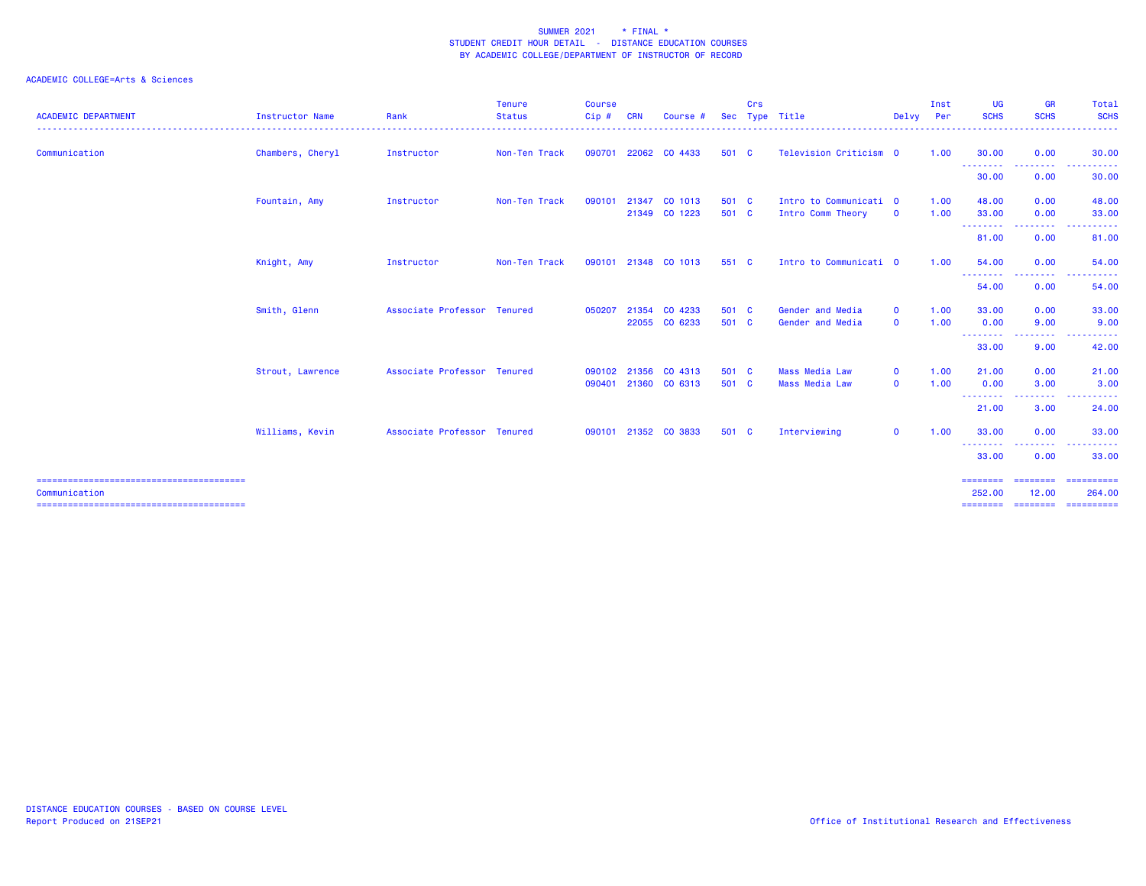## ACADEMIC COLLEGE=Arts & Sciences

| <b>ACADEMIC DEPARTMENT</b> | Instructor Name  | Rank                        | <b>Tenure</b><br><b>Status</b> | <b>Course</b><br>$Cip$ # | <b>CRN</b> | Course #             | <b>Sec</b> | Crs | Type Title             | Delvy Per    | Inst | <b>UG</b><br><b>SCHS</b>                             | <b>GR</b><br><b>SCHS</b>                             | Total<br><b>SCHS</b><br>.                 |
|----------------------------|------------------|-----------------------------|--------------------------------|--------------------------|------------|----------------------|------------|-----|------------------------|--------------|------|------------------------------------------------------|------------------------------------------------------|-------------------------------------------|
| Communication              | Chambers, Cheryl | Instructor                  | Non-Ten Track                  | 090701                   |            | 22062 CO 4433        | 501 C      |     | Television Criticism 0 |              | 1.00 | 30.00                                                | 0.00                                                 | 30.00                                     |
|                            |                  |                             |                                |                          |            |                      |            |     |                        |              |      | --------<br>30.00                                    | <b></b><br>0.00                                      | .<br>30.00                                |
|                            | Fountain, Amy    | Instructor                  | Non-Ten Track                  | 090101                   |            | 21347 CO 1013        | 501 C      |     | Intro to Communicati 0 |              | 1.00 | 48.00                                                | 0.00                                                 | 48.00                                     |
|                            |                  |                             |                                |                          |            | 21349 CO 1223        | 501 C      |     | Intro Comm Theory      | $\mathbf{o}$ | 1.00 | 33.00<br>---------                                   | 0.00<br><b><i><u><u> - - - - - - - -</u></u></i></b> | 33.00<br>.                                |
|                            |                  |                             |                                |                          |            |                      |            |     |                        |              |      | 81.00                                                | 0.00                                                 | 81.00                                     |
|                            | Knight, Amy      | Instructor                  | Non-Ten Track                  | 090101                   |            | 21348 CO 1013        | 551 C      |     | Intro to Communicati 0 |              | 1.00 | 54.00<br>--------                                    | 0.00<br>--------                                     | 54.00<br><b><i><u>A</u></i> A A A A A</b> |
|                            |                  |                             |                                |                          |            |                      |            |     |                        |              |      | 54.00                                                | 0.00                                                 | 54.00                                     |
|                            | Smith, Glenn     | Associate Professor Tenured |                                | 050207                   |            | 21354 CO 4233        | 501 C      |     | Gender and Media       | $\mathbf{o}$ | 1.00 | 33,00                                                | 0.00                                                 | 33.00                                     |
|                            |                  |                             |                                |                          |            | 22055 CO 6233        | 501 C      |     | Gender and Media       | $\mathbf 0$  | 1.00 | 0.00<br>- - - - - - - -                              | 9.00<br>.                                            | 9.00                                      |
|                            |                  |                             |                                |                          |            |                      |            |     |                        |              |      | 33.00                                                | 9.00                                                 | 42.00                                     |
|                            | Strout, Lawrence | Associate Professor Tenured |                                | 090102                   | 21356      | CO 4313              | 501 C      |     | <b>Mass Media Law</b>  | $\mathbf 0$  | 1.00 | 21.00                                                | 0.00                                                 | 21.00                                     |
|                            |                  |                             |                                | 090401                   |            | 21360 CO 6313        | 501 C      |     | <b>Mass Media Law</b>  | $\mathbf{o}$ | 1.00 | 0.00<br><b><i><u><u> - - - - - - - -</u></u></i></b> | 3.00<br>.                                            | 3.00                                      |
|                            |                  |                             |                                |                          |            |                      |            |     |                        |              |      | 21.00                                                | 3.00                                                 | .<br>24.00                                |
|                            | Williams, Kevin  | Associate Professor Tenured |                                |                          |            | 090101 21352 CO 3833 | 501 C      |     | Interviewing           | $\mathbf{O}$ | 1.00 | 33.00                                                | 0.00                                                 | 33.00                                     |
|                            |                  |                             |                                |                          |            |                      |            |     |                        |              |      | --------<br>33,00                                    | <u>.</u><br>0.00                                     | .<br>33,00                                |
| Communication              |                  |                             |                                |                          |            |                      |            |     |                        |              |      | ========<br>252.00                                   | ========<br>12.00                                    | ==========<br>264.00                      |

======================================== ======== ======== ==========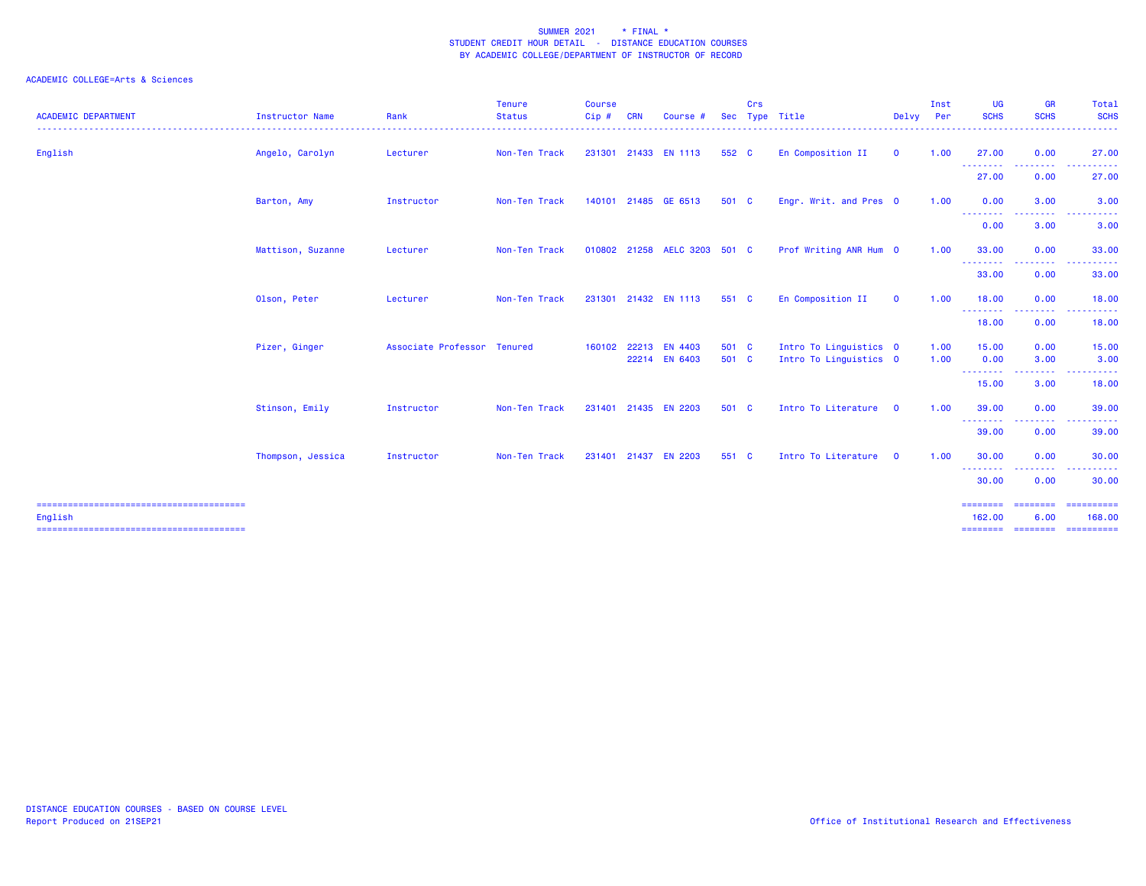| <b>ACADEMIC DEPARTMENT</b> | Instructor Name   | Rank                        | <b>Tenure</b><br><b>Status</b> | <b>Course</b><br>Cip # | <b>CRN</b> | Course                                | <b>Sec</b>     | Crs | Type Title                                       | Delvy Per    | Inst         | <b>UG</b><br><b>SCHS</b>                              | <b>GR</b><br><b>SCHS</b> | Total<br><b>SCHS</b>                                                                                                                                                                                                                                                                                                                                                                                                                                                                                                             |
|----------------------------|-------------------|-----------------------------|--------------------------------|------------------------|------------|---------------------------------------|----------------|-----|--------------------------------------------------|--------------|--------------|-------------------------------------------------------|--------------------------|----------------------------------------------------------------------------------------------------------------------------------------------------------------------------------------------------------------------------------------------------------------------------------------------------------------------------------------------------------------------------------------------------------------------------------------------------------------------------------------------------------------------------------|
| English                    | Angelo, Carolyn   | Lecturer                    | Non-Ten Track                  |                        |            | 231301 21433 EN 1113                  | 552 C          |     | En Composition II                                | $\mathbf{0}$ | 1.00         | 27.00                                                 | 0.00                     | 27.00                                                                                                                                                                                                                                                                                                                                                                                                                                                                                                                            |
|                            |                   |                             |                                |                        |            |                                       |                |     |                                                  |              |              | --------<br>27.00                                     | 0.00                     | 27.00                                                                                                                                                                                                                                                                                                                                                                                                                                                                                                                            |
|                            | Barton, Amy       | Instructor                  | Non-Ten Track                  |                        |            | 140101 21485 GE 6513                  | 501 C          |     | Engr. Writ. and Pres 0                           |              | 1.00         | 0.00<br>---------                                     | 3.00                     | 3.00                                                                                                                                                                                                                                                                                                                                                                                                                                                                                                                             |
|                            |                   |                             |                                |                        |            |                                       |                |     |                                                  |              |              | 0.00                                                  | 3.00                     | 3.00                                                                                                                                                                                                                                                                                                                                                                                                                                                                                                                             |
|                            | Mattison, Suzanne | Lecturer                    | Non-Ten Track                  |                        |            | 010802 21258 AELC 3203 501 C          |                |     | Prof Writing ANR Hum 0                           |              | 1.00         | 33.00<br><b><i><u><u> - - - - - - - -</u></u></i></b> | 0.00<br>---------        | 33.00<br>. <u>.</u> .                                                                                                                                                                                                                                                                                                                                                                                                                                                                                                            |
|                            |                   |                             |                                |                        |            |                                       |                |     |                                                  |              |              | 33.00                                                 | 0.00                     | 33.00                                                                                                                                                                                                                                                                                                                                                                                                                                                                                                                            |
|                            | Olson, Peter      | Lecturer                    | Non-Ten Track                  | 231301                 |            | 21432 EN 1113                         | 551 C          |     | En Composition II                                | $\mathbf{O}$ | 1.00         | 18.00<br>---------                                    | 0.00                     | 18.00                                                                                                                                                                                                                                                                                                                                                                                                                                                                                                                            |
|                            |                   |                             |                                |                        |            |                                       |                |     |                                                  |              |              | 18.00                                                 | 0.00                     | 18.00                                                                                                                                                                                                                                                                                                                                                                                                                                                                                                                            |
|                            | Pizer, Ginger     | Associate Professor Tenured |                                |                        |            | 160102 22213 EN 4403<br>22214 EN 6403 | 501 C<br>501 C |     | Intro To Linguistics 0<br>Intro To Linguistics 0 |              | 1.00<br>1.00 | 15.00<br>0.00                                         | 0.00<br>3.00             | 15.00<br>3.00                                                                                                                                                                                                                                                                                                                                                                                                                                                                                                                    |
|                            |                   |                             |                                |                        |            |                                       |                |     |                                                  |              |              | --------<br>15.00                                     | -----<br>3.00            | <u>.</u><br>18.00                                                                                                                                                                                                                                                                                                                                                                                                                                                                                                                |
|                            | Stinson, Emily    | Instructor                  | Non-Ten Track                  | 231401                 |            | 21435 EN 2203                         | 501 C          |     | Intro To Literature 0                            |              | 1.00         | 39.00<br><b><i><u><u> - - - - - - - -</u></u></i></b> | 0.00<br>.                | 39.00<br>.                                                                                                                                                                                                                                                                                                                                                                                                                                                                                                                       |
|                            |                   |                             |                                |                        |            |                                       |                |     |                                                  |              |              | 39.00                                                 | 0.00                     | 39.00                                                                                                                                                                                                                                                                                                                                                                                                                                                                                                                            |
|                            | Thompson, Jessica | Instructor                  | Non-Ten Track                  | 231401                 | 21437      | <b>EN 2203</b>                        | 551 C          |     | Intro To Literature 0                            |              | 1.00         | 30.00<br>--------                                     | 0.00                     | 30.00                                                                                                                                                                                                                                                                                                                                                                                                                                                                                                                            |
|                            |                   |                             |                                |                        |            |                                       |                |     |                                                  |              |              | 30.00                                                 | 0.00                     | 30.00                                                                                                                                                                                                                                                                                                                                                                                                                                                                                                                            |
| English                    |                   |                             |                                |                        |            |                                       |                |     |                                                  |              |              | ========<br>162,00                                    | ========<br>6.00         | $\begin{array}{cccccccccc} \multicolumn{2}{c}{} & \multicolumn{2}{c}{} & \multicolumn{2}{c}{} & \multicolumn{2}{c}{} & \multicolumn{2}{c}{} & \multicolumn{2}{c}{} & \multicolumn{2}{c}{} & \multicolumn{2}{c}{} & \multicolumn{2}{c}{} & \multicolumn{2}{c}{} & \multicolumn{2}{c}{} & \multicolumn{2}{c}{} & \multicolumn{2}{c}{} & \multicolumn{2}{c}{} & \multicolumn{2}{c}{} & \multicolumn{2}{c}{} & \multicolumn{2}{c}{} & \multicolumn{2}{c}{} & \multicolumn{2}{c}{} & \mult$<br>168,00<br>======== ======== ========== |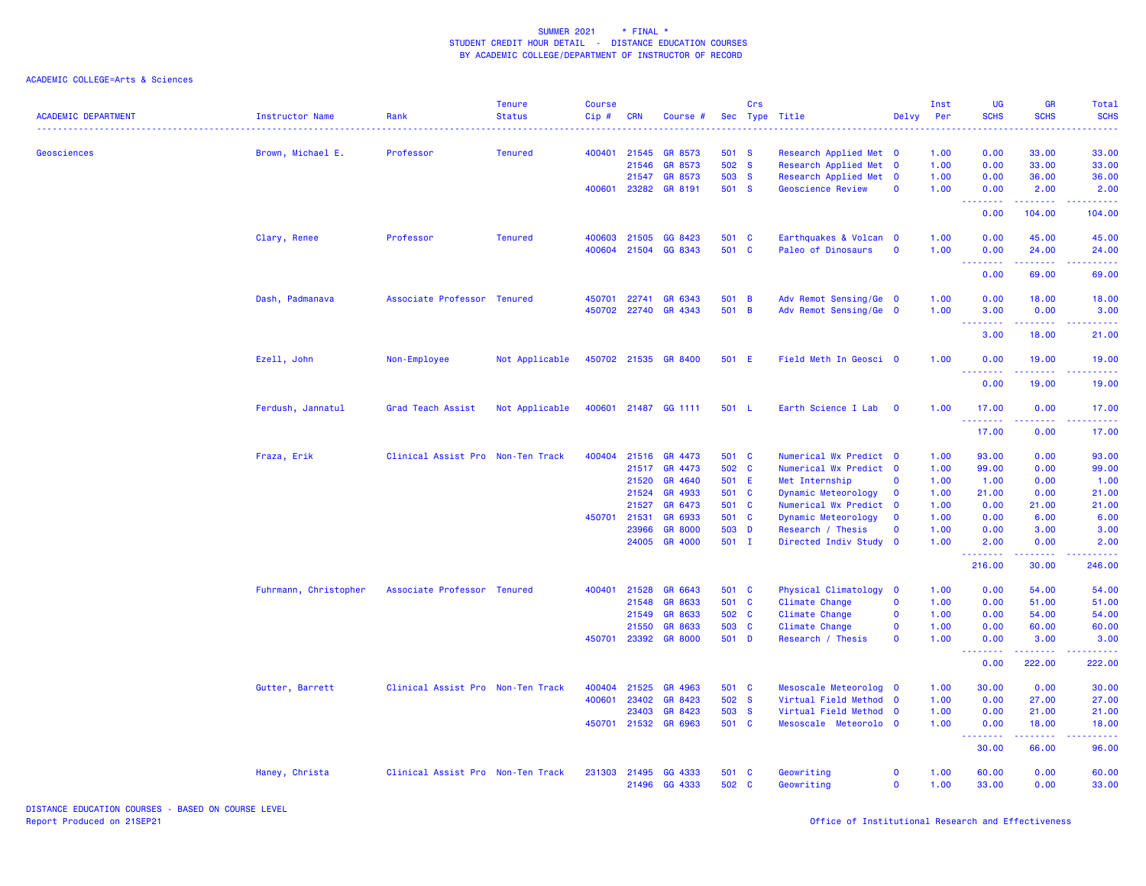## ACADEMIC COLLEGE=Arts & Sciences

| <b>ACADEMIC DEPARTMENT</b> | Instructor Name       | Rank                              | <b>Tenure</b><br><b>Status</b> | <b>Course</b><br>Cip# | <b>CRN</b> | Course #             | Sec   | Crs | Type Title               | Delvy                   | Inst<br>Per | UG<br><b>SCHS</b>                                  | <b>GR</b><br><b>SCHS</b>                                                                                                                                      | Total<br><b>SCHS</b>                           |
|----------------------------|-----------------------|-----------------------------------|--------------------------------|-----------------------|------------|----------------------|-------|-----|--------------------------|-------------------------|-------------|----------------------------------------------------|---------------------------------------------------------------------------------------------------------------------------------------------------------------|------------------------------------------------|
| Geosciences                | Brown, Michael E.     | Professor                         | <b>Tenured</b>                 | 400401                | 21545      | GR 8573              | 501 S |     | Research Applied Met 0   |                         | 1.00        | 0.00                                               | 33.00                                                                                                                                                         | 33.00                                          |
|                            |                       |                                   |                                |                       | 21546      | GR 8573              | 502 S |     | Research Applied Met 0   |                         | 1.00        | 0.00                                               | 33.00                                                                                                                                                         | 33.00                                          |
|                            |                       |                                   |                                |                       | 21547      | GR 8573              | 503 S |     | Research Applied Met 0   |                         | 1.00        | 0.00                                               | 36.00                                                                                                                                                         | 36.00                                          |
|                            |                       |                                   |                                | 400601                |            | 23282 GR 8191        | 501 S |     | <b>Geoscience Review</b> | $\mathbf 0$             | 1.00        | 0.00<br>--------                                   | 2.00                                                                                                                                                          | 2.00                                           |
|                            |                       |                                   |                                |                       |            |                      |       |     |                          |                         |             | 0.00                                               | 104.00                                                                                                                                                        | 104.00                                         |
|                            | Clary, Renee          | Professor                         | <b>Tenured</b>                 | 400603 21505          |            | GG 8423              | 501 C |     | Earthquakes & Volcan 0   |                         | 1.00        | 0.00                                               | 45.00                                                                                                                                                         | 45.00                                          |
|                            |                       |                                   |                                |                       |            | 400604 21504 GG 8343 | 501 C |     | Paleo of Dinosaurs       | $\mathbf 0$             | 1.00        | 0.00<br><b><i><u><u> - - - - - - -</u></u></i></b> | 24.00<br>$\begin{array}{cccccccccc} \bullet & \bullet & \bullet & \bullet & \bullet & \bullet & \bullet & \bullet \end{array}$                                | 24.00<br>.                                     |
|                            |                       |                                   |                                |                       |            |                      |       |     |                          |                         |             | 0.00                                               | 69.00                                                                                                                                                         | 69.00                                          |
|                            | Dash, Padmanava       | Associate Professor Tenured       |                                | 450701                | 22741      | GR 6343              | 501 B |     | Adv Remot Sensing/Ge 0   |                         | 1.00        | 0.00                                               | 18.00                                                                                                                                                         | 18.00                                          |
|                            |                       |                                   |                                |                       |            | 450702 22740 GR 4343 | 501 B |     | Adv Remot Sensing/Ge 0   |                         | 1.00        | 3.00<br><u> - - - - - - - -</u>                    | 0.00                                                                                                                                                          | 3.00                                           |
|                            |                       |                                   |                                |                       |            |                      |       |     |                          |                         |             | 3.00                                               | 18.00                                                                                                                                                         | 21.00                                          |
|                            | Ezell, John           | Non-Employee                      | Not Applicable                 |                       |            | 450702 21535 GR 8400 | 501 E |     | Field Meth In Geosci 0   |                         | 1.00        | 0.00<br><u>.</u>                                   | 19.00<br>$\frac{1}{2} \left( \frac{1}{2} \right) \left( \frac{1}{2} \right) \left( \frac{1}{2} \right) \left( \frac{1}{2} \right) \left( \frac{1}{2} \right)$ | 19.00<br>.                                     |
|                            |                       |                                   |                                |                       |            |                      |       |     |                          |                         |             | 0.00                                               | 19.00                                                                                                                                                         | 19.00                                          |
|                            | Ferdush, Jannatul     | Grad Teach Assist                 | Not Applicable                 |                       |            | 400601 21487 GG 1111 | 501 L |     | Earth Science I Lab      | $\overline{\mathbf{0}}$ | 1.00        | 17.00<br>.                                         | 0.00<br>.                                                                                                                                                     | 17.00<br>.                                     |
|                            |                       |                                   |                                |                       |            |                      |       |     |                          |                         |             | 17.00                                              | 0.00                                                                                                                                                          | 17.00                                          |
|                            | Fraza, Erik           | Clinical Assist Pro Non-Ten Track |                                | 400404                | 21516      | GR 4473              | 501 C |     | Numerical Wx Predict 0   |                         | 1.00        | 93.00                                              | 0.00                                                                                                                                                          | 93.00                                          |
|                            |                       |                                   |                                |                       | 21517      | GR 4473              | 502 C |     | Numerical Wx Predict 0   |                         | 1.00        | 99.00                                              | 0.00                                                                                                                                                          | 99.00                                          |
|                            |                       |                                   |                                |                       | 21520      | GR 4640              | 501 E |     | Met Internship           | $\mathbf 0$             | 1.00        | 1.00                                               | 0.00                                                                                                                                                          | 1.00                                           |
|                            |                       |                                   |                                |                       | 21524      | GR 4933              | 501 C |     | Dynamic Meteorology      | $\mathbf 0$             | 1.00        | 21.00                                              | 0.00                                                                                                                                                          | 21.00                                          |
|                            |                       |                                   |                                |                       | 21527      | GR 6473              | 501 C |     | Numerical Wx Predict     | $\overline{\mathbf{0}}$ | 1.00        | 0.00                                               | 21.00                                                                                                                                                         | 21.00                                          |
|                            |                       |                                   |                                | 450701 21531          |            | GR 6933              | 501 C |     | Dynamic Meteorology      | $\mathbf 0$             | 1.00        | 0.00                                               | 6.00                                                                                                                                                          | 6.00                                           |
|                            |                       |                                   |                                |                       | 23966      | <b>GR 8000</b>       | 503 D |     | Research / Thesis        | $\mathbf 0$             | 1.00        | 0.00                                               | 3.00                                                                                                                                                          | 3.00                                           |
|                            |                       |                                   |                                |                       | 24005      | GR 4000              | 501 I |     | Directed Indiv Study 0   |                         | 1.00        | 2.00<br>.                                          | 0.00<br>.                                                                                                                                                     | 2.00<br>.                                      |
|                            |                       |                                   |                                |                       |            |                      |       |     |                          |                         |             | 216.00                                             | 30.00                                                                                                                                                         | 246.00                                         |
|                            | Fuhrmann, Christopher | Associate Professor Tenured       |                                | 400401                | 21528      | GR 6643              | 501 C |     | Physical Climatology     | $\overline{\mathbf{0}}$ | 1.00        | 0.00                                               | 54.00                                                                                                                                                         | 54.00                                          |
|                            |                       |                                   |                                |                       | 21548      | GR 8633              | 501 C |     | Climate Change           | $\mathbf 0$             | 1.00        | 0.00                                               | 51.00                                                                                                                                                         | 51.00                                          |
|                            |                       |                                   |                                |                       | 21549      | GR 8633              | 502 C |     | Climate Change           | $\mathbf{0}$            | 1.00        | 0.00                                               | 54.00                                                                                                                                                         | 54.00                                          |
|                            |                       |                                   |                                |                       | 21550      | GR 8633              | 503 C |     | Climate Change           | $\mathbf 0$             | 1.00        | 0.00                                               | 60.00                                                                                                                                                         | 60.00                                          |
|                            |                       |                                   |                                | 450701                |            | 23392 GR 8000        | 501 D |     | Research / Thesis        | $\Omega$                | 1.00        | 0.00<br>.                                          | 3.00<br>.                                                                                                                                                     | 3.00<br><b><i><u><u> - - - - -</u></u></i></b> |
|                            |                       |                                   |                                |                       |            |                      |       |     |                          |                         |             | 0.00                                               | 222.00                                                                                                                                                        | 222.00                                         |
|                            | Gutter, Barrett       | Clinical Assist Pro Non-Ten Track |                                | 400404                | 21525      | GR 4963              | 501 C |     | Mesoscale Meteorolog 0   |                         | 1.00        | 30.00                                              | 0.00                                                                                                                                                          | 30.00                                          |
|                            |                       |                                   |                                | 400601                | 23402      | GR 8423              | 502 S |     | Virtual Field Method 0   |                         | 1.00        | 0.00                                               | 27.00                                                                                                                                                         | 27.00                                          |
|                            |                       |                                   |                                |                       | 23403      | GR 8423              | 503 S |     | Virtual Field Method 0   |                         | 1.00        | 0.00                                               | 21.00                                                                                                                                                         | 21.00                                          |
|                            |                       |                                   |                                |                       |            | 450701 21532 GR 6963 | 501 C |     | Mesoscale Meteorolo 0    |                         | 1.00        | 0.00<br>.                                          | 18.00<br>$\frac{1}{2} \left( \frac{1}{2} \right) \left( \frac{1}{2} \right) \left( \frac{1}{2} \right) \left( \frac{1}{2} \right) \left( \frac{1}{2} \right)$ | 18.00                                          |
|                            |                       |                                   |                                |                       |            |                      |       |     |                          |                         |             | 30.00                                              | 66.00                                                                                                                                                         | 96.00                                          |
|                            | Haney, Christa        | Clinical Assist Pro Non-Ten Track |                                | 231303 21495          |            | GG 4333              | 501 C |     | Geowriting               | $\mathbf 0$             | 1.00        | 60.00                                              | 0.00                                                                                                                                                          | 60.00                                          |
|                            |                       |                                   |                                |                       | 21496      | GG 4333              | 502 C |     | Geowriting               | $\mathbf 0$             | 1.00        | 33.00                                              | 0.00                                                                                                                                                          | 33.00                                          |

DISTANCE EDUCATION COURSES - BASED ON COURSE LEVEL<br>Report Produced on 21SEP21

Office of Institutional Research and Effectiveness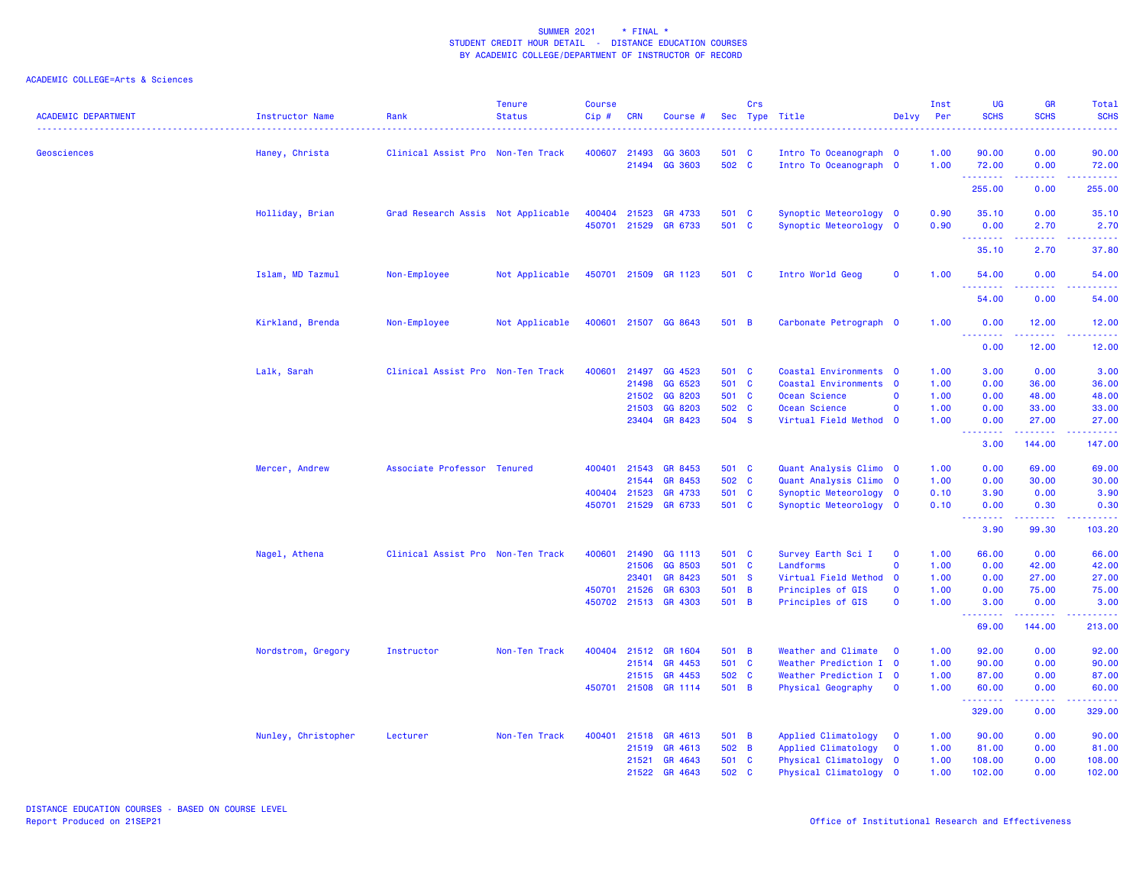| <b>ACADEMIC DEPARTMENT</b> | Instructor Name     | Rank                               | <b>Tenure</b><br><b>Status</b> | <b>Course</b><br>Cip# | <b>CRN</b>   | Course #             |       | Crs | Sec Type Title         | Delvy        | Inst<br>Per | UG<br><b>SCHS</b> | GR<br><b>SCHS</b>                     | Total<br><b>SCHS</b> |
|----------------------------|---------------------|------------------------------------|--------------------------------|-----------------------|--------------|----------------------|-------|-----|------------------------|--------------|-------------|-------------------|---------------------------------------|----------------------|
| Geosciences                | Haney, Christa      | Clinical Assist Pro Non-Ten Track  |                                | 400607                | 21493        | GG 3603              | 501 C |     | Intro To Oceanograph 0 |              | 1.00        | 90.00             | 0.00                                  | 90.00                |
|                            |                     |                                    |                                |                       |              | 21494 GG 3603        | 502 C |     | Intro To Oceanograph 0 |              | 1.00        | 72.00<br><b></b>  | 0.00<br>.                             | 72.00<br>.           |
|                            |                     |                                    |                                |                       |              |                      |       |     |                        |              |             | 255.00            | 0.00                                  | 255.00               |
|                            | Holliday, Brian     | Grad Research Assis Not Applicable |                                | 400404                | 21523        | GR 4733              | 501 C |     | Synoptic Meteorology 0 |              | 0.90        | 35.10             | 0.00                                  | 35.10                |
|                            |                     |                                    |                                | 450701                |              | 21529 GR 6733        | 501 C |     | Synoptic Meteorology 0 |              | 0.90        | 0.00<br>.         | 2.70                                  | 2.70                 |
|                            |                     |                                    |                                |                       |              |                      |       |     |                        |              |             | 35.10             | 2.70                                  | 37.80                |
|                            | Islam, MD Tazmul    | Non-Employee                       | Not Applicable                 |                       |              | 450701 21509 GR 1123 | 501 C |     | Intro World Geog       | $\mathbf 0$  | 1.00        | 54.00<br><u>.</u> | 0.00<br>.                             | 54.00<br>. <u>.</u>  |
|                            |                     |                                    |                                |                       |              |                      |       |     |                        |              |             | 54.00             | 0.00                                  | 54.00                |
|                            | Kirkland, Brenda    | Non-Employee                       | Not Applicable                 | 400601                |              | 21507 GG 8643        | 501 B |     | Carbonate Petrograph 0 |              | 1.00        | 0.00<br>.         | 12.00<br>$- - - -$                    | 12.00                |
|                            |                     |                                    |                                |                       |              |                      |       |     |                        |              |             | 0.00              | 12.00                                 | 12.00                |
|                            | Lalk, Sarah         | Clinical Assist Pro Non-Ten Track  |                                | 400601                | 21497        | GG 4523              | 501 C |     | Coastal Environments 0 |              | 1.00        | 3.00              | 0.00                                  | 3.00                 |
|                            |                     |                                    |                                |                       | 21498        | GG 6523              | 501 C |     | Coastal Environments 0 |              | 1.00        | 0.00              | 36.00                                 | 36.00                |
|                            |                     |                                    |                                |                       | 21502        | GG 8203              | 501 C |     | Ocean Science          | $\mathbf 0$  | 1.00        | 0.00              | 48.00                                 | 48.00                |
|                            |                     |                                    |                                |                       | 21503        | GG 8203              | 502 C |     | Ocean Science          | $\Omega$     | 1.00        | 0.00              | 33.00                                 | 33.00                |
|                            |                     |                                    |                                |                       |              | 23404 GR 8423        | 504 S |     | Virtual Field Method 0 |              | 1.00        | 0.00<br>.         | 27.00<br>.                            | 27.00<br><u>.</u>    |
|                            |                     |                                    |                                |                       |              |                      |       |     |                        |              |             | 3.00              | 144.00                                | 147.00               |
|                            | Mercer, Andrew      | Associate Professor Tenured        |                                | 400401                | 21543        | GR 8453              | 501 C |     | Quant Analysis Climo 0 |              | 1.00        | 0.00              | 69.00                                 | 69.00                |
|                            |                     |                                    |                                |                       | 21544        | GR 8453              | 502 C |     | Quant Analysis Climo 0 |              | 1.00        | 0.00              | 30.00                                 | 30.00                |
|                            |                     |                                    |                                |                       | 400404 21523 | GR 4733              | 501 C |     | Synoptic Meteorology 0 |              | 0.10        | 3.90              | 0.00                                  | 3.90                 |
|                            |                     |                                    |                                |                       | 450701 21529 | GR 6733              | 501 C |     | Synoptic Meteorology 0 |              | 0.10        | 0.00<br>.         | 0.30<br>$- - - - -$                   | 0.30<br>.            |
|                            |                     |                                    |                                |                       |              |                      |       |     |                        |              |             | 3.90              | 99.30                                 | 103.20               |
|                            | Nagel, Athena       | Clinical Assist Pro Non-Ten Track  |                                | 400601                | 21490        | GG 1113              | 501 C |     | Survey Earth Sci I     | $\mathbf 0$  | 1.00        | 66.00             | 0.00                                  | 66.00                |
|                            |                     |                                    |                                |                       | 21506        | GG 8503              | 501 C |     | Landforms              | $\Omega$     | 1.00        | 0.00              | 42.00                                 | 42.00                |
|                            |                     |                                    |                                |                       | 23401        | GR 8423              | 501 S |     | Virtual Field Method 0 |              | 1.00        | 0.00              | 27.00                                 | 27.00                |
|                            |                     |                                    |                                | 450701                | 21526        | GR 6303              | 501 B |     | Principles of GIS      | $\mathbf 0$  | 1.00        | 0.00              | 75.00                                 | 75.00                |
|                            |                     |                                    |                                |                       |              | 450702 21513 GR 4303 | 501 B |     | Principles of GIS      | $\mathbf 0$  | 1.00        | 3.00<br>.         | 0.00<br>.                             | 3.00                 |
|                            |                     |                                    |                                |                       |              |                      |       |     |                        |              |             | 69.00             | 144.00                                | 213.00               |
|                            | Nordstrom, Gregory  | Instructor                         | Non-Ten Track                  | 400404                | 21512        | GR 1604              | 501 B |     | Weather and Climate    | $\mathbf 0$  | 1.00        | 92.00             | 0.00                                  | 92.00                |
|                            |                     |                                    |                                |                       |              | 21514 GR 4453        | 501 C |     | Weather Prediction I 0 |              | 1.00        | 90.00             | 0.00                                  | 90.00                |
|                            |                     |                                    |                                |                       |              | 21515 GR 4453        | 502 C |     | Weather Prediction I 0 |              | 1.00        | 87.00             | 0.00                                  | 87.00                |
|                            |                     |                                    |                                |                       | 450701 21508 | GR 1114              | 501 B |     | Physical Geography     | $\mathbf 0$  | 1.00        | 60.00<br><u>.</u> | 0.00<br><b><i><u><u>.</u></u></i></b> | 60.00<br><u>.</u>    |
|                            |                     |                                    |                                |                       |              |                      |       |     |                        |              |             | 329.00            | 0.00                                  | 329.00               |
|                            | Nunley, Christopher | Lecturer                           | Non-Ten Track                  | 400401                | 21518        | GR 4613              | 501 B |     | Applied Climatology    | $\mathbf{o}$ | 1.00        | 90.00             | 0.00                                  | 90.00                |
|                            |                     |                                    |                                |                       |              | 21519 GR 4613        | 502 B |     | Applied Climatology    | $\mathbf 0$  | 1.00        | 81.00             | 0.00                                  | 81.00                |
|                            |                     |                                    |                                |                       | 21521        | GR 4643              | 501 C |     | Physical Climatology 0 |              | 1.00        | 108.00            | 0.00                                  | 108.00               |
|                            |                     |                                    |                                |                       |              | 21522 GR 4643        | 502 C |     | Physical Climatology 0 |              | 1.00        | 102.00            | 0.00                                  | 102.00               |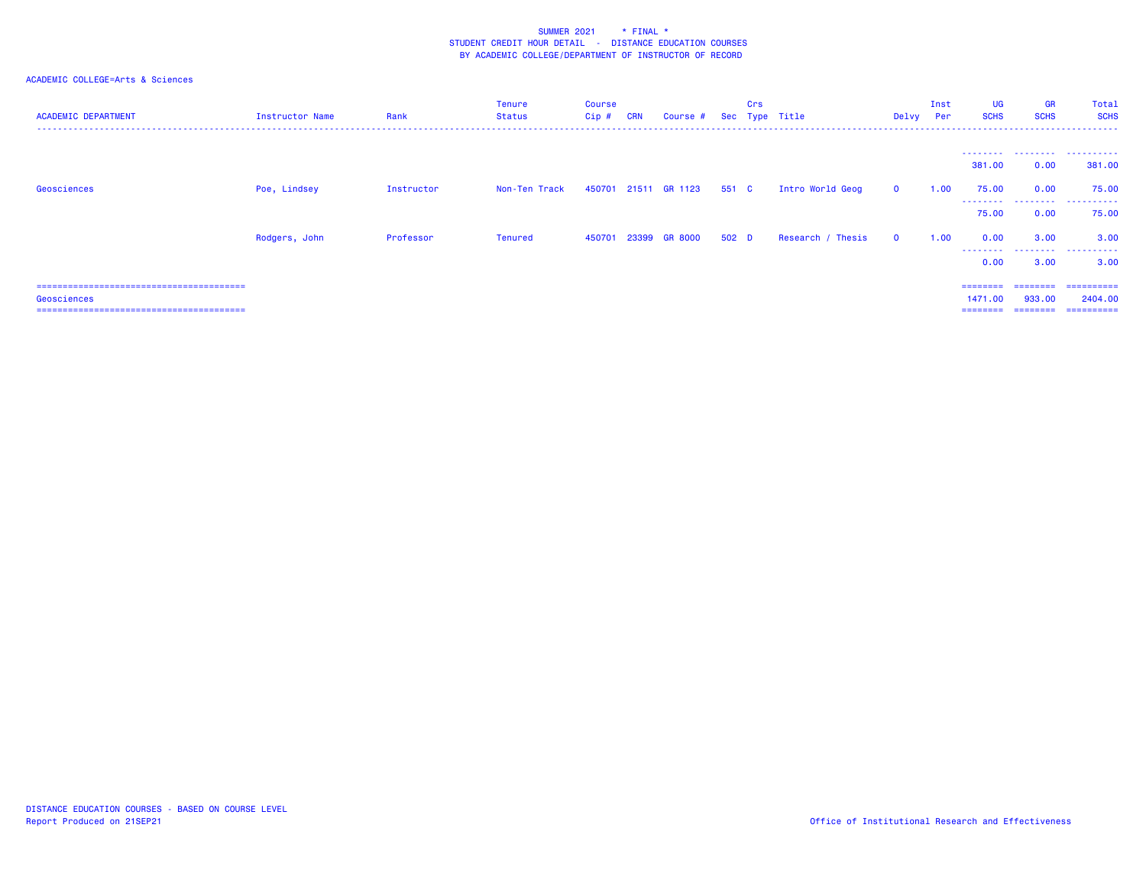| <b>ACADEMIC DEPARTMENT</b> | Instructor Name | Rank       | <b>Tenure</b><br>Status | <b>Course</b><br>Cip # | <b>CRN</b> | Course #             |       | Crs | Sec Type Title    | Delvy Per    | Inst | UG<br><b>SCHS</b>   | <b>GR</b><br><b>SCHS</b> | Total<br><b>SCHS</b>                   |
|----------------------------|-----------------|------------|-------------------------|------------------------|------------|----------------------|-------|-----|-------------------|--------------|------|---------------------|--------------------------|----------------------------------------|
|                            |                 |            |                         |                        |            |                      |       |     |                   |              |      | 381.00              | 0.00                     | --------  --------  --------<br>381,00 |
| Geosciences                | Poe, Lindsey    | Instructor | Non-Ten Track           |                        |            | 450701 21511 GR 1123 | 551 C |     | Intro World Geog  | $\mathbf{0}$ | 1.00 | 75.00               | 0.00                     | 75.00                                  |
|                            |                 |            |                         |                        |            |                      |       |     |                   |              |      | 75.00               | 0.00                     | --------  --------  --------<br>75.00  |
|                            | Rodgers, John   | Professor  | Tenured                 | 450701                 | 23399      | <b>GR 8000</b>       | 502 D |     | Research / Thesis | $\Omega$     | 1.00 | 0.00                | 3.00                     | 3.00                                   |
|                            |                 |            |                         |                        |            |                      |       |     |                   |              |      | .<br>0.00           | 3.00                     | <br>3.00                               |
|                            |                 |            |                         |                        |            |                      |       |     |                   |              |      |                     |                          | -----------                            |
| Geosciences                |                 |            |                         |                        |            |                      |       |     |                   |              |      | 1471.00<br>======== | 933,00                   | 2404.00<br>--------------------        |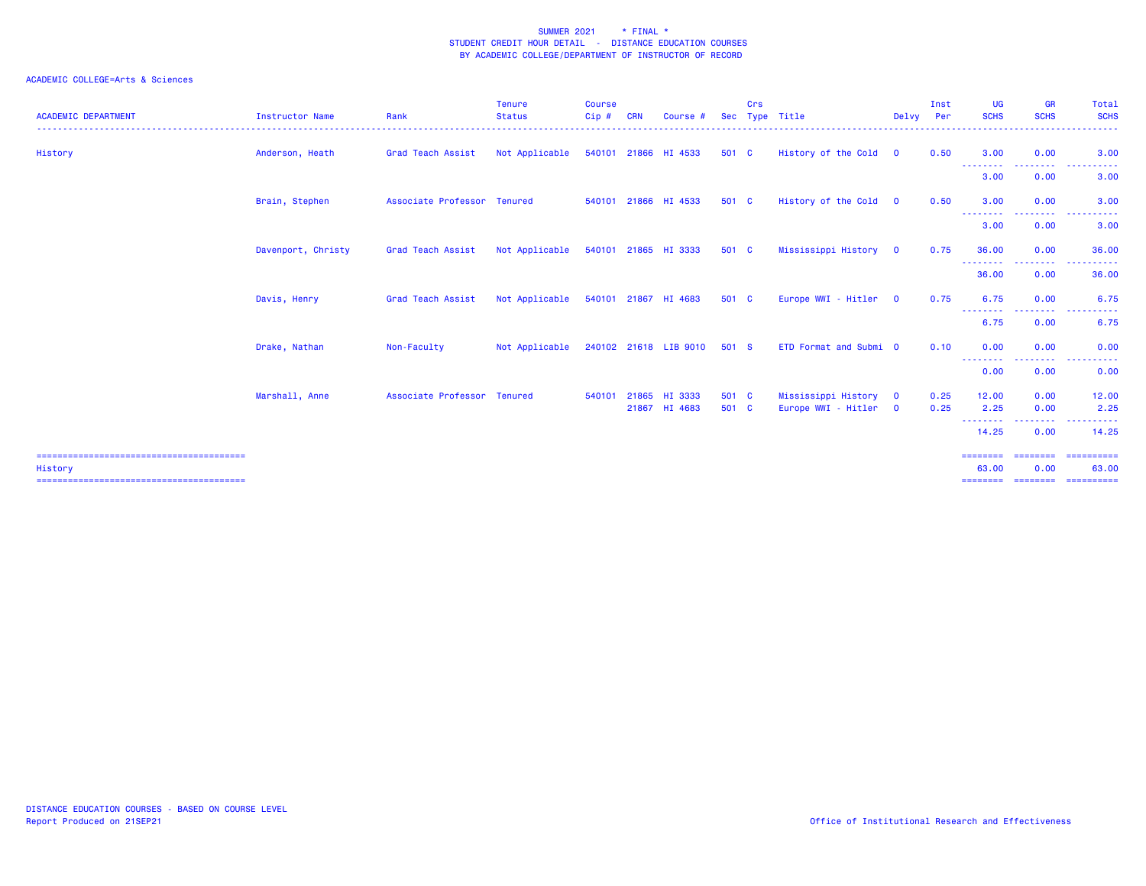| <b>ACADEMIC DEPARTMENT</b> | <b>Instructor Name</b> | Rank                        | <b>Tenure</b><br><b>Status</b><br>---------------- | <b>Course</b><br>Cip# | <b>CRN</b> | Course #                       |                | Crs | Sec Type Title                             | Delvy Per                    | Inst         | <b>UG</b><br><b>SCHS</b> | <b>GR</b><br><b>SCHS</b>                     | Total<br><b>SCHS</b><br>------  |
|----------------------------|------------------------|-----------------------------|----------------------------------------------------|-----------------------|------------|--------------------------------|----------------|-----|--------------------------------------------|------------------------------|--------------|--------------------------|----------------------------------------------|---------------------------------|
| History                    | Anderson, Heath        | Grad Teach Assist           | Not Applicable                                     |                       |            | 540101 21866 HI 4533           | 501 C          |     | History of the Cold 0                      |                              | 0.50         | 3.00<br>--------         | 0.00<br><b></b>                              | 3.00<br>.                       |
|                            |                        |                             |                                                    |                       |            |                                |                |     |                                            |                              |              | 3.00                     | 0.00                                         | 3.00                            |
|                            | Brain, Stephen         | Associate Professor Tenured |                                                    |                       |            | 540101 21866 HI 4533           | 501 C          |     | History of the Cold 0                      |                              | 0.50         | 3.00                     | 0.00                                         | 3.00                            |
|                            |                        |                             |                                                    |                       |            |                                |                |     |                                            |                              |              | --------<br>3.00         | المالم المالية ال<br>0.00                    | 3.00                            |
|                            | Davenport, Christy     | Grad Teach Assist           | Not Applicable                                     |                       |            | 540101 21865 HI 3333           | 501 C          |     | Mississippi History 0                      |                              | 0.75         | 36.00                    | 0.00                                         | 36.00                           |
|                            |                        |                             |                                                    |                       |            |                                |                |     |                                            |                              |              | --------<br>36.00        | <b><i><u><u>ALLERS A</u></u></i></b><br>0.00 | .<br>36.00                      |
|                            | Davis, Henry           | Grad Teach Assist           | Not Applicable                                     |                       |            | 540101 21867 HI 4683           | 501 C          |     | Europe WWI - Hitler                        | $\overline{\mathbf{0}}$      | 0.75         | 6.75                     | 0.00                                         | 6.75                            |
|                            |                        |                             |                                                    |                       |            |                                |                |     |                                            |                              |              | --------<br>6.75         | .<br>0.00                                    | .<br><u>- - - - - -</u><br>6.75 |
|                            | Drake, Nathan          | Non-Faculty                 | Not Applicable                                     |                       |            | 240102 21618 LIB 9010          | 501 S          |     | ETD Format and Submi 0                     |                              | 0.10         | 0.00                     | 0.00                                         | 0.00                            |
|                            |                        |                             |                                                    |                       |            |                                |                |     |                                            |                              |              | --------<br>0.00         | <u> - - - - - - - -</u><br>0.00              | . <u>.</u><br>0.00              |
|                            | Marshall, Anne         | Associate Professor Tenured |                                                    | 540101                |            | 21865 HI 3333<br>21867 HI 4683 | 501 C<br>501 C |     | Mississippi History<br>Europe WWI - Hitler | $\mathbf{0}$<br>$\mathbf{0}$ | 0.25<br>0.25 | 12.00<br>2.25            | 0.00<br>0.00                                 | 12.00<br>2.25                   |
|                            |                        |                             |                                                    |                       |            |                                |                |     |                                            |                              |              | .                        | - - - - -                                    | . <u>.</u> .<br>14.25           |
|                            |                        |                             |                                                    |                       |            |                                |                |     |                                            |                              |              | 14.25                    | 0.00                                         |                                 |
| History                    |                        |                             |                                                    |                       |            |                                |                |     |                                            |                              |              | ========<br>63.00        | ========<br>0.00                             | -==========<br>63.00            |
|                            |                        |                             |                                                    |                       |            |                                |                |     |                                            |                              |              |                          | ===============================              |                                 |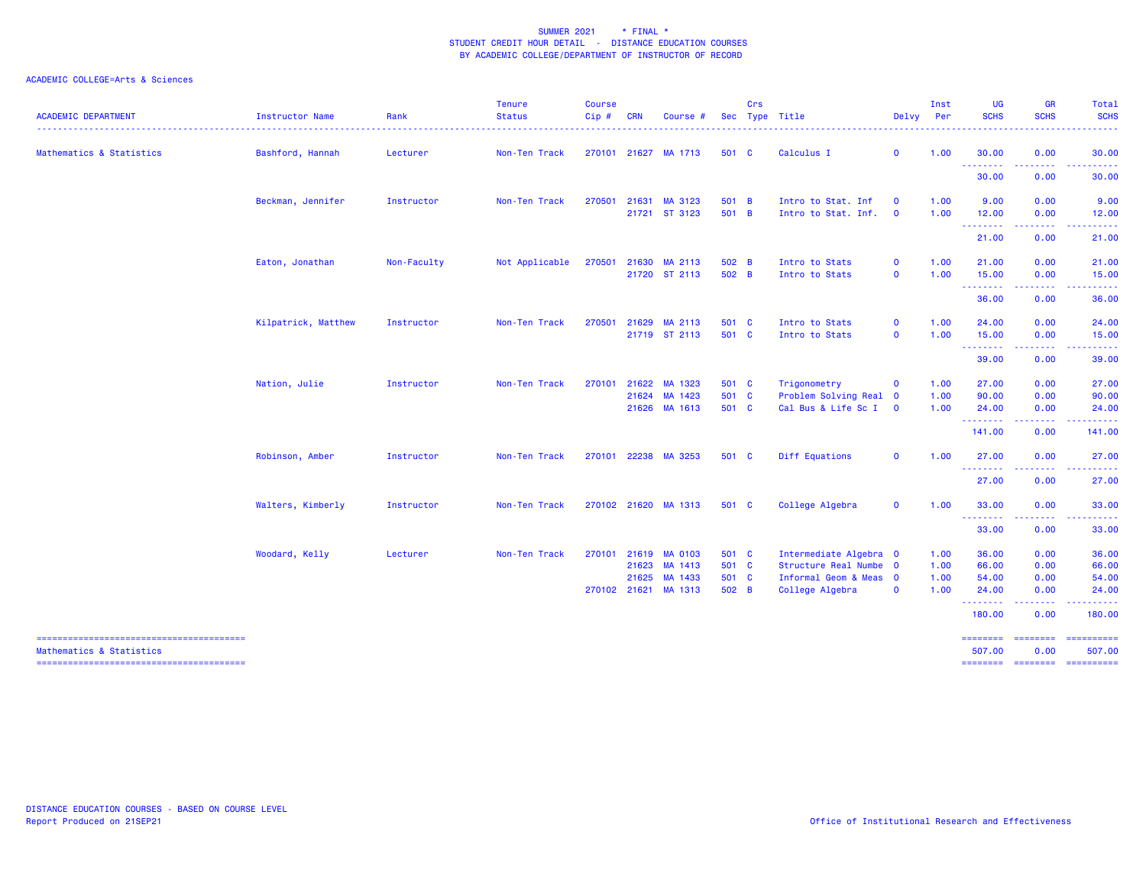| <b>ACADEMIC DEPARTMENT</b>          | Instructor Name     | Rank        | <b>Tenure</b><br><b>Status</b> | Course<br>Cip# | <b>CRN</b> | Course i                                        | Sec                     | Crs | Type Title                                                    | Delvy                      | Inst<br>Per          | <b>UG</b><br><b>SCHS</b>                            | <b>GR</b><br><b>SCHS</b> | Total<br><b>SCHS</b>    |
|-------------------------------------|---------------------|-------------|--------------------------------|----------------|------------|-------------------------------------------------|-------------------------|-----|---------------------------------------------------------------|----------------------------|----------------------|-----------------------------------------------------|--------------------------|-------------------------|
| Mathematics & Statistics            | Bashford, Hannah    | Lecturer    | Non-Ten Track                  |                |            | 270101 21627 MA 1713                            | 501 C                   |     | Calculus I                                                    | $\mathbf{0}$               | 1.00                 | 30.00                                               | 0.00<br>.                | 30.00<br>.              |
|                                     |                     |             |                                |                |            |                                                 |                         |     |                                                               |                            |                      | ---------<br>30.00                                  | 0.00                     | 30.00                   |
|                                     | Beckman, Jennifer   | Instructor  | Non-Ten Track                  | 270501         | 21631      | MA 3123<br>21721 ST 3123                        | 501 B<br>501 B          |     | Intro to Stat. Inf<br>Intro to Stat. Inf.                     | $\mathbf 0$<br>$\mathbf 0$ | 1.00<br>1.00         | 9.00<br>12.00                                       | 0.00<br>0.00             | 9.00<br>12.00           |
|                                     |                     |             |                                |                |            |                                                 |                         |     |                                                               |                            |                      | ---------<br>21.00                                  | .<br>0.00                | .<br>21.00              |
|                                     | Eaton, Jonathan     | Non-Faculty | Not Applicable                 | 270501         |            | 21630 MA 2113<br>21720 ST 2113                  | 502 B<br>502 B          |     | Intro to Stats<br>Intro to Stats                              | $\mathbf 0$<br>$\mathbf 0$ | 1.00<br>1.00         | 21.00<br>15.00                                      | 0.00<br>0.00             | 21.00<br>15.00          |
|                                     |                     |             |                                |                |            |                                                 |                         |     |                                                               |                            |                      | <b>.</b> .<br>36.00                                 | المامات ماما<br>0.00     | .<br>36.00              |
|                                     | Kilpatrick, Matthew | Instructor  | Non-Ten Track                  | 270501         |            | 21629 MA 2113<br>21719 ST 2113                  | 501 C<br>501 C          |     | Intro to Stats<br>Intro to Stats                              | $\mathbf 0$<br>$\mathbf 0$ | 1.00<br>1.00         | 24.00<br>15.00                                      | 0.00<br>0.00<br>-----    | 24.00<br>15.00<br>.     |
|                                     |                     |             |                                |                |            |                                                 |                         |     |                                                               |                            |                      | --------<br>39.00                                   | 0.00                     | 39.00                   |
|                                     | Nation, Julie       | Instructor  | Non-Ten Track                  | 270101         |            | 21622 MA 1323<br>21624 MA 1423<br>21626 MA 1613 | 501 C<br>501 C<br>501 C |     | Trigonometry<br>Problem Solving Real 0<br>Cal Bus & Life Sc I | $\mathbf 0$<br>$\mathbf 0$ | 1.00<br>1.00<br>1.00 | 27.00<br>90.00<br>24.00                             | 0.00<br>0.00<br>0.00     | 27.00<br>90.00<br>24.00 |
|                                     |                     |             |                                |                |            |                                                 |                         |     |                                                               |                            |                      | <u>.</u><br>141.00                                  | .<br>0.00                | 141.00                  |
|                                     | Robinson, Amber     | Instructor  | Non-Ten Track                  |                |            | 270101 22238 MA 3253                            | 501 C                   |     | Diff Equations                                                | $\mathbf 0$                | 1.00                 | 27.00<br>--------                                   | 0.00<br>.                | 27.00                   |
|                                     |                     |             |                                |                |            |                                                 |                         |     |                                                               |                            |                      | 27.00                                               | 0.00                     | 27.00                   |
|                                     | Walters, Kimberly   | Instructor  | Non-Ten Track                  |                |            | 270102 21620 MA 1313                            | 501 C                   |     | College Algebra                                               | $\mathbf 0$                | 1.00                 | 33.00<br><b><i><u><u> - - - - - - -</u></u></i></b> | 0.00<br>.                | 33.00<br>.              |
|                                     |                     |             |                                |                |            |                                                 |                         |     |                                                               |                            |                      | 33.00                                               | 0.00                     | 33.00                   |
|                                     | Woodard, Kelly      | Lecturer    | Non-Ten Track                  | 270101         |            | 21619 MA 0103                                   | 501 C                   |     | Intermediate Algebra 0                                        |                            | 1.00                 | 36.00                                               | 0.00                     | 36.00                   |
|                                     |                     |             |                                |                | 21623      | MA 1413                                         | 501 C                   |     | Structure Real Numbe 0                                        |                            | 1.00                 | 66.00                                               | 0.00                     | 66.00                   |
|                                     |                     |             |                                |                | 21625      | MA 1433<br>270102 21621 MA 1313                 | 501 C<br>502 B          |     | Informal Geom & Meas 0<br>College Algebra                     | $\mathbf 0$                | 1.00<br>1.00         | 54.00<br>24.00                                      | 0.00<br>0.00             | 54.00<br>24.00          |
|                                     |                     |             |                                |                |            |                                                 |                         |     |                                                               |                            |                      | <b>.</b> .<br>180.00                                | المحاميات<br>0.00        | .<br>180.00             |
| <b>Mathematics &amp; Statistics</b> |                     |             |                                |                |            |                                                 |                         |     |                                                               |                            |                      | ========<br>507.00                                  | ========<br>0.00         | ==========<br>507.00    |
|                                     |                     |             |                                |                |            |                                                 |                         |     |                                                               |                            |                      | <b>EDEDEDED</b>                                     |                          |                         |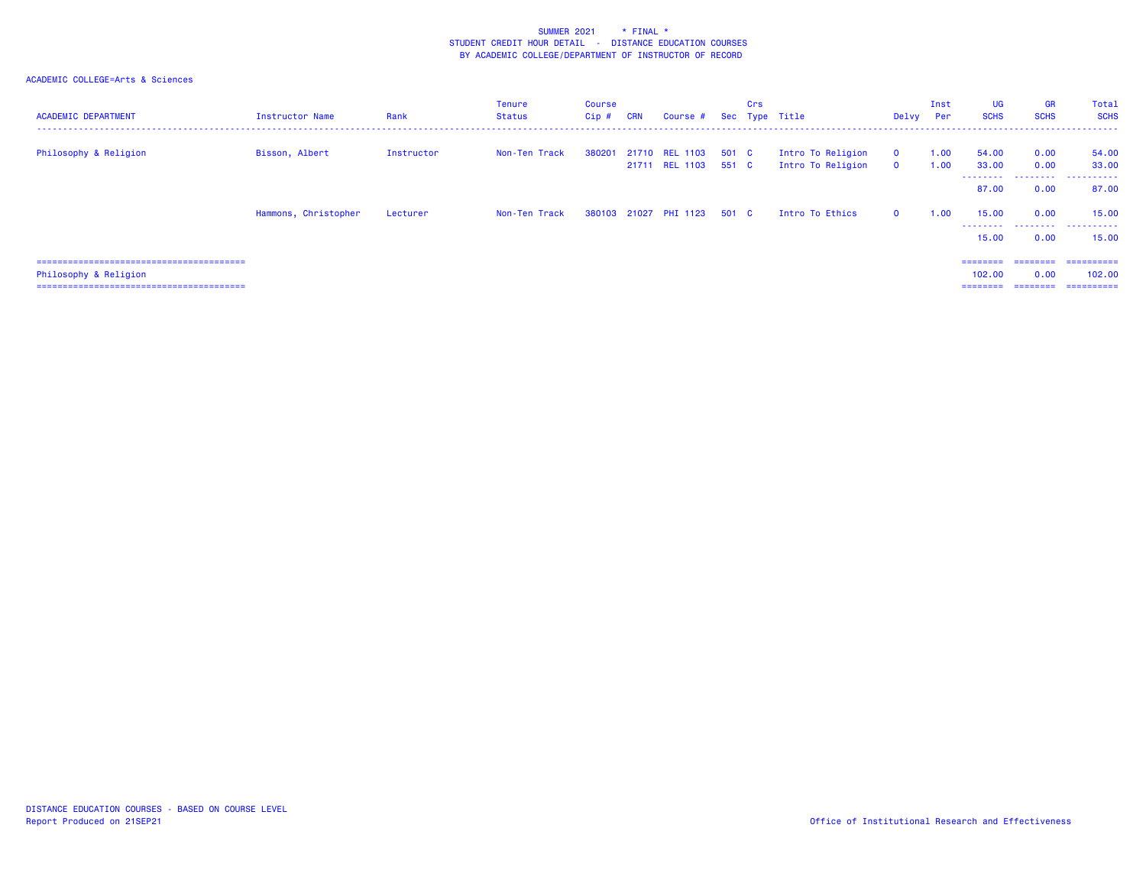| <b>ACADEMIC DEPARTMENT</b> | Instructor Name      | Rank       | Tenure<br>Status | <b>Course</b><br>Cip# | <b>CRN</b> | Course # Sec Type Title                |       | Crs |                                        | Delvy Per                   | Inst         | <b>UG</b><br><b>SCHS</b>   | <b>GR</b><br><b>SCHS</b> | Total<br><b>SCHS</b>             |
|----------------------------|----------------------|------------|------------------|-----------------------|------------|----------------------------------------|-------|-----|----------------------------------------|-----------------------------|--------------|----------------------------|--------------------------|----------------------------------|
| Philosophy & Religion      | Bisson, Albert       | Instructor | Non-Ten Track    | 380201                |            | 21710 REL 1103<br>21711 REL 1103 551 C | 501 C |     | Intro To Religion<br>Intro To Religion | $\mathbf 0$<br>$\mathbf{0}$ | 1.00<br>1.00 | 54.00<br>33.00<br>-------- | 0.00<br>0.00<br>.        | 54.00<br>33,00<br>------<br>---- |
|                            |                      |            |                  |                       |            |                                        |       |     |                                        |                             |              | 87.00                      | 0.00                     | 87.00                            |
|                            | Hammons, Christopher | Lecturer   | Non-Ten Track    |                       |            | 380103 21027 PHI 1123                  | 501 C |     | Intro To Ethics                        | $\mathbf{0}$                | 1.00         | 15.00                      | 0.00                     | 15.00                            |
|                            |                      |            |                  |                       |            |                                        |       |     |                                        |                             |              | ---------<br>15.00         | .<br>0.00                | .<br>15,00                       |
|                            |                      |            |                  |                       |            |                                        |       |     |                                        |                             |              | $=$ = = = = = = =          | ---------                | ==========                       |
| Philosophy & Religion      |                      |            |                  |                       |            |                                        |       |     |                                        |                             |              | 102.00                     | 0.00                     | 102,00                           |
|                            |                      |            |                  |                       |            |                                        |       |     |                                        |                             |              | $=$ = = = = = = =          | ========                 | ==========                       |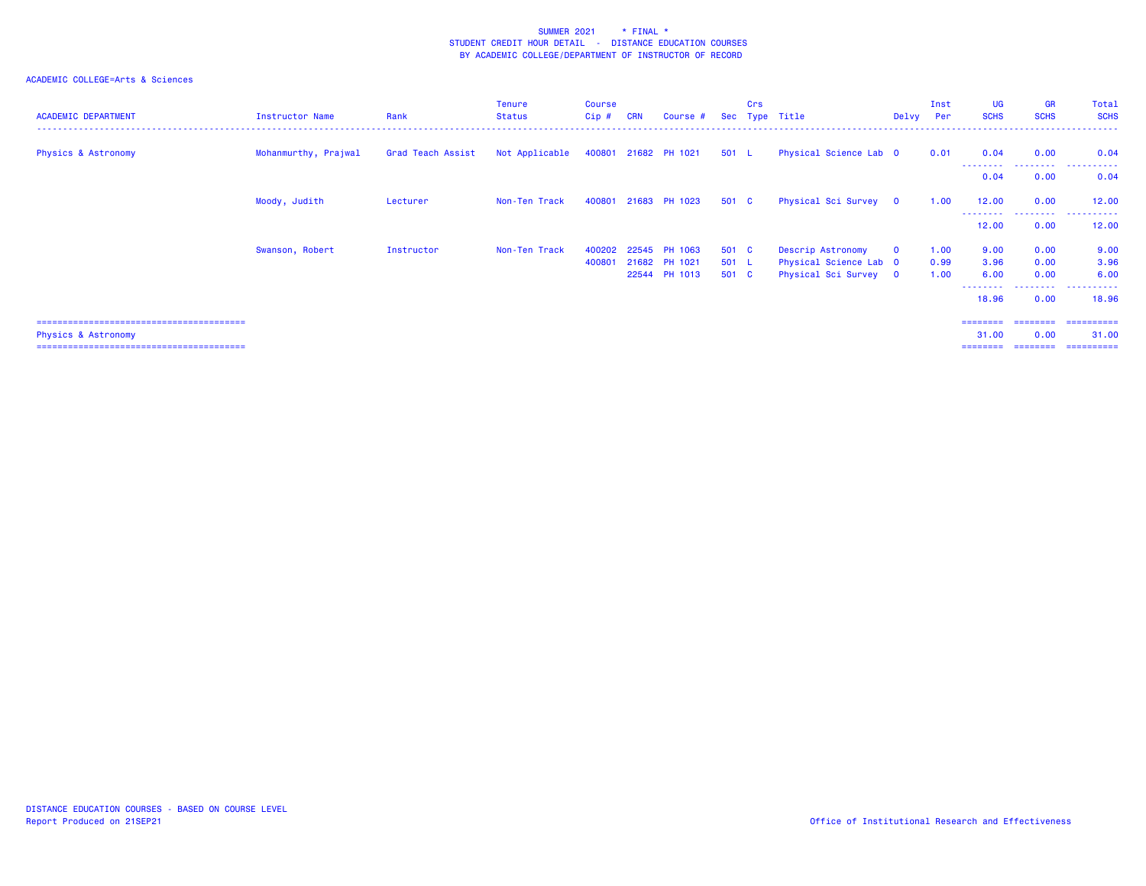## ACADEMIC COLLEGE=Arts & Sciences

| <b>ACADEMIC DEPARTMENT</b>     | Instructor Name      | Rank              | Tenure<br><b>Status</b>             | <b>Course</b><br>$Cip$ # | <b>CRN</b> | Course #             |       | <b>Crs</b> | Sec Type Title         | Delvy Per    | Inst | <b>UG</b><br><b>SCHS</b> | <b>GR</b><br><b>SCHS</b> | Total<br><b>SCHS</b> |
|--------------------------------|----------------------|-------------------|-------------------------------------|--------------------------|------------|----------------------|-------|------------|------------------------|--------------|------|--------------------------|--------------------------|----------------------|
| <b>Physics &amp; Astronomy</b> | Mohanmurthy, Prajwal | Grad Teach Assist | Not Applicable 400801 21682 PH 1021 |                          |            |                      | 501 L |            | Physical Science Lab 0 |              | 0.01 | 0.04                     | 0.00                     | 0.04                 |
|                                |                      |                   |                                     |                          |            |                      |       |            |                        |              |      | --------<br>0.04         | .<br>0.00                | .<br>0.04            |
|                                | Moody, Judith        | Lecturer          | Non-Ten Track                       |                          |            | 400801 21683 PH 1023 | 501 C |            | Physical Sci Survey 0  |              | 1.00 | 12.00                    | 0.00                     | 12.00                |
|                                |                      |                   |                                     |                          |            |                      |       |            |                        |              |      | - - - - - - - -<br>12.00 | .<br>0.00                | -------<br>12.00     |
|                                | Swanson, Robert      | Instructor        | Non-Ten Track                       |                          |            | 400202 22545 PH 1063 | 501 C |            | Descrip Astronomy      | $\mathbf{0}$ | 1.00 | 9.00                     | 0.00                     | 9.00                 |
|                                |                      |                   |                                     | 400801                   |            | 21682 PH 1021        | 501 L |            | Physical Science Lab 0 |              | 0.99 | 3.96                     | 0.00                     | 3.96                 |
|                                |                      |                   |                                     |                          |            | 22544 PH 1013        | 501 C |            | Physical Sci Survey 0  |              | 1.00 | 6.00                     | 0.00                     | 6.00                 |
|                                |                      |                   |                                     |                          |            |                      |       |            |                        |              |      | 18.96                    | 0.00                     | 18.96                |
|                                |                      |                   |                                     |                          |            |                      |       |            |                        |              |      | ========                 | ========                 | ==========           |

======================================== ======== ======== ==========

Physics & Astronomy 31.00 0.00 31.00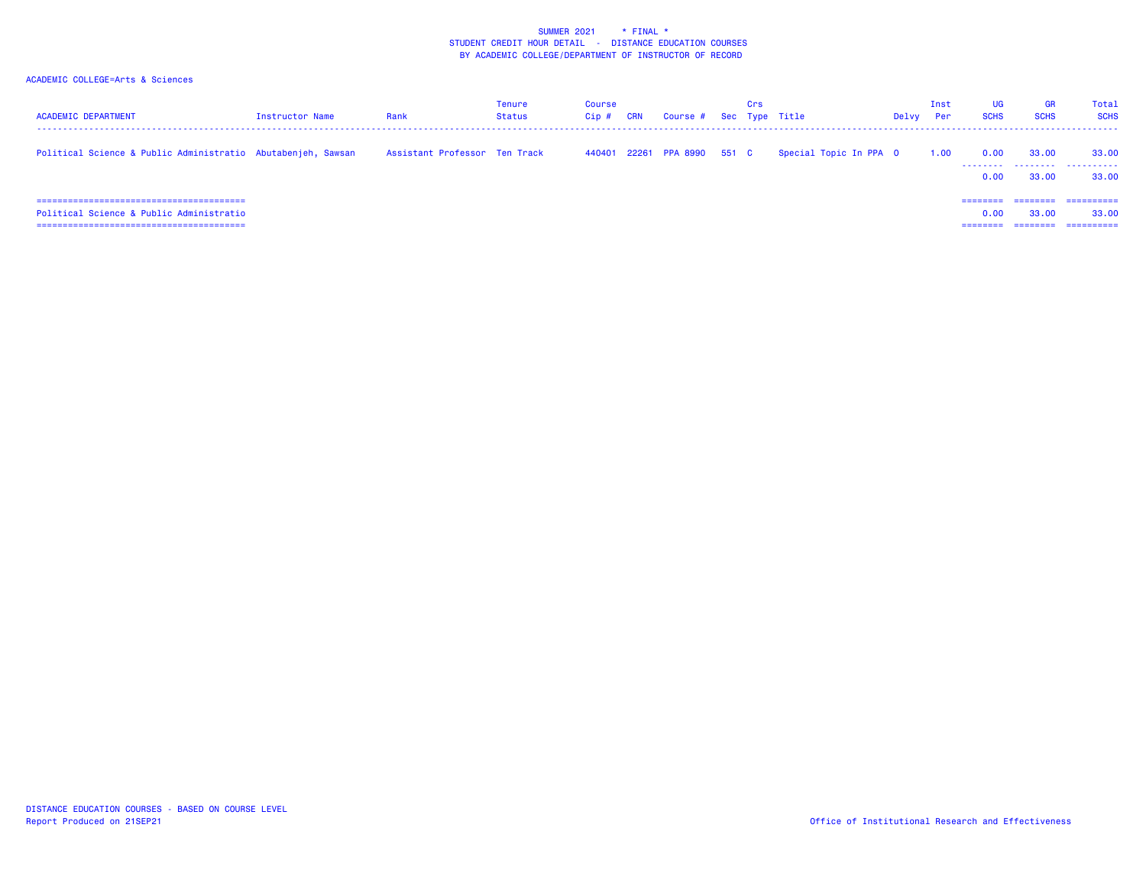| <b>ACADEMIC DEPARTMENT</b>                                   | Instructor Name | Rank                          | Tenure<br><b>Status</b> | <b>Course</b><br>Cip# | CRN | Course # Sec Type Title     | Crs |                        | Delvy | Inst<br>Per | UG<br><b>SCHS</b>            | GR<br><b>SCHS</b>          | Total<br><b>SCHS</b>              |
|--------------------------------------------------------------|-----------------|-------------------------------|-------------------------|-----------------------|-----|-----------------------------|-----|------------------------|-------|-------------|------------------------------|----------------------------|-----------------------------------|
| Political Science & Public Administratio Abutabenjeh, Sawsan |                 | Assistant Professor Ten Track |                         |                       |     | 440401 22261 PPA 8990 551 C |     | Special Topic In PPA 0 |       | 1.00        | 0.00<br>.<br>0.00            | 33,00<br>.<br>33,00        | 33,00<br>.<br>33,00               |
| Political Science & Public Administratio                     |                 |                               |                         |                       |     |                             |     |                        |       |             | ========<br>0.00<br>======== | $=$ = = = = = = =<br>33,00 | ==========<br>33,00<br>========== |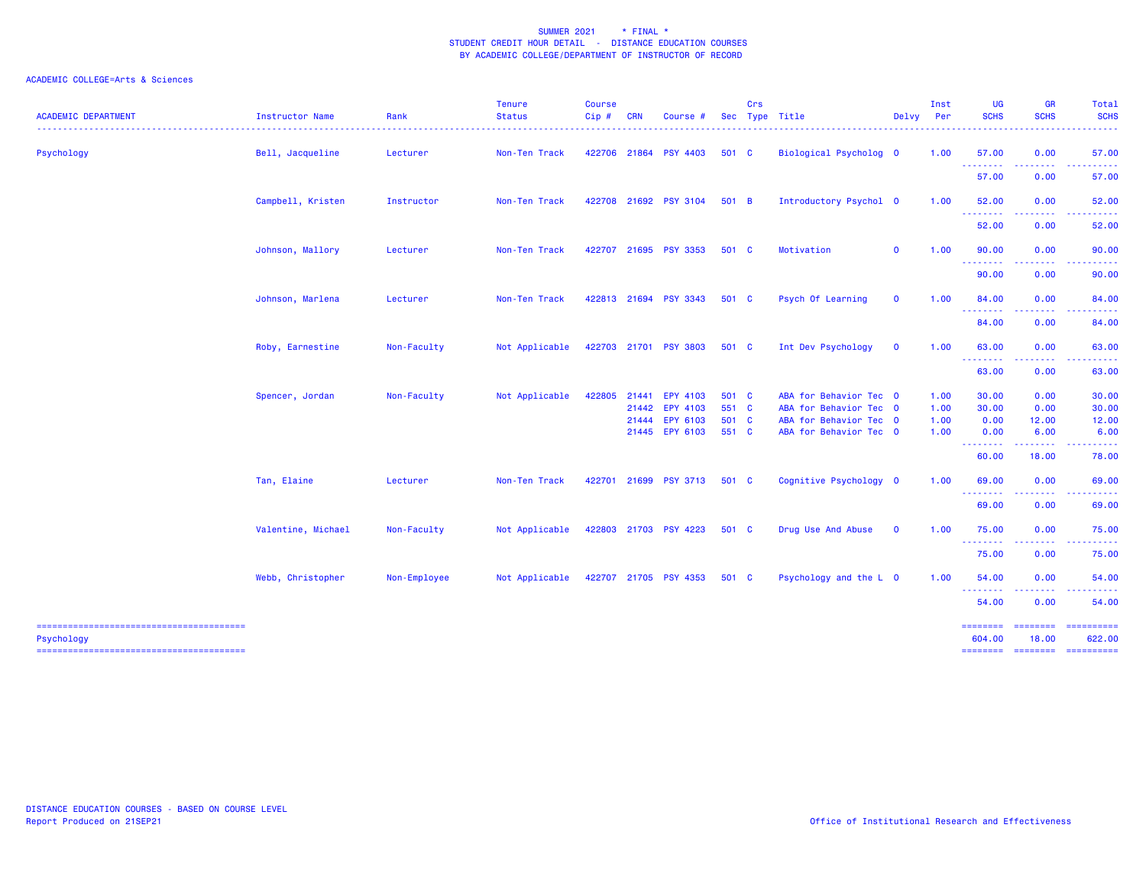| <b>ACADEMIC DEPARTMENT</b> | Instructor Name    | Rank         | <b>Tenure</b><br><b>Status</b> | <b>Course</b><br>$Cip$ # | <b>CRN</b> | Course #              |       | Crs | Sec Type Title<br>------------------ | Delvy       | Inst<br>Per | UG<br><b>SCHS</b>  | GR<br><b>SCHS</b> | Total<br><b>SCHS</b> |
|----------------------------|--------------------|--------------|--------------------------------|--------------------------|------------|-----------------------|-------|-----|--------------------------------------|-------------|-------------|--------------------|-------------------|----------------------|
| Psychology                 | Bell, Jacqueline   | Lecturer     | Non-Ten Track                  |                          |            | 422706 21864 PSY 4403 | 501 C |     | Biological Psycholog 0               |             | 1.00        | 57.00              | 0.00              | 57.00                |
|                            |                    |              |                                |                          |            |                       |       |     |                                      |             |             | .<br>57.00         | 0.00              | 57.00                |
|                            | Campbell, Kristen  | Instructor   | Non-Ten Track                  |                          |            | 422708 21692 PSY 3104 | 501 B |     | Introductory Psychol 0               |             | 1.00        | 52.00<br>.         | 0.00              | 52.00                |
|                            |                    |              |                                |                          |            |                       |       |     |                                      |             |             | 52.00              | 0.00              | 52.00                |
|                            | Johnson, Mallory   | Lecturer     | Non-Ten Track                  |                          |            | 422707 21695 PSY 3353 | 501 C |     | Motivation                           | $\mathbf 0$ | 1.00        | 90.00<br>.         | 0.00              | 90.00                |
|                            |                    |              |                                |                          |            |                       |       |     |                                      |             |             | 90.00              | 0.00              | 90.00                |
|                            | Johnson, Marlena   | Lecturer     | Non-Ten Track                  |                          |            | 422813 21694 PSY 3343 | 501 C |     | Psych Of Learning                    | $\mathbf 0$ | 1.00        | 84.00<br>--------  | 0.00              | 84.00                |
|                            |                    |              |                                |                          |            |                       |       |     |                                      |             |             | 84.00              | 0.00              | 84.00                |
|                            | Roby, Earnestine   | Non-Faculty  | Not Applicable                 |                          |            | 422703 21701 PSY 3803 | 501 C |     | Int Dev Psychology                   | $\mathbf 0$ | 1.00        | 63.00<br>--------  | 0.00              | 63.00                |
|                            |                    |              |                                |                          |            |                       |       |     |                                      |             |             | 63.00              | 0.00              | 63.00                |
|                            | Spencer, Jordan    | Non-Faculty  | Not Applicable                 |                          |            | 422805 21441 EPY 4103 | 501 C |     | ABA for Behavior Tec 0               |             | 1.00        | 30.00              | 0.00              | 30.00                |
|                            |                    |              |                                |                          |            | 21442 EPY 4103        | 551 C |     | ABA for Behavior Tec 0               |             | 1.00        | 30.00              | 0.00              | 30.00                |
|                            |                    |              |                                |                          |            | 21444 EPY 6103        | 501 C |     | ABA for Behavior Tec 0               |             | 1.00        | 0.00               | 12.00             | 12.00                |
|                            |                    |              |                                |                          |            | 21445 EPY 6103        | 551 C |     | ABA for Behavior Tec 0               |             | 1.00        | 0.00<br>--------   | 6.00<br>.         | 6.00                 |
|                            |                    |              |                                |                          |            |                       |       |     |                                      |             |             | 60.00              | 18.00             | 78.00                |
|                            | Tan, Elaine        | Lecturer     | Non-Ten Track                  |                          |            | 422701 21699 PSY 3713 | 501 C |     | Cognitive Psychology 0               |             | 1.00        | 69.00              | 0.00              | 69.00                |
|                            |                    |              |                                |                          |            |                       |       |     |                                      |             |             | 69.00              | 0.00              | 69.00                |
|                            | Valentine, Michael | Non-Faculty  | Not Applicable                 |                          |            | 422803 21703 PSY 4223 | 501 C |     | Drug Use And Abuse                   | $\mathbf 0$ | 1.00        | 75.00<br>--------  | 0.00              | 75.00                |
|                            |                    |              |                                |                          |            |                       |       |     |                                      |             |             | 75.00              | 0.00              | 75.00                |
|                            | Webb, Christopher  | Non-Employee | Not Applicable                 |                          |            | 422707 21705 PSY 4353 | 501 C |     | Psychology and the L 0               |             | 1.00        | 54.00<br>--------  | 0.00<br>- - - - - | 54.00                |
|                            |                    |              |                                |                          |            |                       |       |     |                                      |             |             | 54.00              | 0.00              | 54.00                |
| Psychology                 |                    |              |                                |                          |            |                       |       |     |                                      |             |             | ========<br>604.00 | --------<br>18.00 | ==========<br>622.00 |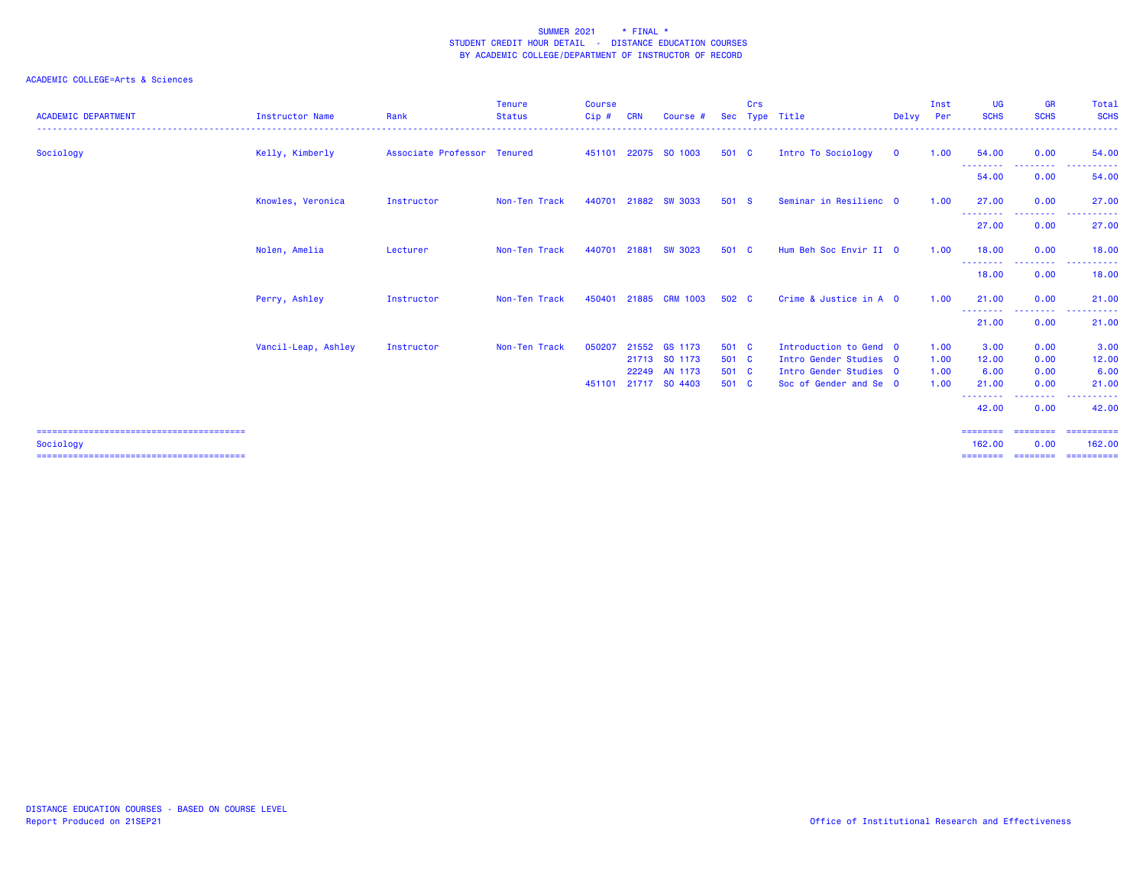| <b>ACADEMIC DEPARTMENT</b> | <b>Instructor Name</b> | Rank                        | Tenure<br><b>Status</b><br>. | <b>Course</b><br>Cip# | <b>CRN</b> | Course #                       |                | Crs | Sec Type Title                                   | Delvv        | Inst<br>Per  | <b>UG</b><br><b>SCHS</b>   | <b>GR</b><br><b>SCHS</b>                 | Total<br><b>SCHS</b> |
|----------------------------|------------------------|-----------------------------|------------------------------|-----------------------|------------|--------------------------------|----------------|-----|--------------------------------------------------|--------------|--------------|----------------------------|------------------------------------------|----------------------|
| Sociology                  | Kelly, Kimberly        | Associate Professor Tenured |                              |                       |            | 451101 22075 SO 1003           | 501 C          |     | Intro To Sociology                               | $\mathbf{0}$ | 1.00         | 54,00                      | 0.00                                     | 54.00                |
|                            |                        |                             |                              |                       |            |                                |                |     |                                                  |              |              | --------<br>54.00          | <b></b><br>0.00                          | ------<br>.<br>54.00 |
|                            | Knowles, Veronica      | Instructor                  | Non-Ten Track                | 440701                | 21882      | <b>SW 3033</b>                 | 501 S          |     | Seminar in Resilienc 0                           |              | 1.00         | 27,00                      | 0.00                                     | 27,00                |
|                            |                        |                             |                              |                       |            |                                |                |     |                                                  |              |              | .<br>27.00                 | --------<br>0.00                         | .<br>27.00           |
|                            | Nolen, Amelia          | Lecturer                    | Non-Ten Track                | 440701                |            | 21881 SW 3023                  | 501 C          |     | Hum Beh Soc Envir II 0                           |              | 1.00         | 18.00                      | 0.00                                     | 18.00                |
|                            |                        |                             |                              |                       |            |                                |                |     |                                                  |              |              | ---------<br>18.00         | <b><i><u>ALLERS CONT</u></i></b><br>0.00 | .<br>18.00           |
|                            | Perry, Ashley          | Instructor                  | Non-Ten Track                | 450401                |            | 21885 CRM 1003                 | 502 C          |     | Crime & Justice in A 0                           |              | 1.00         | 21.00                      | 0.00                                     | 21,00                |
|                            |                        |                             |                              |                       |            |                                |                |     |                                                  |              |              | - - - - - - - - -<br>21.00 | --------<br>0.00                         | 21.00                |
|                            | Vancil-Leap, Ashley    | Instructor                  | Non-Ten Track                | 050207                |            | 21552 GS 1173<br>21713 SO 1173 | 501 C<br>501 C |     | Introduction to Gend 0<br>Intro Gender Studies 0 |              | 1.00<br>1.00 | 3.00<br>12.00              | 0.00<br>0.00                             | 3.00<br>12.00        |
|                            |                        |                             |                              | 451101                |            | 22249 AN 1173<br>21717 SO 4403 | 501 C<br>501 C |     | Intro Gender Studies 0<br>Soc of Gender and Se 0 |              | 1.00<br>1.00 | 6.00<br>21.00              | 0.00<br>0.00                             | 6.00<br>21.00        |
|                            |                        |                             |                              |                       |            |                                |                |     |                                                  |              |              | --------<br>42.00          | --------<br>0.00                         | ------<br>42.00      |
|                            |                        |                             |                              |                       |            |                                |                |     |                                                  |              |              | ========                   | ========                                 | -----------          |
| Sociology                  |                        |                             |                              |                       |            |                                |                |     |                                                  |              |              | 162,00<br>========         | 0.00                                     | 162,00               |
|                            |                        |                             |                              |                       |            |                                |                |     |                                                  |              |              |                            |                                          |                      |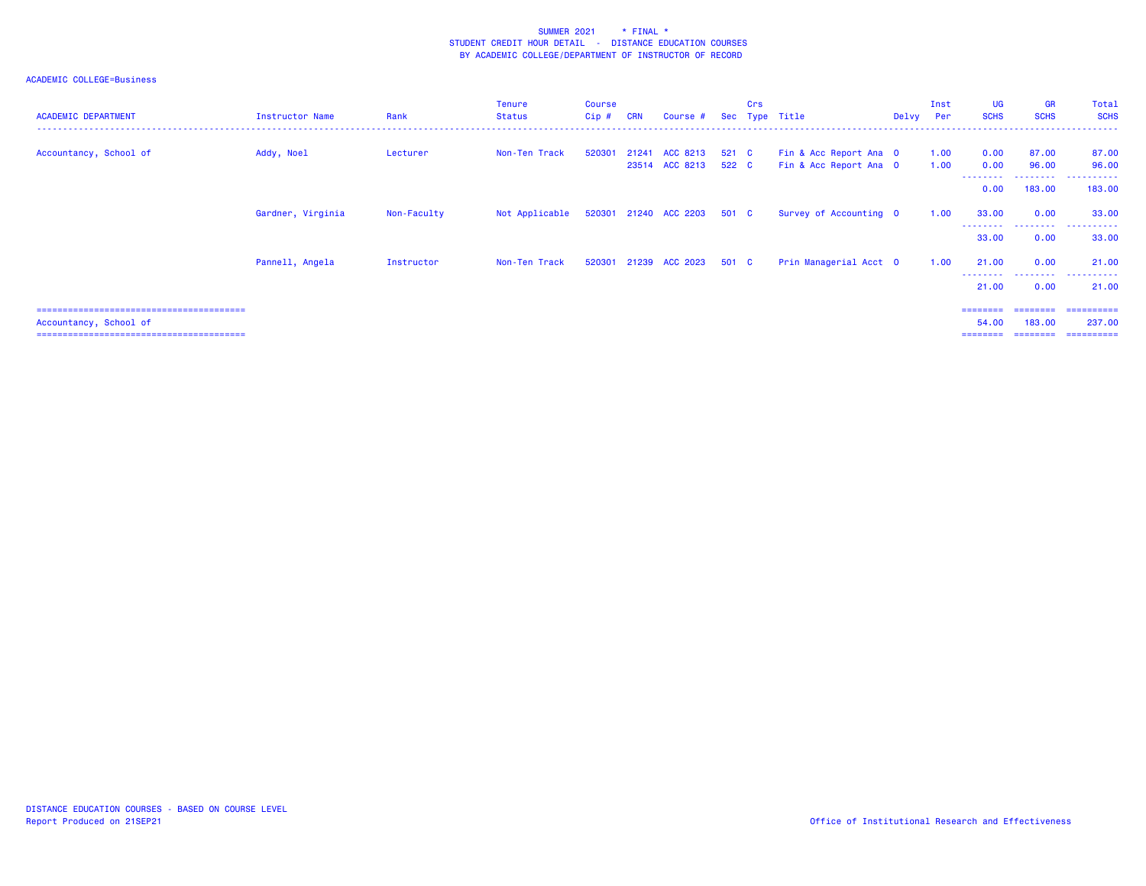| <b>ACADEMIC DEPARTMENT</b> | Instructor Name   | Rank        | <b>Tenure</b><br>Status                    | <b>Course</b><br>Cip# | <b>CRN</b> | Course #                               |       | Crs | Sec Type Title                                   | Delvy | Inst<br><b>Per</b> | UG<br><b>SCHS</b>             | GR<br><b>SCHS</b>              | Total<br><b>SCHS</b>                |
|----------------------------|-------------------|-------------|--------------------------------------------|-----------------------|------------|----------------------------------------|-------|-----|--------------------------------------------------|-------|--------------------|-------------------------------|--------------------------------|-------------------------------------|
| Accountancy, School of     | Addy, Noel        | Lecturer    | Non-Ten Track                              | 520301                |            | 21241 ACC 8213<br>23514 ACC 8213 522 C | 521 C |     | Fin & Acc Report Ana 0<br>Fin & Acc Report Ana 0 |       | 1.00<br>1.00       | 0.00<br>0.00                  | 87.00<br>96.00                 | 87.00<br>96.00                      |
|                            |                   |             |                                            |                       |            |                                        |       |     |                                                  |       |                    | ---------<br>0.00             | ---------<br>183,00            | .<br>183,00                         |
|                            | Gardner, Virginia | Non-Faculty | Not Applicable 520301 21240 ACC 2203 501 C |                       |            |                                        |       |     | Survey of Accounting 0                           |       | 1.00               | 33.00                         | 0.00                           | 33.00                               |
|                            |                   |             |                                            |                       |            |                                        |       |     |                                                  |       |                    | --------<br>33.00             | .<br>0.00                      | .<br>33.00                          |
|                            | Pannell, Angela   | Instructor  | Non-Ten Track                              |                       |            | 520301 21239 ACC 2023                  | 501 C |     | Prin Managerial Acct 0                           |       | 1.00               | 21.00                         | 0.00                           | 21.00                               |
|                            |                   |             |                                            |                       |            |                                        |       |     |                                                  |       |                    | --------<br>21.00             | --------<br>0.00               | .<br>21,00                          |
| Accountancy, School of     |                   |             |                                            |                       |            |                                        |       |     |                                                  |       |                    | ========<br>54,00<br>======== | ========<br>183,00<br>======== | ==========<br>237.00<br>----------- |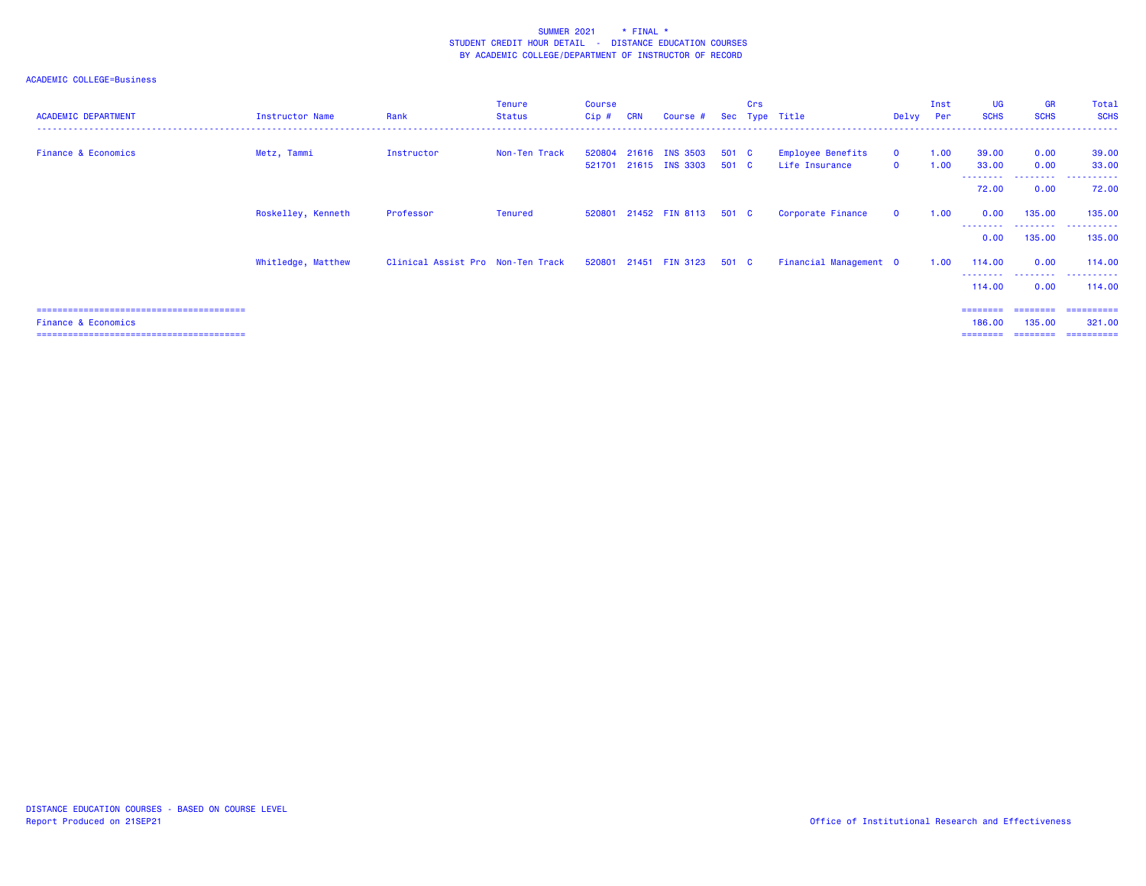| <b>ACADEMIC DEPARTMENT</b>     | Instructor Name    | Rank                              | <b>Tenure</b><br>Status | Course<br>$Cip$ # | <b>CRN</b> | Course #                         | Sec            | Crs | Type Title                                 | Delvy                       | Inst<br>Per  | <b>UG</b><br><b>SCHS</b>              | <b>GR</b><br><b>SCHS</b>        | Total<br><b>SCHS</b>               |
|--------------------------------|--------------------|-----------------------------------|-------------------------|-------------------|------------|----------------------------------|----------------|-----|--------------------------------------------|-----------------------------|--------------|---------------------------------------|---------------------------------|------------------------------------|
| <b>Finance &amp; Economics</b> | Metz, Tammi        | Instructor                        | Non-Ten Track           | 520804<br>521701  |            | 21616 INS 3503<br>21615 INS 3303 | 501 C<br>501 C |     | <b>Employee Benefits</b><br>Life Insurance | $\mathbf 0$<br>$\mathbf{o}$ | 1.00<br>1.00 | 39.00<br>33.00                        | 0.00<br>0.00                    | 39.00<br>33.00                     |
|                                |                    |                                   |                         |                   |            |                                  |                |     |                                            |                             |              | - - - - - - - - <sup>-</sup><br>72.00 | 0.00                            | 72.00                              |
|                                | Roskelley, Kenneth | Professor                         | Tenured                 |                   |            | 520801 21452 FIN 8113 501 C      |                |     | Corporate Finance                          | $\mathbf 0$                 | 1.00         | 0.00                                  | 135.00<br>---------             | 135.00<br>.                        |
|                                |                    |                                   |                         |                   |            |                                  |                |     |                                            |                             |              | 0.00                                  | 135.00                          | 135.00                             |
|                                | Whitledge, Matthew | Clinical Assist Pro Non-Ten Track |                         |                   |            | 520801 21451 FIN 3123 501 C      |                |     | Financial Management 0                     |                             | 1.00         | 114.00<br>- - - - - - - - -           | 0.00<br>.                       | 114.00<br>----------               |
|                                |                    |                                   |                         |                   |            |                                  |                |     |                                            |                             |              | 114.00                                | 0.00                            | 114.00                             |
| <b>Finance &amp; Economics</b> |                    |                                   |                         |                   |            |                                  |                |     |                                            |                             |              | ========<br>186,00<br>========        | ========<br>135,00<br>--------- | ==========<br>321,00<br>========== |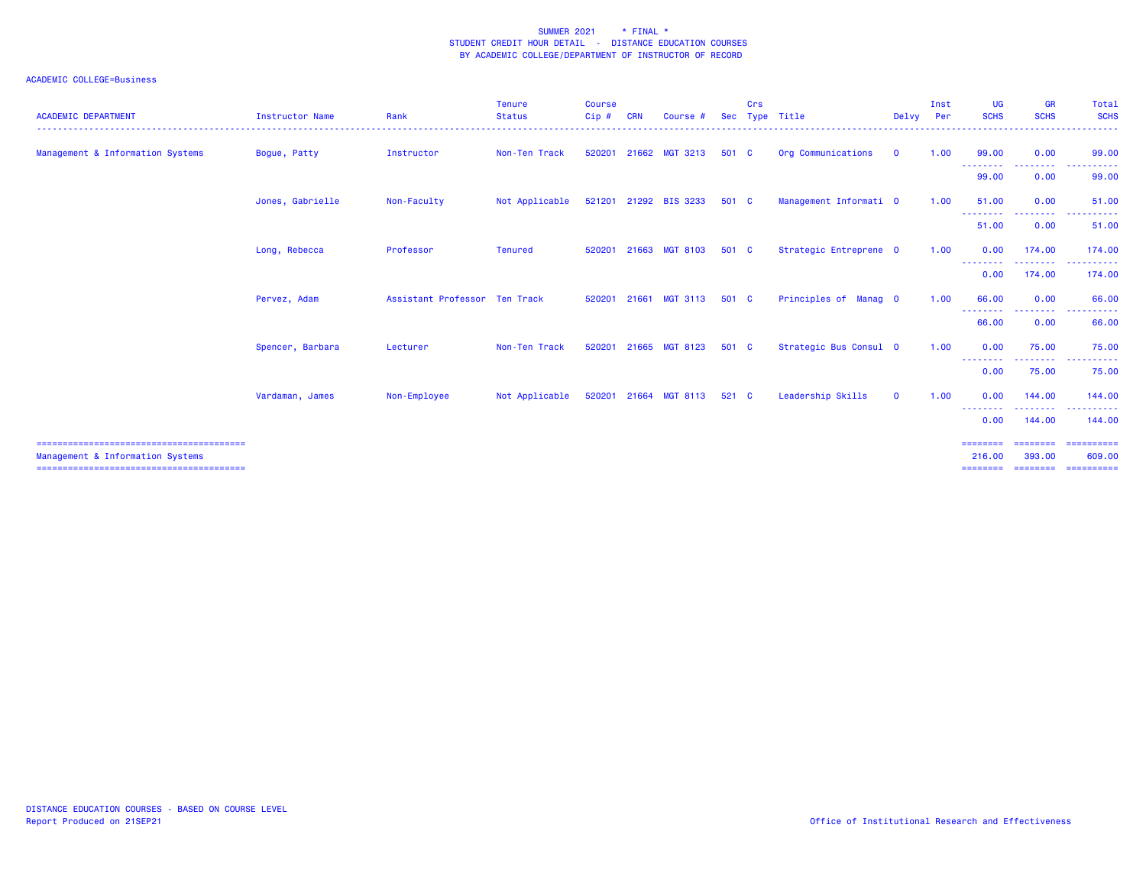| <b>ACADEMIC DEPARTMENT</b>       | <b>Instructor Name</b> | Rank                          | <b>Tenure</b><br><b>Status</b><br>. | <b>Course</b><br>Cip# | <b>CRN</b> | Course #              |         | Crs | Sec Type Title<br>.    | Delvy Per    | Inst | <b>UG</b><br><b>SCHS</b> | <b>GR</b><br><b>SCHS</b> | Total<br><b>SCHS</b><br>. |
|----------------------------------|------------------------|-------------------------------|-------------------------------------|-----------------------|------------|-----------------------|---------|-----|------------------------|--------------|------|--------------------------|--------------------------|---------------------------|
| Management & Information Systems | Bogue, Patty           | Instructor                    | Non-Ten Track                       | 520201                |            | 21662 MGT 3213        | 501 C   |     | Org Communications     | $\mathbf 0$  | 1.00 | 99.00<br>--------        | 0.00<br>.                | 99.00<br>.                |
|                                  |                        |                               |                                     |                       |            |                       |         |     |                        |              |      | 99.00                    | 0.00                     | 99.00                     |
|                                  | Jones, Gabrielle       | Non-Faculty                   | Not Applicable                      |                       |            | 521201 21292 BIS 3233 | 501 C   |     | Management Informati 0 |              | 1.00 | 51.00                    | 0.00                     | 51.00                     |
|                                  |                        |                               |                                     |                       |            |                       |         |     |                        |              |      | --------<br>51.00        | <u>.</u><br>0.00         | 51.00                     |
|                                  | Long, Rebecca          | Professor                     | <b>Tenured</b>                      | 520201                | 21663      | <b>MGT 8103</b>       | 501 C   |     | Strategic Entreprene 0 |              | 1.00 | 0.00                     | 174.00                   | 174.00                    |
|                                  |                        |                               |                                     |                       |            |                       |         |     |                        |              |      | --------<br>0.00         | . <b>.</b> .<br>174.00   | .<br>174.00               |
|                                  | Pervez, Adam           | Assistant Professor Ten Track |                                     | 520201                | 21661      | <b>MGT 3113</b>       | 501 C   |     | Principles of Manag 0  |              | 1.00 | 66.00                    | 0.00                     | 66.00                     |
|                                  |                        |                               |                                     |                       |            |                       |         |     |                        |              |      | --------<br>66.00        | --------<br>0.00         | .<br>66.00                |
|                                  | Spencer, Barbara       | Lecturer                      | Non-Ten Track                       | 520201                | 21665      | <b>MGT 8123</b>       | 501 C   |     | Strategic Bus Consul 0 |              | 1.00 | 0.00                     | 75.00                    | 75.00                     |
|                                  |                        |                               |                                     |                       |            |                       |         |     |                        |              |      | --------<br>0.00         | .<br>75.00               | .<br>75.00                |
|                                  | Vardaman, James        | Non-Employee                  | Not Applicable                      |                       |            | 520201 21664 MGT 8113 | $521$ C |     | Leadership Skills      | $\mathbf{O}$ | 1.00 | 0.00                     | 144,00                   | 144.00                    |
|                                  |                        |                               |                                     |                       |            |                       |         |     |                        |              |      | --------<br>0.00         | .<br>144.00              | 144.00                    |
|                                  |                        |                               |                                     |                       |            |                       |         |     |                        |              |      | ========                 | ========                 | ==========                |
| Management & Information Systems |                        |                               |                                     |                       |            |                       |         |     |                        |              |      | 216,00                   | 393,00                   | 609,00                    |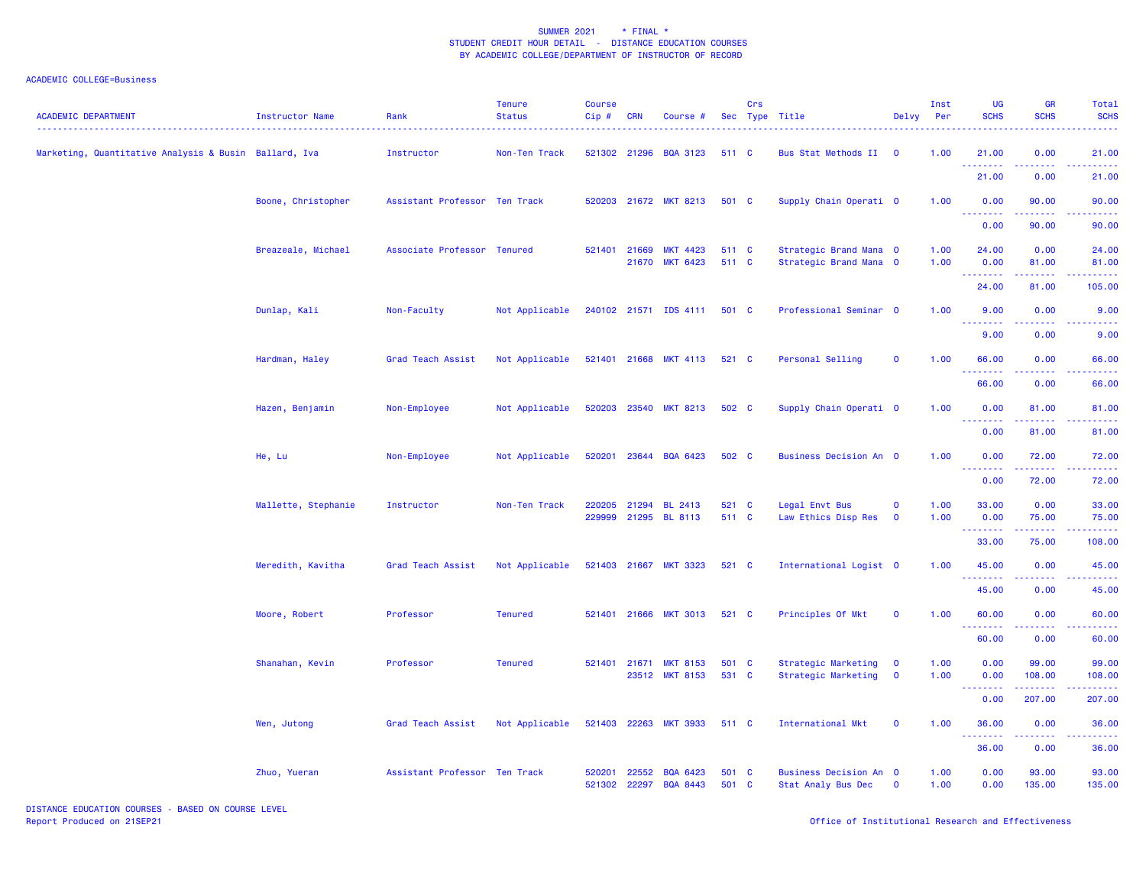## ACADEMIC COLLEGE=Business

| <b>ACADEMIC DEPARTMENT</b>                            | Instructor Name     | Rank                          | <b>Tenure</b><br><b>Status</b> | <b>Course</b><br>Cip# | <b>CRN</b>     | Course #                           |                | Crs | Sec Type Title                                      | Delvy                      | Inst<br>Per  | UG<br><b>SCHS</b>                                                                                                                 | <b>GR</b><br><b>SCHS</b>                                                                                                                                      | Total<br><b>SCHS</b> |
|-------------------------------------------------------|---------------------|-------------------------------|--------------------------------|-----------------------|----------------|------------------------------------|----------------|-----|-----------------------------------------------------|----------------------------|--------------|-----------------------------------------------------------------------------------------------------------------------------------|---------------------------------------------------------------------------------------------------------------------------------------------------------------|----------------------|
| Marketing, Quantitative Analysis & Busin Ballard, Iva |                     | Instructor                    | Non-Ten Track                  |                       |                | 521302 21296 BQA 3123              | 511 C          |     | Bus Stat Methods II                                 | $\overline{\mathbf{0}}$    | 1.00         | 21.00<br>.                                                                                                                        | 0.00                                                                                                                                                          | 21.00                |
|                                                       |                     |                               |                                |                       |                |                                    |                |     |                                                     |                            |              | 21.00                                                                                                                             | 0.00                                                                                                                                                          | 21.00                |
|                                                       | Boone, Christopher  | Assistant Professor Ten Track |                                |                       |                | 520203 21672 MKT 8213              | 501 C          |     | Supply Chain Operati 0                              |                            | 1.00         | 0.00<br>.                                                                                                                         | 90.00<br>.                                                                                                                                                    | 90.00<br>.           |
|                                                       |                     |                               |                                |                       |                |                                    |                |     |                                                     |                            |              | 0.00                                                                                                                              | 90.00                                                                                                                                                         | 90.00                |
|                                                       | Breazeale, Michael  | Associate Professor Tenured   |                                | 521401                | 21669          | <b>MKT 4423</b><br>21670 MKT 6423  | 511 C<br>511 C |     | Strategic Brand Mana 0<br>Strategic Brand Mana 0    |                            | 1.00<br>1.00 | 24.00<br>0.00                                                                                                                     | 0.00<br>81.00                                                                                                                                                 | 24.00<br>81.00       |
|                                                       |                     |                               |                                |                       |                |                                    |                |     |                                                     |                            |              | .<br>24.00                                                                                                                        | 81.00                                                                                                                                                         | 105.00               |
|                                                       | Dunlap, Kali        | Non-Faculty                   | Not Applicable                 |                       |                | 240102 21571 IDS 4111 501 C        |                |     | Professional Seminar 0                              |                            | 1.00         | 9.00                                                                                                                              | 0.00                                                                                                                                                          | 9.00                 |
|                                                       |                     |                               |                                |                       |                |                                    |                |     |                                                     |                            |              | $\frac{1}{2} \left( \frac{1}{2} \right) \left( \frac{1}{2} \right) \left( \frac{1}{2} \right) \left( \frac{1}{2} \right)$<br>9.00 | 0.00                                                                                                                                                          | 9.00                 |
|                                                       | Hardman, Haley      | Grad Teach Assist             | Not Applicable                 |                       |                | 521401 21668 MKT 4113 521 C        |                |     | Personal Selling                                    | $\mathbf 0$                | 1.00         | 66.00<br>.                                                                                                                        | 0.00<br>$\frac{1}{2} \left( \frac{1}{2} \right) \left( \frac{1}{2} \right) \left( \frac{1}{2} \right) \left( \frac{1}{2} \right) \left( \frac{1}{2} \right)$  | 66.00<br>.           |
|                                                       |                     |                               |                                |                       |                |                                    |                |     |                                                     |                            |              | 66.00                                                                                                                             | 0.00                                                                                                                                                          | 66.00                |
|                                                       | Hazen, Benjamin     | Non-Employee                  | Not Applicable                 | 520203                |                | 23540 MKT 8213                     | 502 C          |     | Supply Chain Operati 0                              |                            | 1.00         | 0.00                                                                                                                              | 81.00                                                                                                                                                         | 81.00                |
|                                                       |                     |                               |                                |                       |                |                                    |                |     |                                                     |                            |              | .<br>0.00                                                                                                                         | $\frac{1}{2} \left( \frac{1}{2} \right) \left( \frac{1}{2} \right) \left( \frac{1}{2} \right) \left( \frac{1}{2} \right) \left( \frac{1}{2} \right)$<br>81.00 | .<br>81.00           |
|                                                       | He, Lu              | Non-Employee                  | Not Applicable                 | 520201                |                | 23644 BQA 6423                     | 502 C          |     | Business Decision An 0                              |                            | 1.00         | 0.00                                                                                                                              | 72.00                                                                                                                                                         | 72.00                |
|                                                       |                     |                               |                                |                       |                |                                    |                |     |                                                     |                            |              | .<br>0.00                                                                                                                         | 72.00                                                                                                                                                         | 72.00                |
|                                                       | Mallette, Stephanie | Instructor                    | Non-Ten Track                  | 220205<br>229999      | 21294          | <b>BL 2413</b><br>21295 BL 8113    | 521 C<br>511 C |     | Legal Envt Bus<br>Law Ethics Disp Res               | $\mathbf 0$<br>$\mathbf 0$ | 1.00<br>1.00 | 33.00<br>0.00                                                                                                                     | 0.00<br>75.00                                                                                                                                                 | 33.00<br>75.00       |
|                                                       |                     |                               |                                |                       |                |                                    |                |     |                                                     |                            |              | .<br>33.00                                                                                                                        | 75.00                                                                                                                                                         | 108.00               |
|                                                       | Meredith, Kavitha   | Grad Teach Assist             | Not Applicable                 |                       |                | 521403 21667 MKT 3323              | 521 C          |     | International Logist 0                              |                            | 1.00         | 45.00<br><u>.</u>                                                                                                                 | 0.00<br><u>.</u>                                                                                                                                              | 45.00<br>.           |
|                                                       |                     |                               |                                |                       |                |                                    |                |     |                                                     |                            |              | 45.00                                                                                                                             | 0.00                                                                                                                                                          | 45.00                |
|                                                       | Moore, Robert       | Professor                     | <b>Tenured</b>                 | 521401                | 21666          | <b>MKT 3013</b>                    | 521 C          |     | Principles Of Mkt                                   | $\mathbf 0$                | 1.00         | 60.00                                                                                                                             | 0.00                                                                                                                                                          | 60.00                |
|                                                       |                     |                               |                                |                       |                |                                    |                |     |                                                     |                            |              | .<br>60.00                                                                                                                        | .<br>0.00                                                                                                                                                     | . <u>.</u><br>60.00  |
|                                                       | Shanahan, Kevin     | Professor                     | <b>Tenured</b>                 |                       |                | 521401 21671 MKT 8153              | 501 C          |     | Strategic Marketing                                 | $\mathbf 0$                | 1.00         | 0.00                                                                                                                              | 99.00                                                                                                                                                         | 99.00                |
|                                                       |                     |                               |                                |                       |                | 23512 MKT 8153                     | 531 C          |     | Strategic Marketing                                 | $\mathbf 0$                | 1.00         | 0.00<br>.                                                                                                                         | 108.00<br>$   -$                                                                                                                                              | 108.00               |
|                                                       |                     |                               |                                |                       |                |                                    |                |     |                                                     |                            |              | 0.00                                                                                                                              | 207.00                                                                                                                                                        | 207.00               |
|                                                       | Wen, Jutong         | Grad Teach Assist             | Not Applicable                 |                       |                | 521403 22263 MKT 3933              | 511 C          |     | International Mkt                                   | $\mathbf 0$                | 1.00         | 36.00<br>--------                                                                                                                 | 0.00<br>-----                                                                                                                                                 | 36.00                |
|                                                       |                     |                               |                                |                       |                |                                    |                |     |                                                     |                            |              | 36.00                                                                                                                             | 0.00                                                                                                                                                          | 36.00                |
|                                                       | Zhuo, Yueran        | Assistant Professor Ten Track |                                | 520201<br>521302      | 22552<br>22297 | <b>BQA 6423</b><br><b>BQA 8443</b> | 501 C<br>501 C |     | <b>Business Decision An 0</b><br>Stat Analy Bus Dec | $\mathbf 0$                | 1.00<br>1.00 | 0.00<br>0.00                                                                                                                      | 93.00<br>135.00                                                                                                                                               | 93.00<br>135.00      |

DISTANCE EDUCATION COURSES - BASED ON COURSE LEVEL<br>Report Produced on 21SEP21

Office of Institutional Research and Effectiveness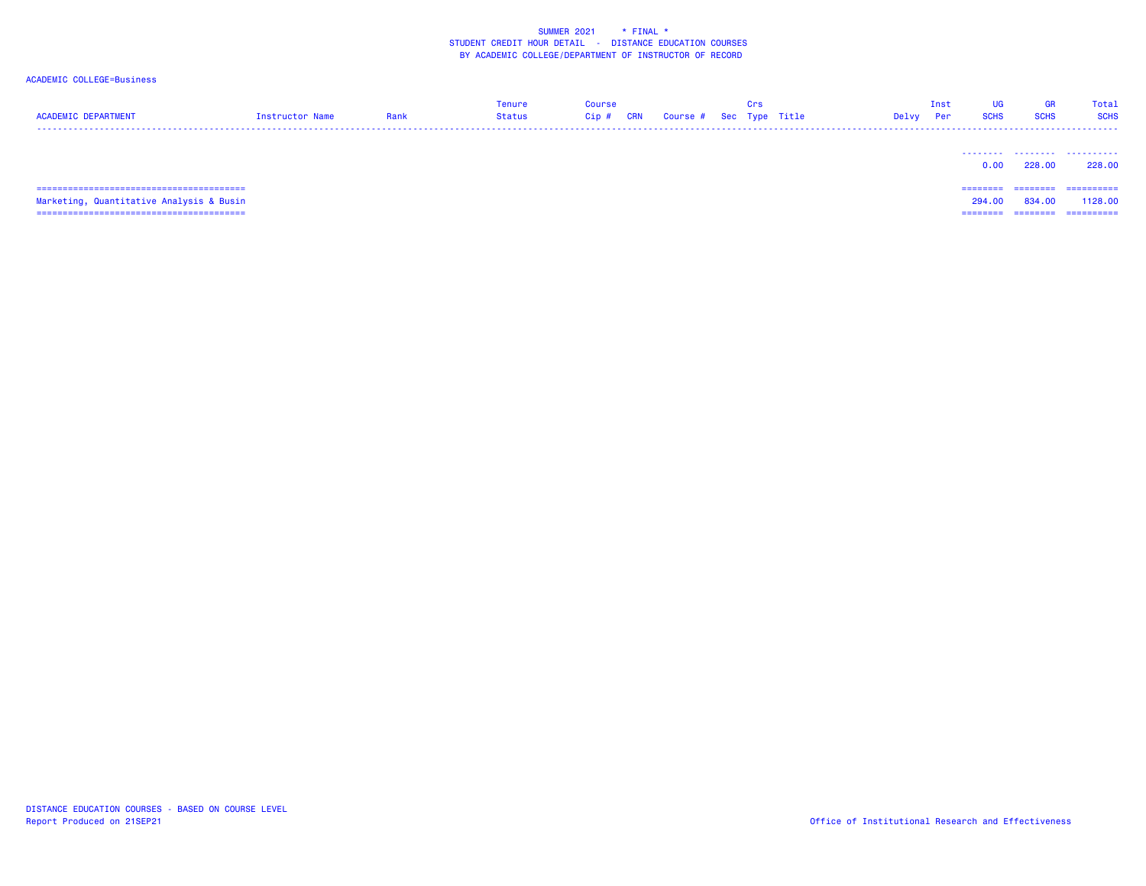## ACADEMIC COLLEGE=Business

| <b>ACADEMIC DEPARTMENT</b>               | Instructor Name | Rank | Tenure<br>Status | <b>Course</b><br>Cip# | <b>CRN</b> | Course # Sec Type Title | Crs | Delvy | Inst<br>Per | <b>UG</b><br><b>SCHS</b> | GR<br><b>SCHS</b>  | Total<br><b>SCHS</b>  |
|------------------------------------------|-----------------|------|------------------|-----------------------|------------|-------------------------|-----|-------|-------------|--------------------------|--------------------|-----------------------|
|                                          |                 |      |                  |                       |            |                         |     |       |             | 0.00                     | <br>228,00         | .<br>228,00           |
| Marketing, Quantitative Analysis & Busin |                 |      |                  |                       |            |                         |     |       |             | ========<br>294,00       | ========<br>834.00 | ==========<br>1128.00 |
|                                          |                 |      |                  |                       |            |                         |     |       |             | ========                 | ---------          | ==========            |

======================================== ======== ======== ==========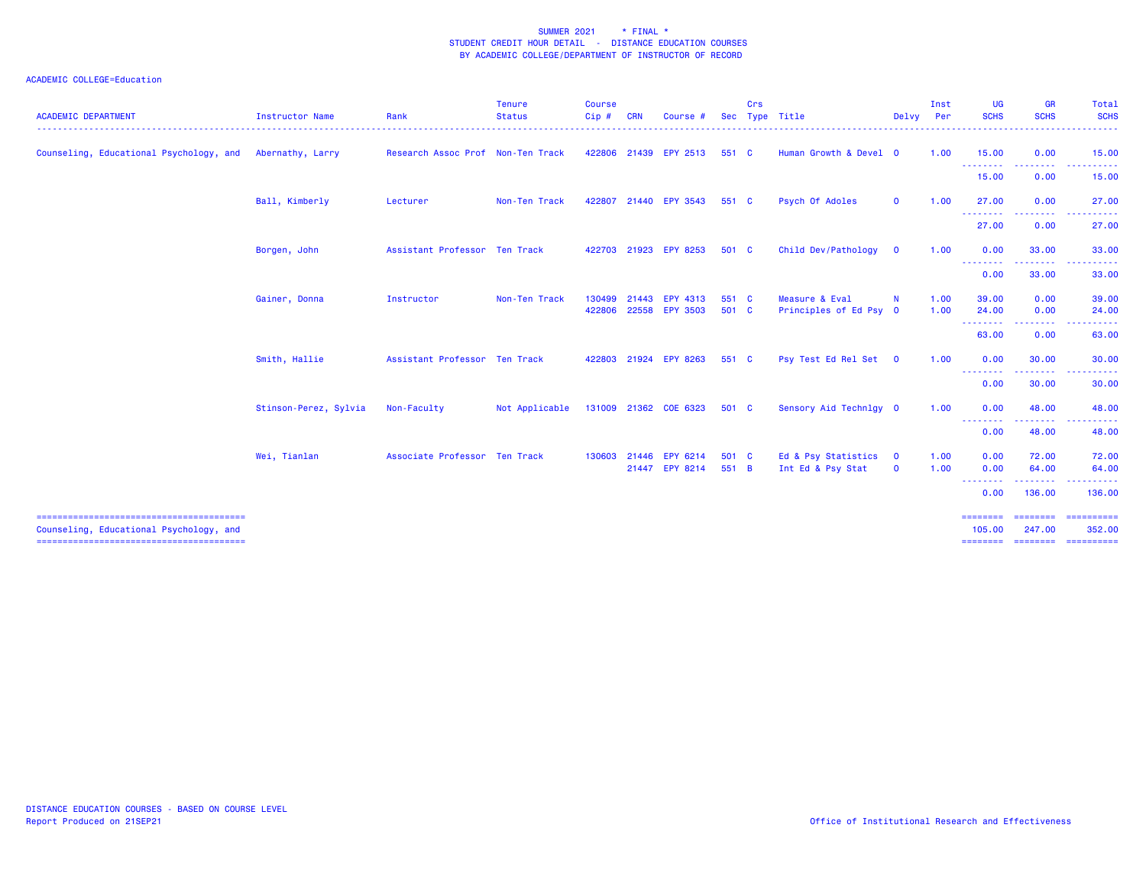| <b>ACADEMIC DEPARTMENT</b>              | <b>Instructor Name</b> | Rank                              | <b>Tenure</b><br><b>Status</b> | <b>Course</b><br>$C$ ip $#$ | <b>CRN</b> | Course                | <b>Sec</b> | Crs | Type Title             |              | Inst<br>Delvy Per | <b>UG</b><br><b>SCHS</b>                             | <b>GR</b><br><b>SCHS</b> | Total<br><b>SCHS</b>                                                                                                                                                                                                                                                                                                                                                                                                                                                                   |
|-----------------------------------------|------------------------|-----------------------------------|--------------------------------|-----------------------------|------------|-----------------------|------------|-----|------------------------|--------------|-------------------|------------------------------------------------------|--------------------------|----------------------------------------------------------------------------------------------------------------------------------------------------------------------------------------------------------------------------------------------------------------------------------------------------------------------------------------------------------------------------------------------------------------------------------------------------------------------------------------|
| Counseling, Educational Psychology, and | Abernathy, Larry       | Research Assoc Prof Non-Ten Track |                                |                             |            | 422806 21439 EPY 2513 | 551 C      |     | Human Growth & Devel 0 |              | 1.00              | 15.00                                                | 0.00                     | 15.00                                                                                                                                                                                                                                                                                                                                                                                                                                                                                  |
|                                         |                        |                                   |                                |                             |            |                       |            |     |                        |              |                   | - - - - - - - - <b>-</b><br>15.00                    | 0.00                     | 15.00                                                                                                                                                                                                                                                                                                                                                                                                                                                                                  |
|                                         | Ball, Kimberly         | Lecturer                          | Non-Ten Track                  | 422807                      |            | 21440 EPY 3543        | 551 C      |     | Psych Of Adoles        | $\mathbf{O}$ | 1.00              | 27,00<br><u>.</u>                                    | 0.00                     | 27.00                                                                                                                                                                                                                                                                                                                                                                                                                                                                                  |
|                                         |                        |                                   |                                |                             |            |                       |            |     |                        |              |                   | 27.00                                                | 0.00                     | 27.00                                                                                                                                                                                                                                                                                                                                                                                                                                                                                  |
|                                         | Borgen, John           | Assistant Professor Ten Track     |                                |                             |            | 422703 21923 EPY 8253 | 501 C      |     | Child Dev/Pathology    | $\mathbf 0$  | 1.00              | 0.00                                                 | 33.00                    | 33.00                                                                                                                                                                                                                                                                                                                                                                                                                                                                                  |
|                                         |                        |                                   |                                |                             |            |                       |            |     |                        |              |                   | <b><i><u><u> - - - - - - - -</u></u></i></b><br>0.00 | 33.00                    | 33.00                                                                                                                                                                                                                                                                                                                                                                                                                                                                                  |
|                                         | Gainer, Donna          | Instructor                        | Non-Ten Track                  | 130499                      | 21443      | <b>EPY 4313</b>       | 551 C      |     | Measure & Eval         | $\mathbf N$  | 1.00              | 39.00                                                | 0.00                     | 39.00                                                                                                                                                                                                                                                                                                                                                                                                                                                                                  |
|                                         |                        |                                   |                                | 422806                      |            | 22558 EPY 3503        | 501 C      |     | Principles of Ed Psy 0 |              | 1.00              | 24.00                                                | 0.00                     | 24.00                                                                                                                                                                                                                                                                                                                                                                                                                                                                                  |
|                                         |                        |                                   |                                |                             |            |                       |            |     |                        |              |                   | ---------<br>63.00                                   | 0.00                     | 63.00                                                                                                                                                                                                                                                                                                                                                                                                                                                                                  |
|                                         | Smith, Hallie          | Assistant Professor Ten Track     |                                |                             |            | 422803 21924 EPY 8263 | 551 C      |     | Psy Test Ed Rel Set 0  |              | 1.00              | 0.00                                                 | 30.00<br><u>.</u>        | 30.00                                                                                                                                                                                                                                                                                                                                                                                                                                                                                  |
|                                         |                        |                                   |                                |                             |            |                       |            |     |                        |              |                   | <b></b><br>0.00                                      | 30.00                    | 30.00                                                                                                                                                                                                                                                                                                                                                                                                                                                                                  |
|                                         | Stinson-Perez, Sylvia  | Non-Faculty                       | Not Applicable                 |                             |            | 131009 21362 COE 6323 | 501 C      |     | Sensory Aid Technlgy 0 |              | 1.00              | 0.00                                                 | 48.00                    | 48.00                                                                                                                                                                                                                                                                                                                                                                                                                                                                                  |
|                                         |                        |                                   |                                |                             |            |                       |            |     |                        |              |                   | <b></b><br>0.00                                      | .<br>48.00               | 48.00                                                                                                                                                                                                                                                                                                                                                                                                                                                                                  |
|                                         | Wei, Tianlan           | Associate Professor Ten Track     |                                | 130603                      | 21446      | EPY 6214              | 501 C      |     | Ed & Psy Statistics    | $\mathbf{0}$ | 1.00              | 0.00                                                 | 72.00                    | 72.00                                                                                                                                                                                                                                                                                                                                                                                                                                                                                  |
|                                         |                        |                                   |                                |                             |            | 21447 EPY 8214        | 551 B      |     | Int Ed & Psy Stat      | $\mathbf{0}$ | 1.00              | 0.00                                                 | 64.00                    | 64.00                                                                                                                                                                                                                                                                                                                                                                                                                                                                                  |
|                                         |                        |                                   |                                |                             |            |                       |            |     |                        |              |                   | <u> - - - - - - - -</u><br>0.00                      | .<br>136.00              | 136.00                                                                                                                                                                                                                                                                                                                                                                                                                                                                                 |
| Counseling, Educational Psychology, and |                        |                                   |                                |                             |            |                       |            |     |                        |              |                   | $=$ =======<br>105,00                                | ========<br>247.00       | 352.00                                                                                                                                                                                                                                                                                                                                                                                                                                                                                 |
|                                         |                        |                                   |                                |                             |            |                       |            |     |                        |              |                   | ========                                             | ========                 | $\begin{array}{cccccccccc} \multicolumn{2}{c}{} & \multicolumn{2}{c}{} & \multicolumn{2}{c}{} & \multicolumn{2}{c}{} & \multicolumn{2}{c}{} & \multicolumn{2}{c}{} & \multicolumn{2}{c}{} & \multicolumn{2}{c}{} & \multicolumn{2}{c}{} & \multicolumn{2}{c}{} & \multicolumn{2}{c}{} & \multicolumn{2}{c}{} & \multicolumn{2}{c}{} & \multicolumn{2}{c}{} & \multicolumn{2}{c}{} & \multicolumn{2}{c}{} & \multicolumn{2}{c}{} & \multicolumn{2}{c}{} & \multicolumn{2}{c}{} & \mult$ |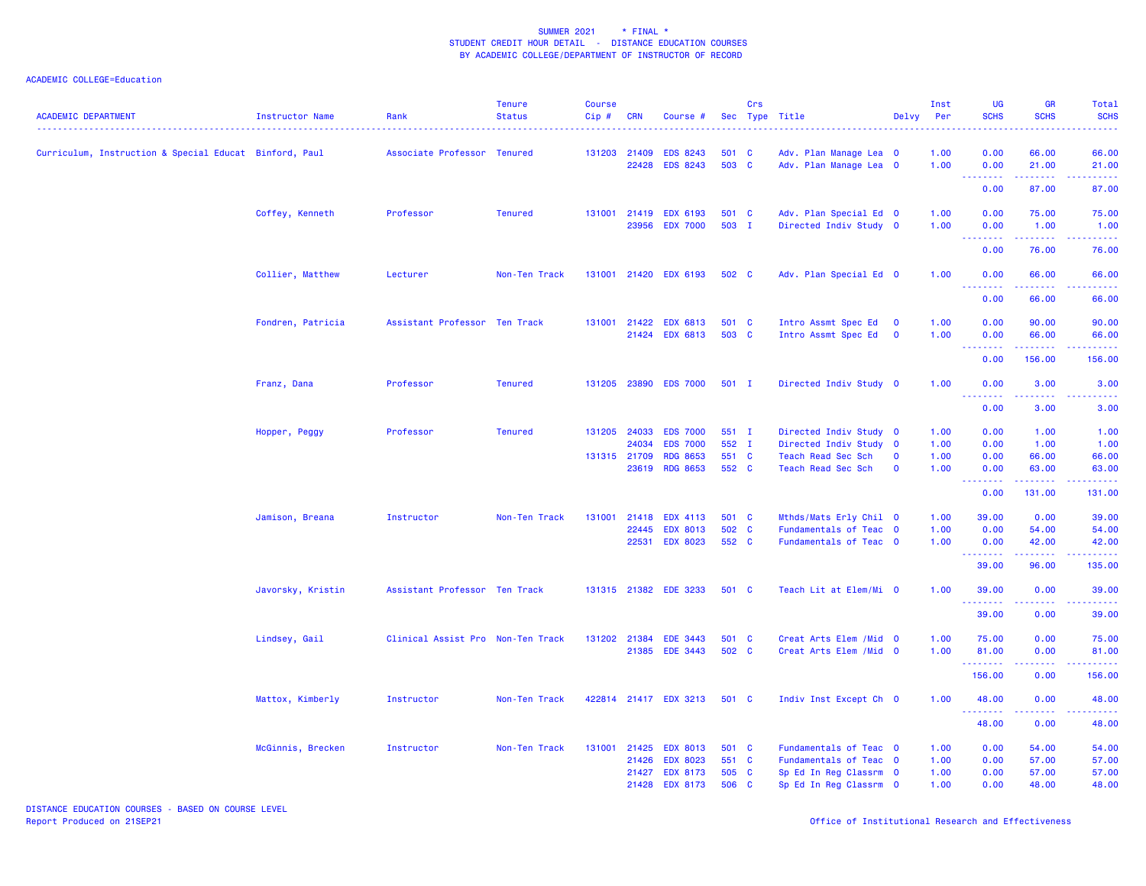| <b>ACADEMIC DEPARTMENT</b>                             | Instructor Name   | Rank                              | <b>Tenure</b><br><b>Status</b> | <b>Course</b><br>$Cip$ # | <b>CRN</b>     | Course #                           |                | Crs | Sec Type Title                                   | Delvy                                              | Inst<br>Per  | UG<br><b>SCHS</b>        | <b>GR</b><br><b>SCHS</b>                                                                                                           | Total<br><b>SCHS</b> |
|--------------------------------------------------------|-------------------|-----------------------------------|--------------------------------|--------------------------|----------------|------------------------------------|----------------|-----|--------------------------------------------------|----------------------------------------------------|--------------|--------------------------|------------------------------------------------------------------------------------------------------------------------------------|----------------------|
| Curriculum, Instruction & Special Educat Binford, Paul |                   | Associate Professor Tenured       |                                | 131203 21409             | 22428          | <b>EDS 8243</b><br><b>EDS 8243</b> | 501 C<br>503 C |     | Adv. Plan Manage Lea 0<br>Adv. Plan Manage Lea 0 |                                                    | 1.00<br>1.00 | 0.00<br>0.00             | 66.00<br>21.00                                                                                                                     | 66.00<br>21.00       |
|                                                        |                   |                                   |                                |                          |                |                                    |                |     |                                                  |                                                    |              | المتمالين<br>0.00        | .<br>87.00                                                                                                                         | .<br>87.00           |
|                                                        | Coffey, Kenneth   | Professor                         | <b>Tenured</b>                 | 131001                   | 21419<br>23956 | <b>EDX 6193</b><br><b>EDX 7000</b> | 501 C<br>503 I |     | Adv. Plan Special Ed 0<br>Directed Indiv Study 0 |                                                    | 1.00<br>1.00 | 0.00<br>0.00             | 75.00<br>1.00                                                                                                                      | 75.00<br>1.00        |
|                                                        |                   |                                   |                                |                          |                |                                    |                |     |                                                  |                                                    |              | -----<br>0.00            | 76.00                                                                                                                              | 76.00                |
|                                                        | Collier, Matthew  | Lecturer                          | Non-Ten Track                  |                          |                | 131001 21420 EDX 6193              | 502 C          |     | Adv. Plan Special Ed 0                           |                                                    | 1.00         | 0.00                     | 66.00                                                                                                                              | 66.00                |
|                                                        |                   |                                   |                                |                          |                |                                    |                |     |                                                  |                                                    |              | 0.00                     | 66.00                                                                                                                              | 66.00                |
|                                                        | Fondren, Patricia | Assistant Professor Ten Track     |                                | 131001 21422             |                | <b>EDX 6813</b><br>21424 EDX 6813  | 501 C<br>503 C |     | Intro Assmt Spec Ed<br>Intro Assmt Spec Ed       | $\overline{\mathbf{0}}$<br>$\overline{\mathbf{0}}$ | 1.00<br>1.00 | 0.00<br>0.00             | 90.00<br>66.00                                                                                                                     | 90.00<br>66.00       |
|                                                        |                   |                                   |                                |                          |                |                                    |                |     |                                                  |                                                    |              | <b>.</b><br>0.00         | 156.00                                                                                                                             | 156.00               |
|                                                        | Franz, Dana       | Professor                         | <b>Tenured</b>                 | 131205 23890             |                | <b>EDS 7000</b>                    | $501$ I        |     | Directed Indiv Study 0                           |                                                    | 1.00         | 0.00<br>.                | 3.00                                                                                                                               | 3.00                 |
|                                                        |                   |                                   |                                |                          |                |                                    |                |     |                                                  |                                                    |              | 0.00                     | 3.00                                                                                                                               | 3.00                 |
|                                                        | Hopper, Peggy     | Professor                         | <b>Tenured</b>                 | 131205 24033             | 24034          | <b>EDS 7000</b><br><b>EDS 7000</b> | 551 I<br>552 I |     | Directed Indiv Study 0<br>Directed Indiv Study 0 |                                                    | 1.00<br>1.00 | 0.00<br>0.00             | 1.00<br>1.00                                                                                                                       | 1.00<br>1.00         |
|                                                        |                   |                                   |                                | 131315 21709             | 23619          | <b>RDG 8653</b><br><b>RDG 8653</b> | 551 C<br>552 C |     | Teach Read Sec Sch<br>Teach Read Sec Sch         | $\mathbf 0$<br>$\mathbf 0$                         | 1.00<br>1.00 | 0.00<br>0.00<br><u>.</u> | 66.00<br>63.00                                                                                                                     | 66.00<br>63.00       |
|                                                        |                   |                                   |                                |                          |                |                                    |                |     |                                                  |                                                    |              | 0.00                     | 131.00                                                                                                                             | 131.00               |
|                                                        | Jamison, Breana   | Instructor                        | Non-Ten Track                  |                          | 131001 21418   | <b>EDX 4113</b>                    | 501 C          |     | Mthds/Mats Erly Chil 0                           |                                                    | 1.00         | 39.00                    | 0.00                                                                                                                               | 39.00                |
|                                                        |                   |                                   |                                |                          | 22445          | <b>EDX 8013</b>                    | 502 C          |     | Fundamentals of Teac 0                           |                                                    | 1.00         | 0.00                     | 54.00                                                                                                                              | 54.00                |
|                                                        |                   |                                   |                                |                          |                | 22531 EDX 8023                     | 552 C          |     | Fundamentals of Teac 0                           |                                                    | 1.00         | 0.00<br>.                | 42.00<br>$\frac{1}{2} \left( \frac{1}{2} \right) \left( \frac{1}{2} \right) \left( \frac{1}{2} \right) \left( \frac{1}{2} \right)$ | 42.00                |
|                                                        |                   |                                   |                                |                          |                |                                    |                |     |                                                  |                                                    |              | 39.00                    | 96.00                                                                                                                              | 135.00               |
|                                                        | Javorsky, Kristin | Assistant Professor Ten Track     |                                |                          |                | 131315 21382 EDE 3233              | 501 C          |     | Teach Lit at Elem/Mi 0                           |                                                    | 1.00         | 39.00<br>.               | 0.00<br>.                                                                                                                          | 39.00                |
|                                                        |                   |                                   |                                |                          |                |                                    |                |     |                                                  |                                                    |              | 39.00                    | 0.00                                                                                                                               | 39.00                |
|                                                        | Lindsey, Gail     | Clinical Assist Pro Non-Ten Track |                                | 131202 21384             |                | <b>EDE 3443</b>                    | 501 C          |     | Creat Arts Elem / Mid 0                          |                                                    | 1.00         | 75.00                    | 0.00                                                                                                                               | 75.00                |
|                                                        |                   |                                   |                                |                          | 21385          | <b>EDE 3443</b>                    | 502 C          |     | Creat Arts Elem / Mid 0                          |                                                    | 1.00         | 81.00<br><u>.</u>        | 0.00<br>.                                                                                                                          | 81.00<br>.           |
|                                                        |                   |                                   |                                |                          |                |                                    |                |     |                                                  |                                                    |              | 156.00                   | 0.00                                                                                                                               | 156.00               |
|                                                        | Mattox, Kimberly  | Instructor                        | Non-Ten Track                  |                          |                | 422814 21417 EDX 3213              | 501 C          |     | Indiv Inst Except Ch 0                           |                                                    | 1.00         | 48.00<br>.               | 0.00                                                                                                                               | 48.00                |
|                                                        |                   |                                   |                                |                          |                |                                    |                |     |                                                  |                                                    |              | 48.00                    | 0.00                                                                                                                               | 48.00                |
|                                                        | McGinnis, Brecken | Instructor                        | Non-Ten Track                  | 131001 21425             |                | <b>EDX 8013</b>                    | 501 C          |     | Fundamentals of Teac 0                           |                                                    | 1.00         | 0.00                     | 54.00                                                                                                                              | 54.00                |
|                                                        |                   |                                   |                                |                          | 21426          | <b>EDX 8023</b>                    | 551 C          |     | Fundamentals of Teac 0                           |                                                    | 1.00         | 0.00                     | 57.00                                                                                                                              | 57.00                |
|                                                        |                   |                                   |                                |                          | 21427<br>21428 | <b>EDX 8173</b><br><b>EDX 8173</b> | 505 C<br>506 C |     | Sp Ed In Reg Classrm 0<br>Sp Ed In Reg Classrm 0 |                                                    | 1.00<br>1.00 | 0.00<br>0.00             | 57.00<br>48.00                                                                                                                     | 57.00<br>48.00       |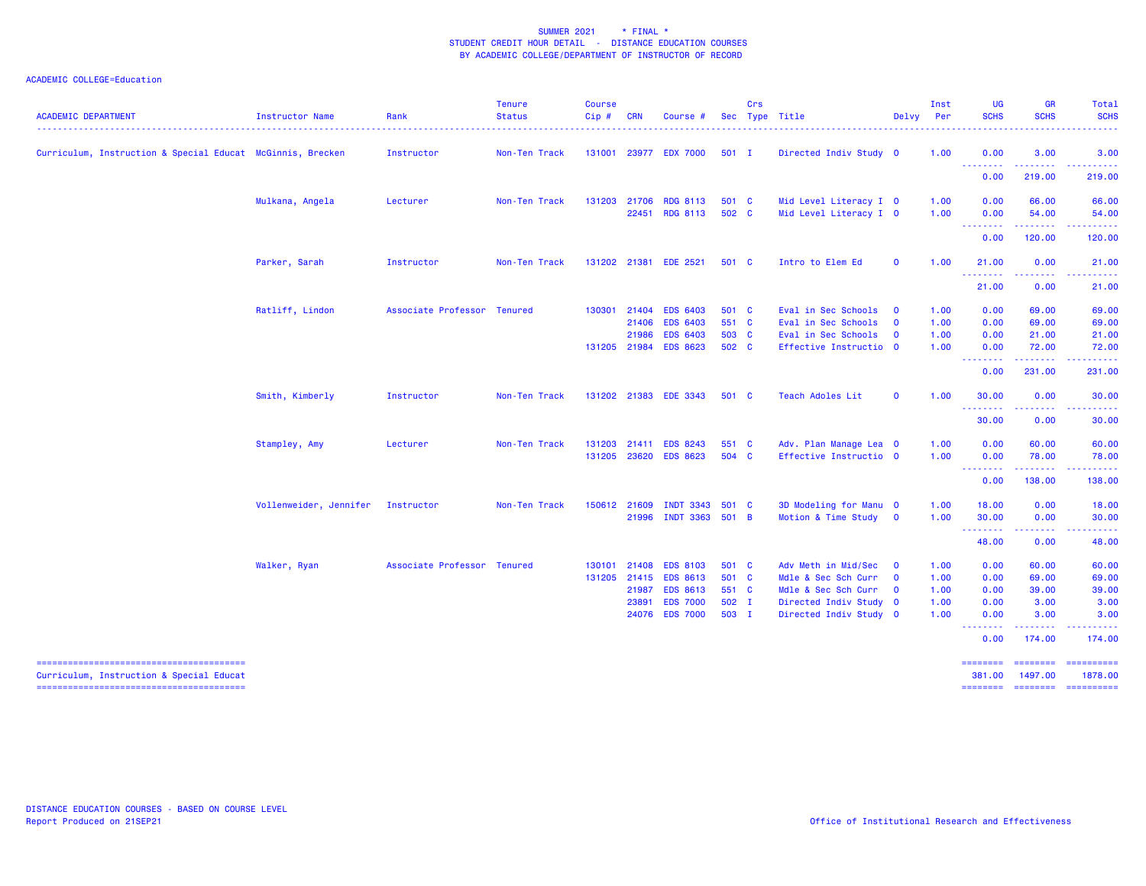| <b>ACADEMIC DEPARTMENT</b>                                 | <b>Instructor Name</b> | Rank                        | <b>Tenure</b><br><b>Status</b> | <b>Course</b><br>Cip#  | <b>CRN</b>                                | <b>Course</b>                                                                               |                                           | Crs | Sec Type Title                                                                                                        | Delvy                                                                         | Inst<br>Per                          | <b>UG</b><br><b>SCHS</b>                         | <b>GR</b><br><b>SCHS</b>                     | Total<br><b>SCHS</b>                        |
|------------------------------------------------------------|------------------------|-----------------------------|--------------------------------|------------------------|-------------------------------------------|---------------------------------------------------------------------------------------------|-------------------------------------------|-----|-----------------------------------------------------------------------------------------------------------------------|-------------------------------------------------------------------------------|--------------------------------------|--------------------------------------------------|----------------------------------------------|---------------------------------------------|
| Curriculum, Instruction & Special Educat McGinnis, Brecken |                        | Instructor                  | Non-Ten Track                  |                        |                                           | 131001 23977 EDX 7000                                                                       | $501$ I                                   |     | Directed Indiv Study 0                                                                                                |                                                                               | 1.00                                 | 0.00                                             | 3.00                                         | 3.00                                        |
|                                                            |                        |                             |                                |                        |                                           |                                                                                             |                                           |     |                                                                                                                       |                                                                               |                                      | .<br>0.00                                        | 219.00                                       | 219.00                                      |
|                                                            | Mulkana, Angela        | Lecturer                    | Non-Ten Track                  | 131203                 | 21706<br>22451                            | <b>RDG 8113</b><br><b>RDG 8113</b>                                                          | 501 C<br>502 C                            |     | Mid Level Literacy I 0<br>Mid Level Literacy I 0                                                                      |                                                                               | 1.00<br>1.00                         | 0.00<br>0.00                                     | 66.00<br>54.00                               | 66.00<br>54.00                              |
|                                                            |                        |                             |                                |                        |                                           |                                                                                             |                                           |     |                                                                                                                       |                                                                               |                                      | .<br>0.00                                        | .<br>120.00                                  | 120.00                                      |
|                                                            | Parker, Sarah          | Instructor                  | Non-Ten Track                  | 131202 21381           |                                           | <b>EDE 2521</b>                                                                             | 501 C                                     |     | Intro to Elem Ed                                                                                                      | $\mathbf{o}$                                                                  | 1.00                                 | 21.00                                            | 0.00                                         | 21.00                                       |
|                                                            |                        |                             |                                |                        |                                           |                                                                                             |                                           |     |                                                                                                                       |                                                                               |                                      | .<br>21.00                                       | 0.00                                         | . <b>.</b> .<br>21.00                       |
|                                                            | Ratliff, Lindon        | Associate Professor Tenured |                                | 130301<br>131205 21984 | 21404<br>21406<br>21986                   | <b>EDS 6403</b><br><b>EDS 6403</b><br><b>EDS 6403</b><br><b>EDS 8623</b>                    | 501 C<br>551 C<br>503 C<br>502 C          |     | Eval in Sec Schools<br>Eval in Sec Schools<br>Eval in Sec Schools<br>Effective Instructio 0                           | $\overline{\mathbf{0}}$<br>$\mathbf 0$<br>$\mathbf 0$                         | 1.00<br>1.00<br>1.00<br>1.00         | 0.00<br>0.00<br>0.00<br>0.00                     | 69.00<br>69.00<br>21.00<br>72.00             | 69.00<br>69.00<br>21.00<br>72.00            |
|                                                            |                        |                             |                                |                        |                                           |                                                                                             |                                           |     |                                                                                                                       |                                                                               |                                      | .<br>0.00                                        | 231.00                                       | .<br>231.00                                 |
|                                                            | Smith, Kimberly        | Instructor                  | Non-Ten Track                  |                        |                                           | 131202 21383 EDE 3343                                                                       | 501 C                                     |     | Teach Adoles Lit                                                                                                      | $\mathbf{o}$                                                                  | 1.00                                 | 30.00                                            | 0.00                                         | 30,00                                       |
|                                                            |                        |                             |                                |                        |                                           |                                                                                             |                                           |     |                                                                                                                       |                                                                               |                                      | ---------<br>30.00                               | .<br>0.00                                    | . <b>.</b><br>30.00                         |
|                                                            | Stampley, Amy          | Lecturer                    | Non-Ten Track                  | 131203<br>131205       |                                           | 21411 EDS 8243<br>23620 EDS 8623                                                            | 551 C<br>504 C                            |     | Adv. Plan Manage Lea 0<br>Effective Instructio 0                                                                      |                                                                               | 1.00<br>1.00                         | 0.00<br>0.00<br><u> - - - - - - - -</u>          | 60.00<br>78.00<br>.                          | 60.00<br>78.00<br>.                         |
|                                                            |                        |                             |                                |                        |                                           |                                                                                             |                                           |     |                                                                                                                       |                                                                               |                                      | 0.00                                             | 138.00                                       | 138.00                                      |
|                                                            | Vollenweider, Jennifer | Instructor                  | Non-Ten Track                  | 150612 21609           | 21996                                     | INDT 3343 501 C<br>INDT 3363 501 B                                                          |                                           |     | 3D Modeling for Manu 0<br>Motion & Time Study 0                                                                       |                                                                               | 1.00<br>1.00                         | 18.00<br>30.00<br>.                              | 0.00<br>0.00<br>$- - - - - -$                | 18.00<br>30.00<br>.                         |
|                                                            |                        |                             |                                |                        |                                           |                                                                                             |                                           |     |                                                                                                                       |                                                                               |                                      | 48.00                                            | 0.00                                         | 48.00                                       |
|                                                            | Walker, Ryan           | Associate Professor Tenured |                                | 130101<br>131205       | 21408<br>21415<br>21987<br>23891<br>24076 | <b>EDS 8103</b><br><b>EDS 8613</b><br><b>EDS 8613</b><br><b>EDS 7000</b><br><b>EDS 7000</b> | 501 C<br>501 C<br>551 C<br>502 I<br>503 I |     | Adv Meth in Mid/Sec<br>Mdle & Sec Sch Curr<br>Mdle & Sec Sch Curr<br>Directed Indiv Study 0<br>Directed Indiv Study 0 | $\overline{\mathbf{0}}$<br>$\overline{\mathbf{0}}$<br>$\overline{\mathbf{0}}$ | 1.00<br>1.00<br>1.00<br>1.00<br>1.00 | 0.00<br>0.00<br>0.00<br>0.00<br>0.00<br>-------- | 60.00<br>69.00<br>39.00<br>3.00<br>3.00<br>. | 60.00<br>69.00<br>39.00<br>3.00<br>3.00     |
|                                                            |                        |                             |                                |                        |                                           |                                                                                             |                                           |     |                                                                                                                       |                                                                               |                                      | 0.00                                             | 174.00                                       | 174.00                                      |
| Curriculum, Instruction & Special Educat                   |                        |                             |                                |                        |                                           |                                                                                             |                                           |     |                                                                                                                       |                                                                               |                                      | ========<br>381,00<br><b>EDESSERS</b>            | ========<br>1497.00<br><b>CONSIGNS</b>       | $=$ ==========<br>1878.00<br>$-$ ========== |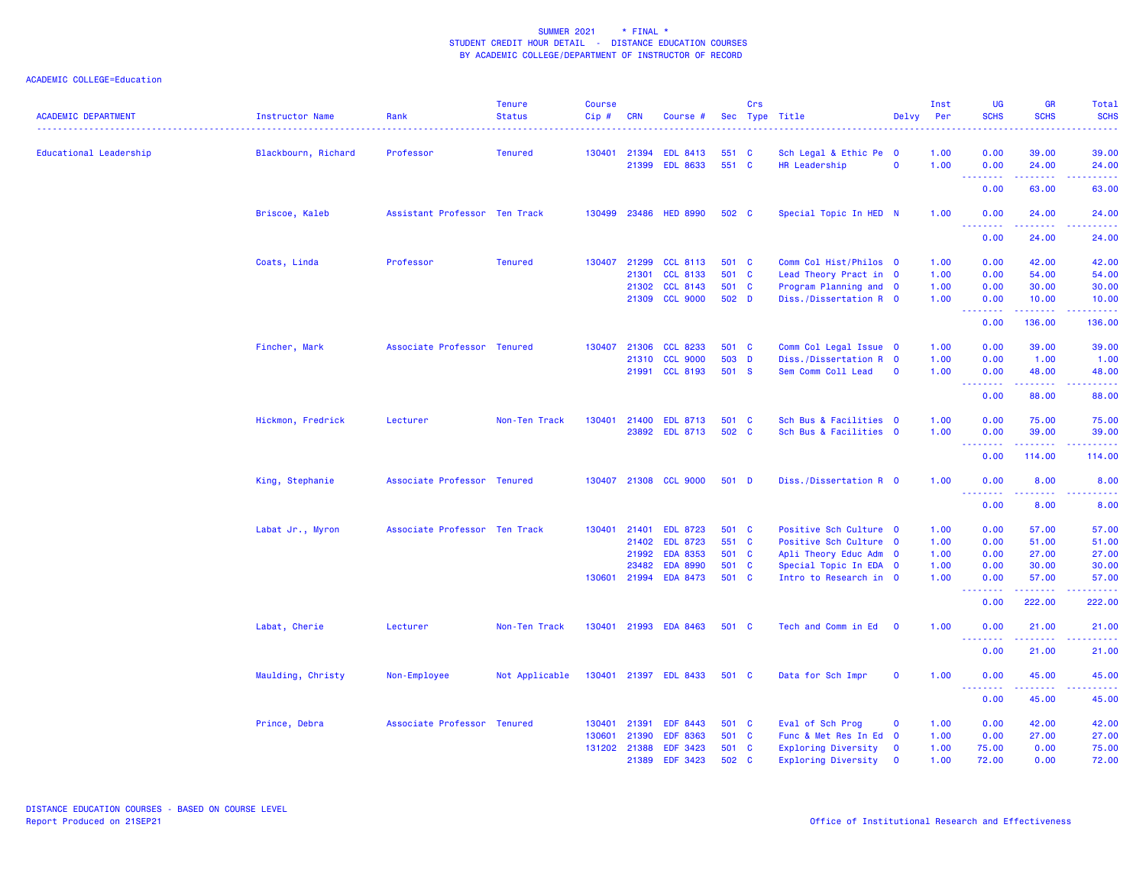| <b>ACADEMIC DEPARTMENT</b> | Instructor Name     | Rank                          | <b>Tenure</b><br><b>Status</b> | <b>Course</b><br>Cip# | <b>CRN</b>     | Course #                           |              | Crs          | Sec Type Title                          | Delvy                   | Inst<br><b>Per</b> | <b>UG</b><br><b>SCHS</b>        | <b>GR</b><br><b>SCHS</b>                                                                                                        | Total<br><b>SCHS</b>                                                                                                                                          |
|----------------------------|---------------------|-------------------------------|--------------------------------|-----------------------|----------------|------------------------------------|--------------|--------------|-----------------------------------------|-------------------------|--------------------|---------------------------------|---------------------------------------------------------------------------------------------------------------------------------|---------------------------------------------------------------------------------------------------------------------------------------------------------------|
| Educational Leadership     | Blackbourn, Richard | Professor                     | <b>Tenured</b>                 | 130401                | 21394<br>21399 | <b>EDL 8413</b><br><b>EDL 8633</b> | 551<br>551 C | <b>C</b>     | Sch Legal & Ethic Pe 0<br>HR Leadership | $\mathbf 0$             | 1.00<br>1.00       | 0.00<br>0.00                    | 39.00<br>24.00                                                                                                                  | 39.00<br>24.00                                                                                                                                                |
|                            |                     |                               |                                |                       |                |                                    |              |              |                                         |                         |                    | .<br>0.00                       | .<br>63.00                                                                                                                      | .<br>63.00                                                                                                                                                    |
|                            | Briscoe, Kaleb      | Assistant Professor Ten Track |                                | 130499                | 23486          | <b>HED 8990</b>                    | 502 C        |              | Special Topic In HED N                  |                         | 1.00               | 0.00                            | 24.00                                                                                                                           | 24.00                                                                                                                                                         |
|                            |                     |                               |                                |                       |                |                                    |              |              |                                         |                         |                    | <u> - - - - - - - -</u><br>0.00 | .<br>24.00                                                                                                                      | .<br>24.00                                                                                                                                                    |
|                            | Coats, Linda        | Professor                     | <b>Tenured</b>                 | 130407                | 21299          | <b>CCL 8113</b>                    | 501 C        |              | Comm Col Hist/Philos 0                  |                         | 1.00               | 0.00                            | 42.00                                                                                                                           | 42.00                                                                                                                                                         |
|                            |                     |                               |                                |                       | 21301          | <b>CCL 8133</b>                    | 501 C        |              | Lead Theory Pract in 0                  |                         | 1.00               | 0.00                            | 54.00                                                                                                                           | 54.00                                                                                                                                                         |
|                            |                     |                               |                                |                       | 21302          | <b>CCL 8143</b>                    | 501 C        |              | Program Planning and 0                  |                         | 1.00               | 0.00                            | 30.00                                                                                                                           | 30.00                                                                                                                                                         |
|                            |                     |                               |                                |                       | 21309          | <b>CCL 9000</b>                    | 502 D        |              | Diss./Dissertation R 0                  |                         | 1.00               | 0.00<br><u> - - - - - - - -</u> | 10.00<br>.                                                                                                                      | 10.00<br><u>.</u>                                                                                                                                             |
|                            |                     |                               |                                |                       |                |                                    |              |              |                                         |                         |                    | 0.00                            | 136.00                                                                                                                          | 136.00                                                                                                                                                        |
|                            | Fincher, Mark       | Associate Professor Tenured   |                                | 130407                | 21306          | <b>CCL 8233</b>                    | 501 C        |              | Comm Col Legal Issue 0                  |                         | 1.00               | 0.00                            | 39.00                                                                                                                           | 39.00                                                                                                                                                         |
|                            |                     |                               |                                |                       | 21310          | <b>CCL 9000</b>                    | 503 D        |              | Diss./Dissertation R 0                  |                         | 1.00               | 0.00                            | 1.00                                                                                                                            | 1.00                                                                                                                                                          |
|                            |                     |                               |                                |                       |                | 21991 CCL 8193                     | 501 S        |              | Sem Comm Coll Lead                      | $\mathbf 0$             | 1.00               | 0.00<br>.                       | 48.00<br>.                                                                                                                      | 48.00<br>$\frac{1}{2} \left( \frac{1}{2} \right) \left( \frac{1}{2} \right) \left( \frac{1}{2} \right) \left( \frac{1}{2} \right) \left( \frac{1}{2} \right)$ |
|                            |                     |                               |                                |                       |                |                                    |              |              |                                         |                         |                    | 0.00                            | 88.00                                                                                                                           | 88.00                                                                                                                                                         |
|                            | Hickmon, Fredrick   | Lecturer                      | Non-Ten Track                  | 130401                | 21400          | <b>EDL 8713</b>                    | 501          | <b>C</b>     | Sch Bus & Facilities 0                  |                         | 1.00               | 0.00                            | 75.00                                                                                                                           | 75.00                                                                                                                                                         |
|                            |                     |                               |                                |                       |                | 23892 EDL 8713                     | 502 C        |              | Sch Bus & Facilities 0                  |                         | 1.00               | 0.00                            | 39.00                                                                                                                           | 39.00                                                                                                                                                         |
|                            |                     |                               |                                |                       |                |                                    |              |              |                                         |                         |                    | .<br>0.00                       | $\begin{array}{cccccccccc} \bullet & \bullet & \bullet & \bullet & \bullet & \bullet & \bullet & \bullet \end{array}$<br>114.00 | .<br>114.00                                                                                                                                                   |
|                            | King, Stephanie     | Associate Professor Tenured   |                                |                       |                | 130407 21308 CCL 9000              | 501 D        |              | Diss./Dissertation R 0                  |                         | 1.00               | 0.00                            | 8.00                                                                                                                            | 8.00                                                                                                                                                          |
|                            |                     |                               |                                |                       |                |                                    |              |              |                                         |                         |                    | 0.00                            | 8.00                                                                                                                            | 8.00                                                                                                                                                          |
|                            |                     |                               |                                |                       |                |                                    |              |              |                                         |                         |                    |                                 |                                                                                                                                 |                                                                                                                                                               |
|                            | Labat Jr., Myron    | Associate Professor Ten Track |                                | 130401                | 21401          | <b>EDL 8723</b>                    | 501 C        |              | Positive Sch Culture 0                  |                         | 1.00               | 0.00                            | 57.00                                                                                                                           | 57.00                                                                                                                                                         |
|                            |                     |                               |                                |                       | 21402          | <b>EDL 8723</b>                    | 551 C        |              | Positive Sch Culture 0                  |                         | 1.00               | 0.00                            | 51.00                                                                                                                           | 51.00                                                                                                                                                         |
|                            |                     |                               |                                |                       | 21992          | <b>EDA 8353</b>                    | 501 C        |              | Apli Theory Educ Adm 0                  |                         | 1.00               | 0.00                            | 27.00                                                                                                                           | 27.00                                                                                                                                                         |
|                            |                     |                               |                                |                       | 23482          | <b>EDA 8990</b>                    | 501 C        |              | Special Topic In EDA 0                  |                         | 1.00               | 0.00                            | 30.00                                                                                                                           | 30.00                                                                                                                                                         |
|                            |                     |                               |                                | 130601                | 21994          | <b>EDA 8473</b>                    | 501 C        |              | Intro to Research in 0                  |                         | 1.00               | 0.00<br>.                       | 57.00<br>.                                                                                                                      | 57.00<br>.                                                                                                                                                    |
|                            |                     |                               |                                |                       |                |                                    |              |              |                                         |                         |                    | 0.00                            | 222.00                                                                                                                          | 222.00                                                                                                                                                        |
|                            | Labat, Cherie       | Lecturer                      | Non-Ten Track                  |                       |                | 130401 21993 EDA 8463              | 501 C        |              | Tech and Comm in Ed                     | $\overline{\mathbf{0}}$ | 1.00               | 0.00<br>.                       | 21.00<br><b>.</b>                                                                                                               | 21.00<br>.                                                                                                                                                    |
|                            |                     |                               |                                |                       |                |                                    |              |              |                                         |                         |                    | 0.00                            | 21.00                                                                                                                           | 21.00                                                                                                                                                         |
|                            | Maulding, Christy   | Non-Employee                  | Not Applicable                 |                       |                | 130401 21397 EDL 8433              | 501 C        |              | Data for Sch Impr                       | $\mathbf{o}$            | 1.00               | 0.00<br>--------                | 45.00<br>. <b>.</b>                                                                                                             | 45.00<br>.                                                                                                                                                    |
|                            |                     |                               |                                |                       |                |                                    |              |              |                                         |                         |                    | 0.00                            | 45.00                                                                                                                           | 45.00                                                                                                                                                         |
|                            | Prince, Debra       | Associate Professor Tenured   |                                | 130401                | 21391          | <b>EDF 8443</b>                    | 501 C        |              | Eval of Sch Prog                        | $\mathbf 0$             | 1.00               | 0.00                            | 42.00                                                                                                                           | 42.00                                                                                                                                                         |
|                            |                     |                               |                                | 130601                | 21390          | <b>EDF 8363</b>                    | 501 C        |              | Func & Met Res In Ed 0                  |                         | 1.00               | 0.00                            | 27.00                                                                                                                           | 27.00                                                                                                                                                         |
|                            |                     |                               |                                | 131202                | 21388          | <b>EDF 3423</b>                    | 501          | $\mathbf{C}$ | <b>Exploring Diversity</b>              | $\mathbf{o}$            | 1.00               | 75.00                           | 0.00                                                                                                                            | 75.00                                                                                                                                                         |
|                            |                     |                               |                                |                       | 21389          | EDF 3423                           | 502 C        |              | Exploring Diversity                     | $\mathbf 0$             | 1.00               | 72.00                           | 0.00                                                                                                                            | 72.00                                                                                                                                                         |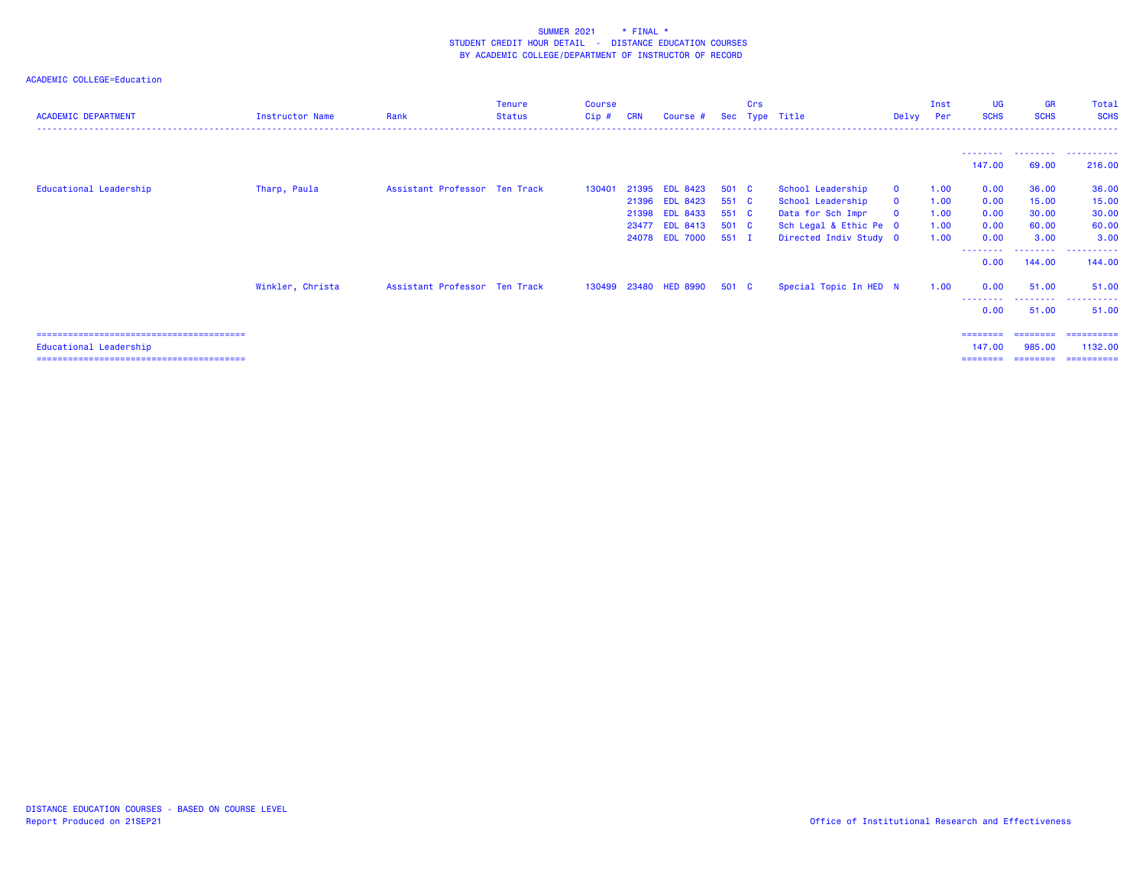| <b>ACADEMIC DEPARTMENT</b> | Instructor Name  | Rank                          | Tenure<br><b>Status</b> | <b>Course</b><br>Cip # | <b>CRN</b> | Course #              | <b>Sec</b> | Crs | Type Title             | Delvy        | Inst<br>Per | UG<br><b>SCHS</b>               | <b>GR</b><br><b>SCHS</b> | <b>Total</b><br><b>SCHS</b> |
|----------------------------|------------------|-------------------------------|-------------------------|------------------------|------------|-----------------------|------------|-----|------------------------|--------------|-------------|---------------------------------|--------------------------|-----------------------------|
|                            |                  |                               |                         |                        |            |                       |            |     |                        |              |             |                                 | ---------                | .                           |
|                            |                  |                               |                         |                        |            |                       |            |     |                        |              |             | 147.00                          | 69.00                    | 216.00                      |
| Educational Leadership     | Tharp, Paula     | Assistant Professor Ten Track |                         | 130401                 | 21395      | <b>EDL 8423</b>       | 501 C      |     | School Leadership      | $\mathbf{O}$ | 1.00        | 0.00                            | 36.00                    | 36.00                       |
|                            |                  |                               |                         |                        |            | 21396 EDL 8423        | 551 C      |     | School Leadership      | $\mathbf{0}$ | 1.00        | 0.00                            | 15.00                    | 15.00                       |
|                            |                  |                               |                         |                        |            | 21398 EDL 8433        | 551 C      |     | Data for Sch Impr      | $\mathbf{o}$ | 1.00        | 0.00                            | 30.00                    | 30.00                       |
|                            |                  |                               |                         |                        | 23477      | <b>EDL 8413</b>       | 501 C      |     | Sch Legal & Ethic Pe 0 |              | 1.00        | 0.00                            | 60.00                    | 60.00                       |
|                            |                  |                               |                         |                        |            | 24078 EDL 7000        | 551 I      |     | Directed Indiv Study 0 |              | 1.00        | 0.00                            | 3.00                     | 3.00                        |
|                            |                  |                               |                         |                        |            |                       |            |     |                        |              |             | <u> - - - - - - - -</u><br>0.00 | .<br>144.00              | <u>----------</u><br>144.00 |
|                            | Winkler, Christa | Assistant Professor Ten Track |                         |                        |            | 130499 23480 HED 8990 | 501 C      |     | Special Topic In HED N |              | 1.00        | 0.00                            | 51.00                    | 51.00                       |
|                            |                  |                               |                         |                        |            |                       |            |     |                        |              |             | 0.00                            | 51.00                    | 51.00                       |
|                            |                  |                               |                         |                        |            |                       |            |     |                        |              |             | ========                        | ========                 | ==========                  |
| Educational Leadership     |                  |                               |                         |                        |            |                       |            |     |                        |              |             | 147,00                          | 985,00                   | 1132.00                     |
|                            |                  |                               |                         |                        |            |                       |            |     |                        |              |             |                                 |                          | ==========                  |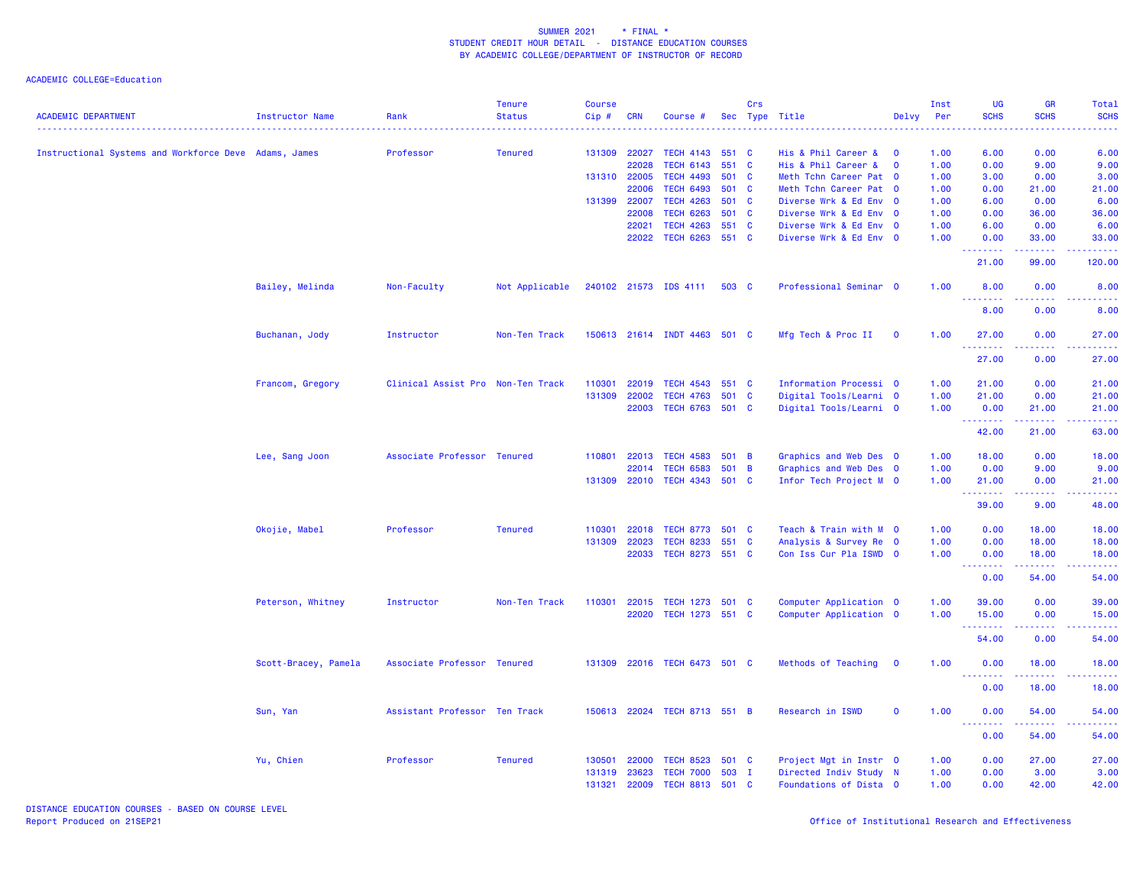|                                                       |                      |                                   | <b>Tenure</b>  | <b>Course</b> |              |                              |       | Crs            |                        |             | Inst | UG                              | <b>GR</b>                                                                                                                                                     | Total              |
|-------------------------------------------------------|----------------------|-----------------------------------|----------------|---------------|--------------|------------------------------|-------|----------------|------------------------|-------------|------|---------------------------------|---------------------------------------------------------------------------------------------------------------------------------------------------------------|--------------------|
| <b>ACADEMIC DEPARTMENT</b>                            | Instructor Name      | Rank                              | <b>Status</b>  | Cip#          | <b>CRN</b>   | Course #                     |       |                | Sec Type Title         | Delvy       | Per  | <b>SCHS</b>                     | <b>SCHS</b>                                                                                                                                                   | <b>SCHS</b>        |
| Instructional Systems and Workforce Deve Adams, James |                      | Professor                         | <b>Tenured</b> |               | 131309 22027 | TECH 4143 551 C              |       |                | His & Phil Career &    | - 0         | 1.00 | 6.00                            | 0.00                                                                                                                                                          | 6.00               |
|                                                       |                      |                                   |                |               | 22028        | <b>TECH 6143</b>             | 551 C |                | His & Phil Career &    | $\mathbf 0$ | 1.00 | 0.00                            | 9.00                                                                                                                                                          | 9.00               |
|                                                       |                      |                                   |                |               | 131310 22005 | <b>TECH 4493</b>             | 501 C |                | Meth Tchn Career Pat 0 |             | 1.00 | 3.00                            | 0.00                                                                                                                                                          | 3.00               |
|                                                       |                      |                                   |                |               | 22006        | <b>TECH 6493</b>             | 501 C |                | Meth Tchn Career Pat 0 |             | 1.00 | 0.00                            | 21.00                                                                                                                                                         | 21.00              |
|                                                       |                      |                                   |                |               | 131399 22007 | <b>TECH 4263</b>             | 501 C |                | Diverse Wrk & Ed Env 0 |             | 1.00 | 6.00                            | 0.00                                                                                                                                                          | 6.00               |
|                                                       |                      |                                   |                |               | 22008        | <b>TECH 6263</b>             | 501 C |                | Diverse Wrk & Ed Env 0 |             | 1.00 | 0.00                            | 36.00                                                                                                                                                         | 36.00              |
|                                                       |                      |                                   |                |               | 22021        | <b>TECH 4263</b>             | 551 C |                | Diverse Wrk & Ed Env 0 |             | 1.00 | 6.00                            | 0.00                                                                                                                                                          | 6.00               |
|                                                       |                      |                                   |                |               |              | 22022 TECH 6263 551 C        |       |                | Diverse Wrk & Ed Env 0 |             | 1.00 | 0.00                            | 33.00                                                                                                                                                         | 33.00              |
|                                                       |                      |                                   |                |               |              |                              |       |                |                        |             |      | <u>.</u><br>21.00               | 99.00                                                                                                                                                         | <u>.</u><br>120.00 |
|                                                       | Bailey, Melinda      | Non-Faculty                       | Not Applicable |               |              | 240102 21573 IDS 4111        | 503 C |                | Professional Seminar 0 |             | 1.00 | 8.00<br><u> - - - - - - - -</u> | 0.00<br>.                                                                                                                                                     | 8.00               |
|                                                       |                      |                                   |                |               |              |                              |       |                |                        |             |      | 8.00                            | 0.00                                                                                                                                                          | 8.00               |
|                                                       | Buchanan, Jody       | Instructor                        | Non-Ten Track  |               |              | 150613 21614 INDT 4463 501 C |       |                | Mfg Tech & Proc II     | $\mathbf 0$ | 1.00 | 27,00<br>.                      | 0.00<br>22222                                                                                                                                                 | 27.00<br>.         |
|                                                       |                      |                                   |                |               |              |                              |       |                |                        |             |      | 27.00                           | 0.00                                                                                                                                                          | 27.00              |
|                                                       | Francom, Gregory     | Clinical Assist Pro Non-Ten Track |                | 110301        | 22019        | TECH 4543 551 C              |       |                | Information Processi 0 |             | 1.00 | 21.00                           | 0.00                                                                                                                                                          | 21.00              |
|                                                       |                      |                                   |                | 131309        | 22002        | <b>TECH 4763</b>             | 501 C |                | Digital Tools/Learni 0 |             | 1.00 | 21.00                           | 0.00                                                                                                                                                          | 21.00              |
|                                                       |                      |                                   |                |               | 22003        | TECH 6763 501 C              |       |                | Digital Tools/Learni 0 |             | 1.00 | 0.00                            | 21.00                                                                                                                                                         | 21.00              |
|                                                       |                      |                                   |                |               |              |                              |       |                |                        |             |      | .                               | $\omega$ is $\omega$ in $\omega$                                                                                                                              | .                  |
|                                                       |                      |                                   |                |               |              |                              |       |                |                        |             |      | 42.00                           | 21.00                                                                                                                                                         | 63.00              |
|                                                       | Lee, Sang Joon       | Associate Professor Tenured       |                | 110801        | 22013        | <b>TECH 4583</b>             | 501 B |                | Graphics and Web Des 0 |             | 1.00 | 18.00                           | 0.00                                                                                                                                                          | 18.00              |
|                                                       |                      |                                   |                |               | 22014        | <b>TECH 6583</b>             | 501   | $\blacksquare$ | Graphics and Web Des 0 |             | 1.00 | 0.00                            | 9.00                                                                                                                                                          | 9.00               |
|                                                       |                      |                                   |                |               |              | 131309 22010 TECH 4343 501 C |       |                | Infor Tech Project M 0 |             | 1.00 | 21.00<br>--------               | 0.00<br>$\frac{1}{2} \left( \frac{1}{2} \right) \left( \frac{1}{2} \right) \left( \frac{1}{2} \right) \left( \frac{1}{2} \right) \left( \frac{1}{2} \right)$  | 21.00<br>.         |
|                                                       |                      |                                   |                |               |              |                              |       |                |                        |             |      | 39.00                           | 9.00                                                                                                                                                          | 48.00              |
|                                                       | Okojie, Mabel        | Professor                         | <b>Tenured</b> | 110301        | 22018        | TECH 8773 501 C              |       |                | Teach & Train with M 0 |             | 1.00 | 0.00                            | 18.00                                                                                                                                                         | 18.00              |
|                                                       |                      |                                   |                | 131309        | 22023        | TECH 8233 551 C              |       |                | Analysis & Survey Re 0 |             | 1.00 | 0.00                            | 18.00                                                                                                                                                         | 18.00              |
|                                                       |                      |                                   |                |               | 22033        | TECH 8273 551 C              |       |                | Con Iss Cur Pla ISWD 0 |             | 1.00 | 0.00                            | 18.00                                                                                                                                                         | 18.00              |
|                                                       |                      |                                   |                |               |              |                              |       |                |                        |             |      | <u>.</u><br>0.00                | $\frac{1}{2} \left( \frac{1}{2} \right) \left( \frac{1}{2} \right) \left( \frac{1}{2} \right) \left( \frac{1}{2} \right) \left( \frac{1}{2} \right)$<br>54.00 | 54.00              |
|                                                       | Peterson, Whitney    | Instructor                        | Non-Ten Track  | 110301        | 22015        | TECH 1273 501 C              |       |                | Computer Application 0 |             | 1.00 | 39.00                           | 0.00                                                                                                                                                          | 39.00              |
|                                                       |                      |                                   |                |               |              | 22020 TECH 1273 551 C        |       |                | Computer Application 0 |             | 1.00 | 15.00                           | 0.00                                                                                                                                                          | 15.00              |
|                                                       |                      |                                   |                |               |              |                              |       |                |                        |             |      | 54.00                           | 0.00                                                                                                                                                          | 54.00              |
|                                                       | Scott-Bracey, Pamela | Associate Professor Tenured       |                |               |              | 131309 22016 TECH 6473 501 C |       |                | Methods of Teaching    | $\mathbf 0$ | 1.00 | 0.00                            | 18.00                                                                                                                                                         | 18.00              |
|                                                       |                      |                                   |                |               |              |                              |       |                |                        |             |      | <u>.</u><br>0.00                | $\frac{1}{2}$<br>18.00                                                                                                                                        | 18.00              |
|                                                       | Sun, Yan             | Assistant Professor Ten Track     |                |               |              | 150613 22024 TECH 8713 551 B |       |                | Research in ISWD       | $\mathbf 0$ | 1.00 | 0.00                            | 54.00                                                                                                                                                         | 54.00              |
|                                                       |                      |                                   |                |               |              |                              |       |                |                        |             |      | 0.00                            | 222222<br>54.00                                                                                                                                               | 54.00              |
|                                                       | Yu, Chien            | Professor                         | <b>Tenured</b> | 130501        | 22000        | TECH 8523 501 C              |       |                | Project Mgt in Instr 0 |             | 1.00 | 0.00                            | 27.00                                                                                                                                                         | 27.00              |
|                                                       |                      |                                   |                | 131319        | 23623        | TECH 7000 503                |       | $\mathbf{I}$   | Directed Indiv Study N |             | 1.00 | 0.00                            | 3.00                                                                                                                                                          | 3.00               |
|                                                       |                      |                                   |                | 131321        | 22009        | TECH 8813 501 C              |       |                | Foundations of Dista 0 |             | 1.00 | 0.00                            | 42.00                                                                                                                                                         | 42.00              |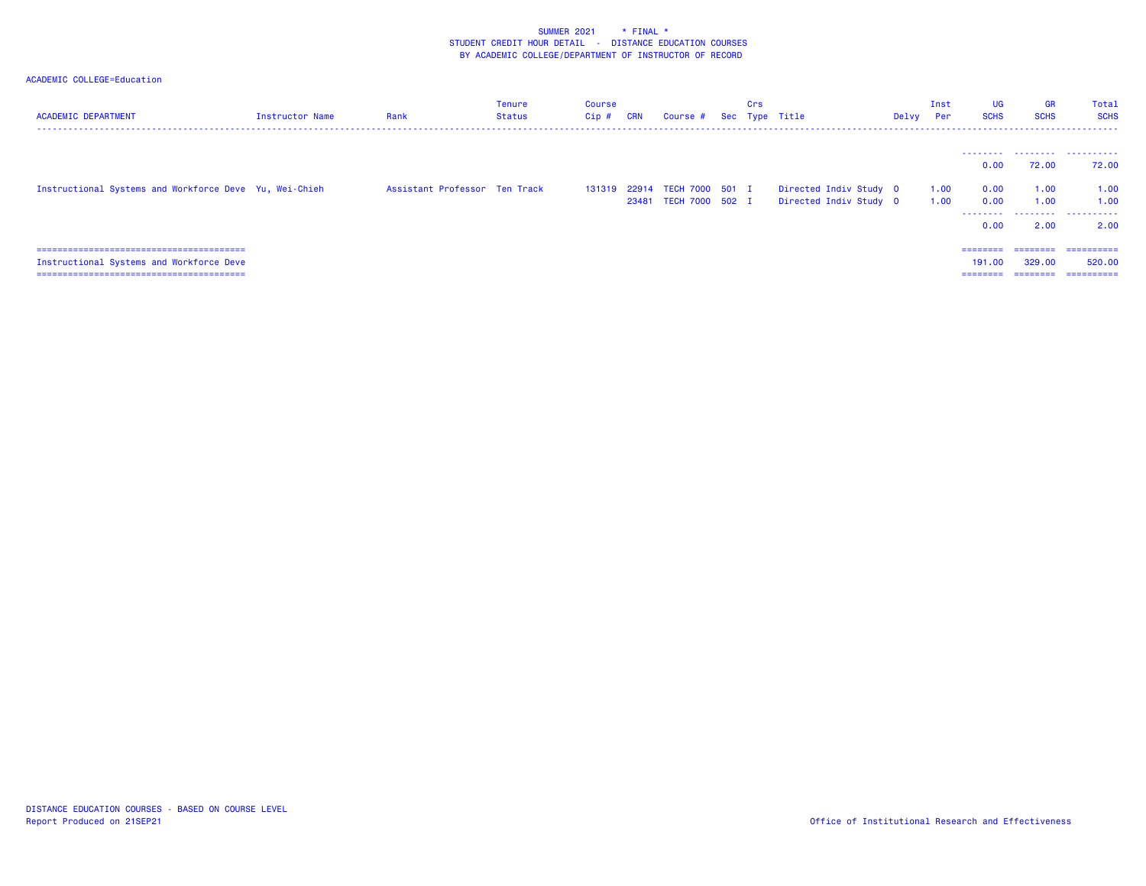| <b>ACADEMIC DEPARTMENT</b>                             | <b>Instructor Name</b> | Rank                          | Tenure<br>Status | <b>Course</b><br>Cip# | <b>CRN</b> | Course # Sec Type Title                               | Crs |                                                  | Delvy Per | Inst         | <b>UG</b><br><b>SCHS</b>     | <b>GR</b><br><b>SCHS</b> | Total<br><b>SCHS</b>               |
|--------------------------------------------------------|------------------------|-------------------------------|------------------|-----------------------|------------|-------------------------------------------------------|-----|--------------------------------------------------|-----------|--------------|------------------------------|--------------------------|------------------------------------|
|                                                        |                        |                               |                  |                       |            |                                                       |     |                                                  |           |              | 0.00                         | 72.00                    | <br>72.00                          |
| Instructional Systems and Workforce Deve Yu, Wei-Chieh |                        | Assistant Professor Ten Track |                  |                       |            | 131319 22914 TECH 7000 501 I<br>23481 TECH 7000 502 I |     | Directed Indiv Study 0<br>Directed Indiv Study 0 |           | 1.00<br>1.00 | 0.00<br>0.00<br>.            | 1.00<br>1.00             | 1.00<br>1.00<br>                   |
|                                                        |                        |                               |                  |                       |            |                                                       |     |                                                  |           |              | 0.00                         | 2.00                     | 2.00                               |
| Instructional Systems and Workforce Deve               |                        |                               |                  |                       |            |                                                       |     |                                                  |           |              | ========<br>191.00<br>====== | ========<br>329,00       | ==========<br>520,00<br>========== |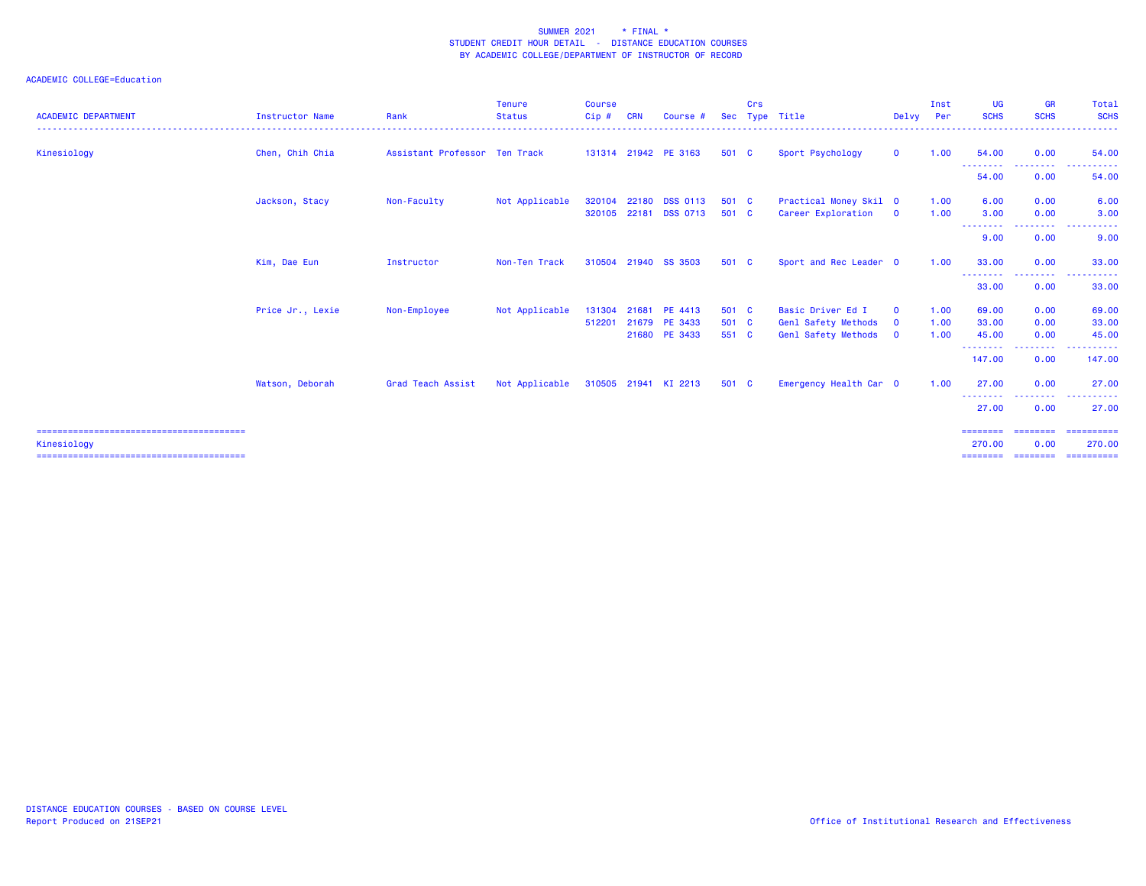| <b>ACADEMIC DEPARTMENT</b> | <b>Instructor Name</b> | Rank                          | Tenure<br><b>Status</b> | <b>Course</b><br>Cip# | <b>CRN</b> | Course #                          | <b>Sec</b>     | Crs | Type Title                                   | Delvy                       | Inst<br>Per  | <b>UG</b><br><b>SCHS</b> | <b>GR</b><br><b>SCHS</b> | Total<br><b>SCHS</b>                                                    |
|----------------------------|------------------------|-------------------------------|-------------------------|-----------------------|------------|-----------------------------------|----------------|-----|----------------------------------------------|-----------------------------|--------------|--------------------------|--------------------------|-------------------------------------------------------------------------|
| Kinesiology                | Chen, Chih Chia        | Assistant Professor Ten Track |                         |                       |            | 131314 21942 PE 3163              | 501 C          |     | Sport Psychology                             | $\mathbf{0}$                | 1.00         | 54.00                    | 0.00                     | 54.00                                                                   |
|                            |                        |                               |                         |                       |            |                                   |                |     |                                              |                             |              | --------<br>54.00        | .<br>0.00                | 54.00                                                                   |
|                            | Jackson, Stacy         | Non-Faculty                   | Not Applicable          | 320104<br>320105      | 22180      | <b>DSS 0113</b><br>22181 DSS 0713 | 501 C<br>501 C |     | Practical Money Skil 0<br>Career Exploration | $\overline{\mathbf{0}}$     | 1.00<br>1.00 | 6.00<br>3.00             | 0.00<br>0.00             | 6.00<br>3.00                                                            |
|                            |                        |                               |                         |                       |            |                                   |                |     |                                              |                             |              | --------<br>9.00         | <b></b><br>0.00          | $\sim$ $\sim$ $\sim$ $\sim$<br><b><i><u>A A A A A A</u></i></b><br>9.00 |
|                            | Kim, Dae Eun           | Instructor                    | Non-Ten Track           | 310504                |            | 21940 SS 3503                     | 501 C          |     | Sport and Rec Leader 0                       |                             | 1.00         | 33.00                    | 0.00                     | 33,00                                                                   |
|                            |                        |                               |                         |                       |            |                                   |                |     |                                              |                             |              | --------<br>33.00        | --------<br>0.00         | <u>.</u><br>33.00                                                       |
|                            | Price Jr., Lexie       | Non-Employee                  | Not Applicable          | 131304                | 21681      | PE 4413                           | 501 C          |     | Basic Driver Ed I                            | $\mathbf 0$                 | 1.00         | 69.00                    | 0.00                     | 69.00                                                                   |
|                            |                        |                               |                         | 512201                |            | 21679 PE 3433<br>21680 PE 3433    | 501 C<br>551 C |     | Genl Safety Methods<br>Genl Safety Methods   | $\mathbf 0$<br>$\mathbf{0}$ | 1.00<br>1.00 | 33.00<br>45.00           | 0.00<br>0.00             | 33.00<br>45.00                                                          |
|                            |                        |                               |                         |                       |            |                                   |                |     |                                              |                             |              | --------<br>147.00       | --------<br>0.00         | . <b>.</b><br>147.00                                                    |
|                            | Watson, Deborah        | Grad Teach Assist             | Not Applicable          |                       |            | 310505 21941 KI 2213              | 501 C          |     | Emergency Health Car 0                       |                             | 1.00         | 27.00                    | 0.00<br>.                | 27,00                                                                   |
|                            |                        |                               |                         |                       |            |                                   |                |     |                                              |                             |              | 27,00                    | 0.00                     | 27,00                                                                   |
| Kinesiology                |                        |                               |                         |                       |            |                                   |                |     |                                              |                             |              | ========<br>270.00       | ========<br>0.00         | - ==========<br>270,00                                                  |
|                            |                        |                               |                         |                       |            |                                   |                |     |                                              |                             |              | ========                 | ---------                | ==========                                                              |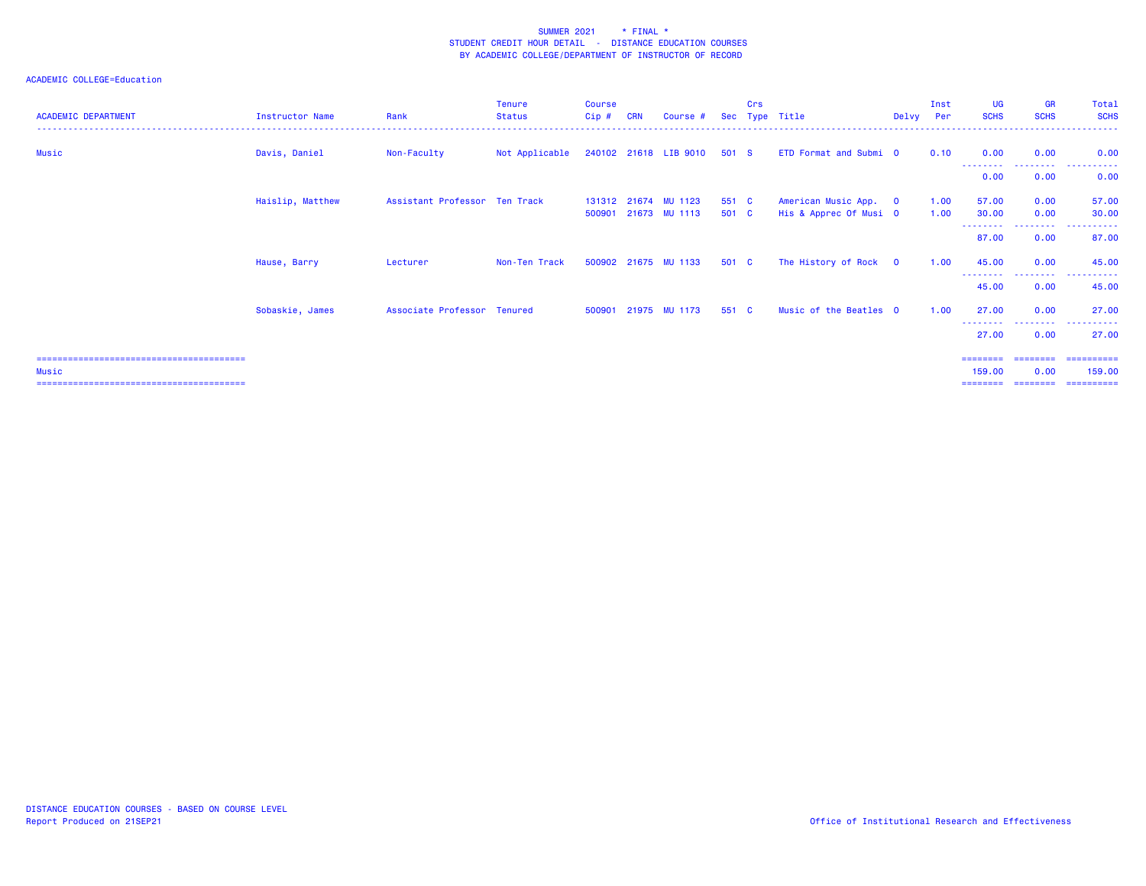| <b>ACADEMIC DEPARTMENT</b> | <b>Instructor Name</b> | Rank                          | <b>Tenure</b><br>Status | <b>Course</b><br>Cip# | <b>CRN</b> | Course #                              |                | <b>Crs</b> | Sec Type Title                                  | Delvy Per | Inst         | <b>UG</b><br><b>SCHS</b>   | <b>GR</b><br><b>SCHS</b> | Total<br><b>SCHS</b>  |
|----------------------------|------------------------|-------------------------------|-------------------------|-----------------------|------------|---------------------------------------|----------------|------------|-------------------------------------------------|-----------|--------------|----------------------------|--------------------------|-----------------------|
| Music                      | Davis, Daniel          | Non-Faculty                   | Not Applicable          |                       |            | 240102 21618 LIB 9010 501 S           |                |            | ETD Format and Submi 0                          |           | 0.10         | 0.00                       | 0.00                     | 0.00                  |
|                            |                        |                               |                         |                       |            |                                       |                |            |                                                 |           |              | 0.00                       | ---------<br>0.00        | .<br>0.00             |
|                            | Haislip, Matthew       | Assistant Professor Ten Track |                         | 500901                |            | 131312 21674 MU 1123<br>21673 MU 1113 | 551 C<br>501 C |            | American Music App. 0<br>His & Apprec Of Musi 0 |           | 1.00<br>1.00 | 57.00<br>30.00             | 0.00<br>0.00             | 57.00<br>30.00        |
|                            |                        |                               |                         |                       |            |                                       |                |            |                                                 |           |              | - - - - - - - - -<br>87.00 | ---------<br>0.00        | . <u>.</u> .<br>87.00 |
|                            | Hause, Barry           | Lecturer                      | Non-Ten Track           |                       |            | 500902 21675 MU 1133                  | 501 C          |            | The History of Rock 0                           |           | 1.00         | 45.00                      | 0.00                     | 45.00                 |
|                            |                        |                               |                         |                       |            |                                       |                |            |                                                 |           |              | 45.00                      | 0.00                     | 45.00                 |
|                            | Sobaskie, James        | Associate Professor Tenured   |                         | 500901                |            | 21975 MU 1173                         | 551 C          |            | Music of the Beatles 0                          |           | 1.00         | 27.00                      | 0.00                     | 27.00                 |
|                            |                        |                               |                         |                       |            |                                       |                |            |                                                 |           |              | 27.00                      | ---------<br>0.00        | .<br>27.00            |
|                            |                        |                               |                         |                       |            |                                       |                |            |                                                 |           |              | ========                   |                          | ========= ==========  |
| Music                      |                        |                               |                         |                       |            |                                       |                |            |                                                 |           |              | 159.00<br>========         | 0.00<br>========         | 159.00<br>----------- |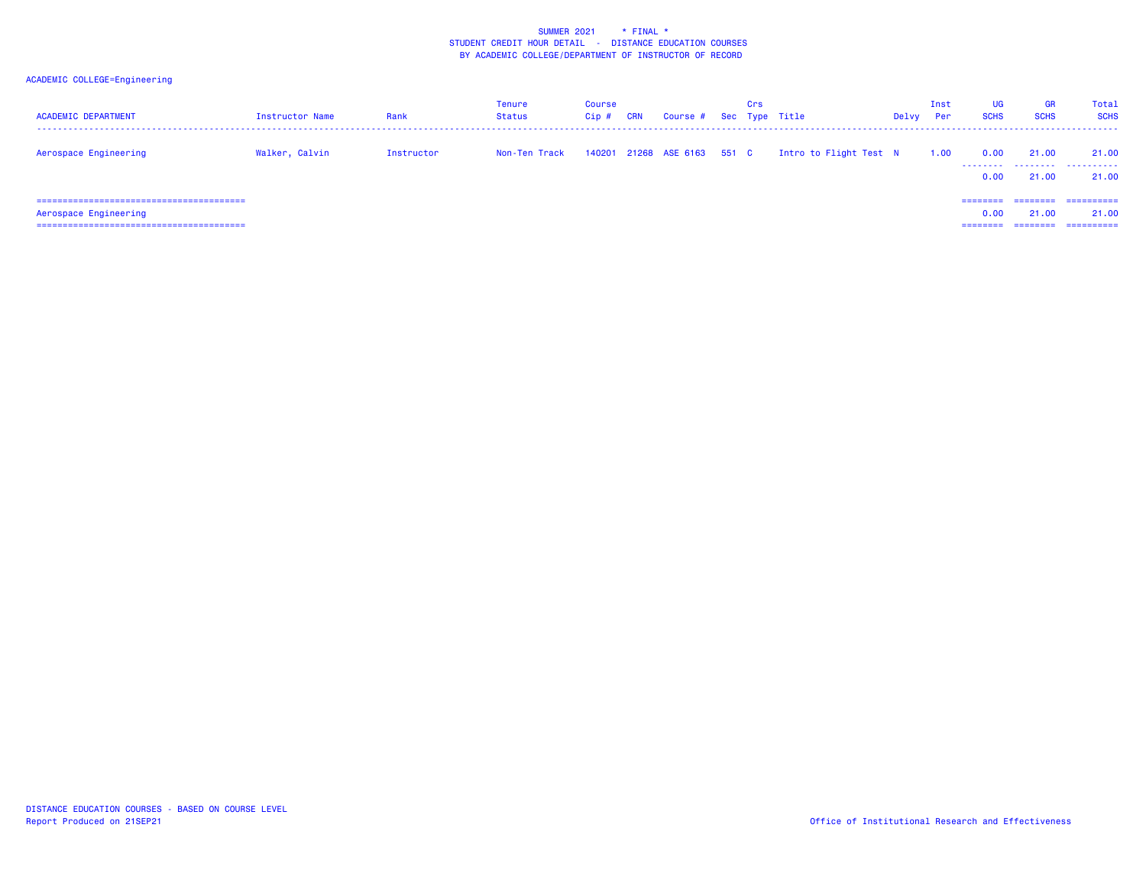| <b>ACADEMIC DEPARTMENT</b> | Instructor Name | Rank       | Tenure<br><b>Status</b> | <b>Course</b><br>Cip# | <b>CRN</b> | Course # Sec Type Title     | Crs |                        | Delvy | Inst<br>Per | <b>UG</b><br><b>SCHS</b>     | GR<br><b>SCHS</b> | Total<br><b>SCHS</b>               |
|----------------------------|-----------------|------------|-------------------------|-----------------------|------------|-----------------------------|-----|------------------------|-------|-------------|------------------------------|-------------------|------------------------------------|
| Aerospace Engineering      | Walker, Calvin  | Instructor | Non-Ten Track           |                       |            | 140201 21268 ASE 6163 551 C |     | Intro to Flight Test N |       | 1.00        | 0.00<br>0.00                 | 21.00<br>21.00    | 21,00<br>.<br>21.00                |
| Aerospace Engineering      |                 |            |                         |                       |            |                             |     |                        |       |             | ========<br>0.00<br>======== | ========<br>21,00 | -----------<br>21.00<br>========== |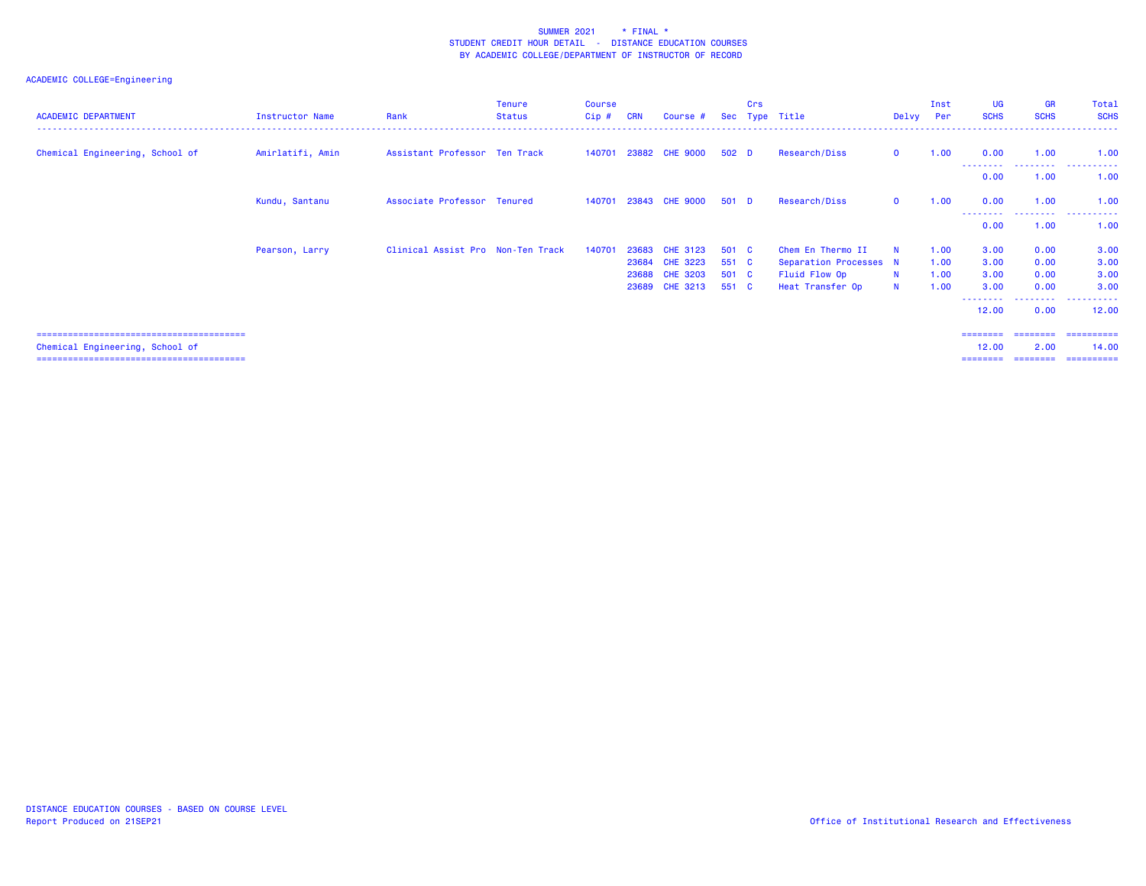## ACADEMIC COLLEGE=Engineering

| <b>ACADEMIC DEPARTMENT</b>      | Instructor Name  | Rank                              | <b>Tenure</b><br><b>Status</b> | <b>Course</b><br>Cip# | <b>CRN</b> | Course #        |       | <b>Crs</b> | Sec Type Title         | Delvy        | Inst<br>Per | <b>UG</b><br><b>SCHS</b> | <b>GR</b><br><b>SCHS</b> | Total<br><b>SCHS</b> |
|---------------------------------|------------------|-----------------------------------|--------------------------------|-----------------------|------------|-----------------|-------|------------|------------------------|--------------|-------------|--------------------------|--------------------------|----------------------|
| Chemical Engineering, School of | Amirlatifi, Amin | Assistant Professor Ten Track     |                                | 140701                |            | 23882 CHE 9000  | 502 D |            | Research/Diss          | $\mathbf{0}$ | 1.00        | 0.00                     | 1.00                     | 1.00                 |
|                                 |                  |                                   |                                |                       |            |                 |       |            |                        |              |             | ---------<br>0.00        | .<br>1.00                | .<br>1.00            |
|                                 | Kundu, Santanu   | Associate Professor Tenured       |                                | 140701                |            | 23843 CHE 9000  | 501 D |            | Research/Diss          | $\mathbf{0}$ | 1.00        | 0.00                     | 1.00                     | 1.00                 |
|                                 |                  |                                   |                                |                       |            |                 |       |            |                        |              |             | - - - - - - - -<br>0.00  | ---------<br>1.00        | .<br>1.00            |
|                                 | Pearson, Larry   | Clinical Assist Pro Non-Ten Track |                                | 140701                | 23683      | CHE 3123        | 501 C |            | Chem En Thermo II      | $\mathbf N$  | 1.00        | 3.00                     | 0.00                     | 3.00                 |
|                                 |                  |                                   |                                |                       | 23684      | <b>CHE 3223</b> | 551 C |            | Separation Processes N |              | 1.00        | 3.00                     | 0.00                     | 3.00                 |
|                                 |                  |                                   |                                |                       | 23688      | <b>CHE 3203</b> | 501 C |            | Fluid Flow Op          | N            | 1.00        | 3.00                     | 0.00                     | 3.00                 |
|                                 |                  |                                   |                                |                       | 23689      | <b>CHE 3213</b> | 551 C |            | Heat Transfer Op       | N            | 1.00        | 3.00                     | 0.00                     | 3.00                 |
|                                 |                  |                                   |                                |                       |            |                 |       |            |                        |              |             | --------<br>12.00        | ---------<br>0.00        | .<br>12.00           |
|                                 |                  |                                   |                                |                       |            |                 |       |            |                        |              |             | ========                 |                          | ==================== |
| Chemical Engineering, School of |                  |                                   |                                |                       |            |                 |       |            |                        |              |             | 12.00                    | 2.00                     | 14.00                |
|                                 |                  |                                   |                                |                       |            |                 |       |            |                        |              |             | ========                 | ---------                | -----------          |

======================================== ======== ======== ==========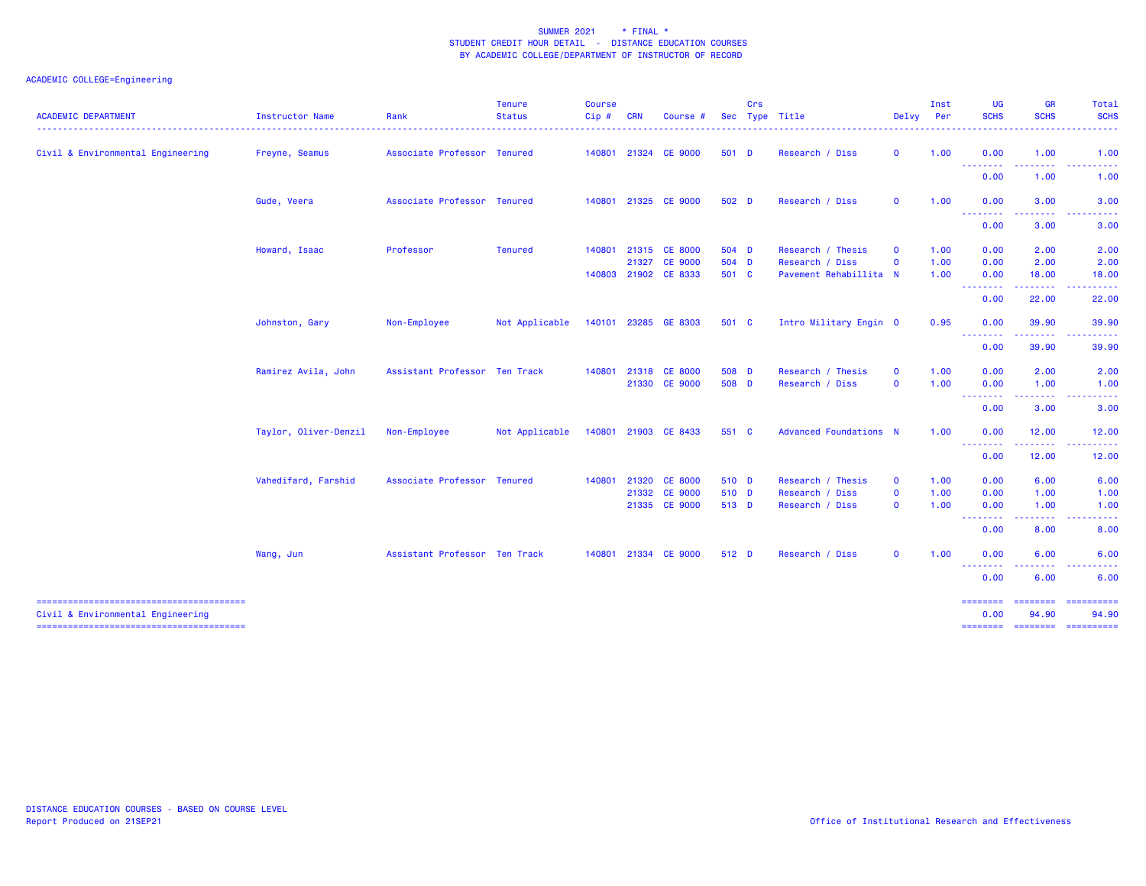| <b>ACADEMIC DEPARTMENT</b>        | Instructor Name       | Rank                          | <b>Tenure</b><br><b>Status</b> | <b>Course</b><br>Cip# | <b>CRN</b> | <b>Course</b> | Sec   | Crs | Type Title                    | Delvy       | Inst<br><b>Per</b> | <b>UG</b><br><b>SCHS</b>                           | <b>GR</b><br><b>SCHS</b>                                                                                                                                      | <b>Total</b><br><b>SCHS</b>                                                                                                                                                                                                                                                                                                                                                                                                                                                                     |
|-----------------------------------|-----------------------|-------------------------------|--------------------------------|-----------------------|------------|---------------|-------|-----|-------------------------------|-------------|--------------------|----------------------------------------------------|---------------------------------------------------------------------------------------------------------------------------------------------------------------|-------------------------------------------------------------------------------------------------------------------------------------------------------------------------------------------------------------------------------------------------------------------------------------------------------------------------------------------------------------------------------------------------------------------------------------------------------------------------------------------------|
| Civil & Environmental Engineering | Freyne, Seamus        | Associate Professor Tenured   |                                | 140801                |            | 21324 CE 9000 | 501 D |     | Research / Diss               | $\mathbf 0$ | 1.00               | 0.00<br><u> - - - - - - - -</u>                    | 1.00                                                                                                                                                          | 1.00                                                                                                                                                                                                                                                                                                                                                                                                                                                                                            |
|                                   |                       |                               |                                |                       |            |               |       |     |                               |             |                    | 0.00                                               | 1.00                                                                                                                                                          | 1.00                                                                                                                                                                                                                                                                                                                                                                                                                                                                                            |
|                                   | Gude, Veera           | Associate Professor Tenured   |                                | 140801                |            | 21325 CE 9000 | 502 D |     | Research / Diss               | $\mathbf 0$ | 1.00               | 0.00<br><b><i><u><u> - - - - - - -</u></u></i></b> | 3.00<br>$\frac{1}{2} \left( \frac{1}{2} \right) \left( \frac{1}{2} \right) \left( \frac{1}{2} \right) \left( \frac{1}{2} \right) \left( \frac{1}{2} \right)$  | 3.00<br>.                                                                                                                                                                                                                                                                                                                                                                                                                                                                                       |
|                                   |                       |                               |                                |                       |            |               |       |     |                               |             |                    | 0.00                                               | 3.00                                                                                                                                                          | 3.00                                                                                                                                                                                                                                                                                                                                                                                                                                                                                            |
|                                   | Howard, Isaac         | Professor                     | <b>Tenured</b>                 | 140801                |            | 21315 CE 8000 | 504 D |     | Research / Thesis             | $\mathbf 0$ | 1.00               | 0.00                                               | 2.00                                                                                                                                                          | 2.00                                                                                                                                                                                                                                                                                                                                                                                                                                                                                            |
|                                   |                       |                               |                                |                       |            | 21327 CE 9000 | 504 D |     | Research / Diss               | $\mathbf 0$ | 1.00               | 0.00                                               | 2.00                                                                                                                                                          | 2.00                                                                                                                                                                                                                                                                                                                                                                                                                                                                                            |
|                                   |                       |                               |                                | 140803                |            | 21902 CE 8333 | 501 C |     | Pavement Rehabillita N        |             | 1.00               | 0.00<br><b><i><u><u> - - - - - - -</u></u></i></b> | 18.00<br>$\frac{1}{2} \left( \frac{1}{2} \right) \left( \frac{1}{2} \right) \left( \frac{1}{2} \right) \left( \frac{1}{2} \right) \left( \frac{1}{2} \right)$ | 18.00<br>. <b>.</b> .                                                                                                                                                                                                                                                                                                                                                                                                                                                                           |
|                                   |                       |                               |                                |                       |            |               |       |     |                               |             |                    | 0.00                                               | 22.00                                                                                                                                                         | 22.00                                                                                                                                                                                                                                                                                                                                                                                                                                                                                           |
|                                   | Johnston, Gary        | Non-Employee                  | Not Applicable                 | 140101                |            | 23285 GE 8303 | 501 C |     | Intro Military Engin 0        |             | 0.95               | 0.00<br><u>.</u>                                   | 39.90<br>$-1 - 1 - 1$                                                                                                                                         | 39.90                                                                                                                                                                                                                                                                                                                                                                                                                                                                                           |
|                                   |                       |                               |                                |                       |            |               |       |     |                               |             |                    | 0.00                                               | 39.90                                                                                                                                                         | 39.90                                                                                                                                                                                                                                                                                                                                                                                                                                                                                           |
|                                   | Ramirez Avila, John   | Assistant Professor Ten Track |                                | 140801                |            | 21318 CE 8000 | 508 D |     | Research / Thesis             | $\mathbf 0$ | 1.00               | 0.00                                               | 2.00                                                                                                                                                          | 2.00                                                                                                                                                                                                                                                                                                                                                                                                                                                                                            |
|                                   |                       |                               |                                |                       |            | 21330 CE 9000 | 508 D |     | Research / Diss               | $\mathbf 0$ | 1.00               | 0.00                                               | 1.00                                                                                                                                                          | 1.00                                                                                                                                                                                                                                                                                                                                                                                                                                                                                            |
|                                   |                       |                               |                                |                       |            |               |       |     |                               |             |                    | --------<br>0.00                                   | .<br>3.00                                                                                                                                                     | $\frac{1}{2} \left( \frac{1}{2} \right) \left( \frac{1}{2} \right) \left( \frac{1}{2} \right) \left( \frac{1}{2} \right) \left( \frac{1}{2} \right)$<br>3.00                                                                                                                                                                                                                                                                                                                                    |
|                                   | Taylor, Oliver-Denzil | Non-Employee                  | Not Applicable                 | 140801                |            | 21903 CE 8433 | 551 C |     | <b>Advanced Foundations N</b> |             | 1.00               | 0.00                                               | 12.00                                                                                                                                                         | 12.00                                                                                                                                                                                                                                                                                                                                                                                                                                                                                           |
|                                   |                       |                               |                                |                       |            |               |       |     |                               |             |                    | 0.00                                               | 12.00                                                                                                                                                         | 12.00                                                                                                                                                                                                                                                                                                                                                                                                                                                                                           |
|                                   | Vahedifard, Farshid   | Associate Professor Tenured   |                                | 140801                |            | 21320 CE 8000 | 510 D |     | Research / Thesis             | $\mathbf 0$ | 1.00               | 0.00                                               | 6.00                                                                                                                                                          | 6.00                                                                                                                                                                                                                                                                                                                                                                                                                                                                                            |
|                                   |                       |                               |                                |                       |            | 21332 CE 9000 | 510 D |     | Research / Diss               | $\mathbf 0$ | 1.00               | 0.00                                               | 1.00                                                                                                                                                          | 1.00                                                                                                                                                                                                                                                                                                                                                                                                                                                                                            |
|                                   |                       |                               |                                |                       |            | 21335 CE 9000 | 513 D |     | Research / Diss               | $\mathbf 0$ | 1.00               | 0.00                                               | 1.00<br><b><i><u><u>.</u></u></i></b>                                                                                                                         | 1.00                                                                                                                                                                                                                                                                                                                                                                                                                                                                                            |
|                                   |                       |                               |                                |                       |            |               |       |     |                               |             |                    | <b>.</b> .<br>0.00                                 | 8.00                                                                                                                                                          | .<br>8.00                                                                                                                                                                                                                                                                                                                                                                                                                                                                                       |
|                                   | Wang, Jun             | Assistant Professor Ten Track |                                | 140801                |            | 21334 CE 9000 | 512 D |     | Research / Diss               | $\mathbf 0$ | 1.00               | 0.00                                               | 6.00                                                                                                                                                          | 6.00                                                                                                                                                                                                                                                                                                                                                                                                                                                                                            |
|                                   |                       |                               |                                |                       |            |               |       |     |                               |             |                    | $\sim 100$<br>0.00                                 | 6.00                                                                                                                                                          | 6.00                                                                                                                                                                                                                                                                                                                                                                                                                                                                                            |
| Civil & Environmental Engineering |                       |                               |                                |                       |            |               |       |     |                               |             |                    | ---------<br>0.00                                  | <b>EEEEEEEE</b><br>94.90                                                                                                                                      | $\begin{array}{cccccccccc} \multicolumn{2}{c}{} & \multicolumn{2}{c}{} & \multicolumn{2}{c}{} & \multicolumn{2}{c}{} & \multicolumn{2}{c}{} & \multicolumn{2}{c}{} & \multicolumn{2}{c}{} & \multicolumn{2}{c}{} & \multicolumn{2}{c}{} & \multicolumn{2}{c}{} & \multicolumn{2}{c}{} & \multicolumn{2}{c}{} & \multicolumn{2}{c}{} & \multicolumn{2}{c}{} & \multicolumn{2}{c}{} & \multicolumn{2}{c}{} & \multicolumn{2}{c}{} & \multicolumn{2}{c}{} & \multicolumn{2}{c}{} & \mult$<br>94.90 |
|                                   |                       |                               |                                |                       |            |               |       |     |                               |             |                    | ========                                           | <b>CONSISTS</b>                                                                                                                                               | ==========                                                                                                                                                                                                                                                                                                                                                                                                                                                                                      |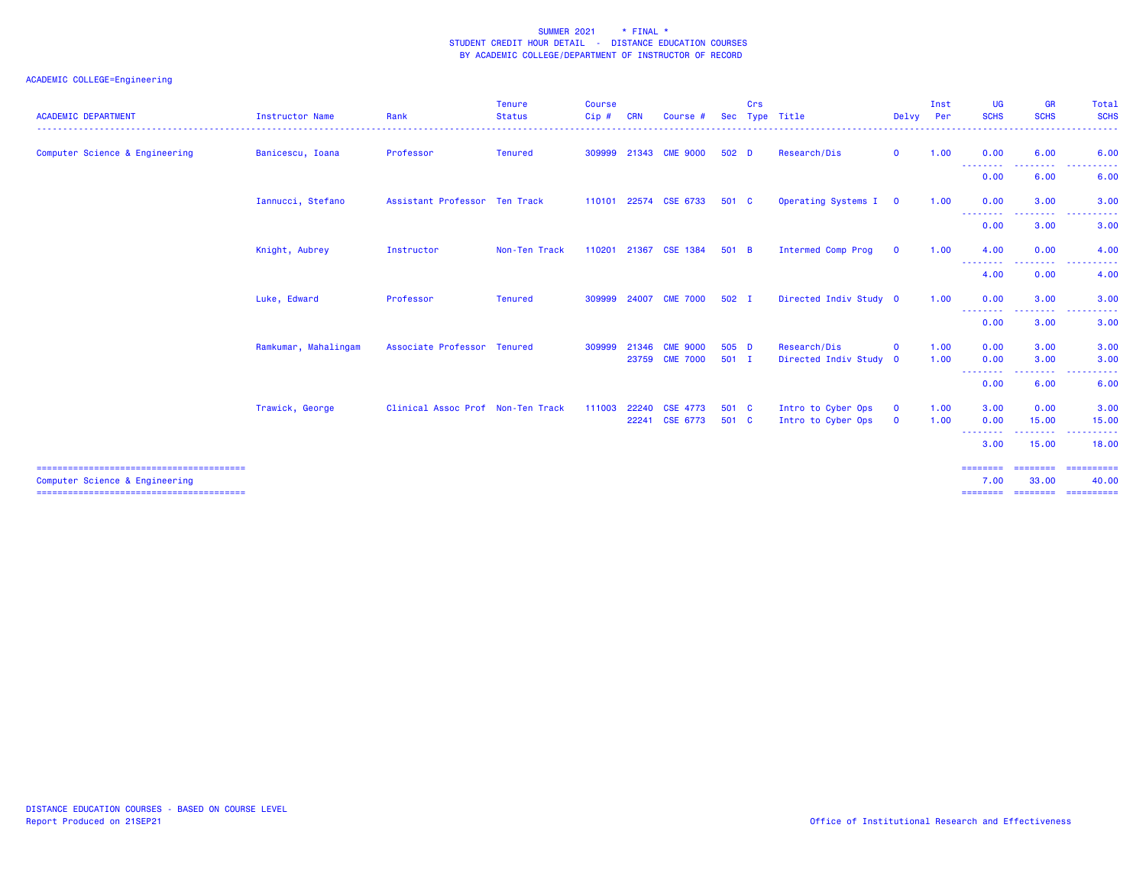| <b>ACADEMIC DEPARTMENT</b>     | <b>Instructor Name</b> | Rank                              | Tenure<br><b>Status</b> | <b>Course</b><br>$Cip$ # | <b>CRN</b> | Course          | <b>Sec</b> | Crs | Type Title                | Delvy        | Inst<br><b>Per</b> | <b>UG</b><br><b>SCHS</b>         | <b>GR</b><br><b>SCHS</b>                             | Total<br><b>SCHS</b>                                                                                                                                      |
|--------------------------------|------------------------|-----------------------------------|-------------------------|--------------------------|------------|-----------------|------------|-----|---------------------------|--------------|--------------------|----------------------------------|------------------------------------------------------|-----------------------------------------------------------------------------------------------------------------------------------------------------------|
| Computer Science & Engineering | Banicescu, Ioana       | Professor                         | <b>Tenured</b>          | 309999                   | 21343      | <b>CME 9000</b> | 502 D      |     | Research/Dis              | $\mathbf{0}$ | 1.00               | 0.00                             | 6.00                                                 | 6.00<br>$\frac{1}{2} \left( \frac{1}{2} \right) \left( \frac{1}{2} \right) \left( \frac{1}{2} \right)$                                                    |
|                                |                        |                                   |                         |                          |            |                 |            |     |                           |              |                    | ---------<br>0.00                | --------<br>6.00                                     | .<br>6.00                                                                                                                                                 |
|                                | Iannucci, Stefano      | Assistant Professor Ten Track     |                         | 110101                   |            | 22574 CSE 6733  | 501 C      |     | Operating Systems I 0     |              | 1.00               | 0.00                             | 3.00                                                 | 3.00<br>$\mathcal{L}^{\mathcal{L}}\mathcal{L}^{\mathcal{L}}\mathcal{L}^{\mathcal{L}}\mathcal{L}^{\mathcal{L}}\mathcal{L}^{\mathcal{L}}$                   |
|                                |                        |                                   |                         |                          |            |                 |            |     |                           |              |                    | --------<br>0.00                 | <b><i><u><u> - - - - - - - -</u></u></i></b><br>3.00 | <u>.</u><br>3.00                                                                                                                                          |
|                                | Knight, Aubrey         | Instructor                        | Non-Ten Track           | 110201                   | 21367      | <b>CSE 1384</b> | 501 B      |     | <b>Intermed Comp Prog</b> | $\mathbf{O}$ | 1.00               | 4.00                             | 0.00                                                 | 4.00                                                                                                                                                      |
|                                |                        |                                   |                         |                          |            |                 |            |     |                           |              |                    | - - - - - - - - <b>-</b><br>4.00 | .<br>0.00                                            | . <u>.</u> .<br>4.00                                                                                                                                      |
|                                | Luke, Edward           | Professor                         | <b>Tenured</b>          | 309999                   | 24007      | <b>CME 7000</b> | 502 I      |     | Directed Indiv Study 0    |              | 1.00               | 0.00                             | 3.00                                                 | 3.00                                                                                                                                                      |
|                                |                        |                                   |                         |                          |            |                 |            |     |                           |              |                    | --------<br>0.00                 | .<br>3.00                                            | $\sim$ $\sim$ $\sim$<br>$\frac{1}{2} \left( \frac{1}{2} \right) \left( \frac{1}{2} \right) \left( \frac{1}{2} \right) \left( \frac{1}{2} \right)$<br>3.00 |
|                                | Ramkumar, Mahalingam   | Associate Professor Tenured       |                         | 309999                   | 21346      | <b>CME 9000</b> | 505 D      |     | Research/Dis              | $\mathbf 0$  | 1.00               | 0.00                             | 3,00                                                 | 3.00                                                                                                                                                      |
|                                |                        |                                   |                         |                          | 23759      | <b>CME 7000</b> | $501$ I    |     | Directed Indiv Study 0    |              | 1.00               | 0.00                             | 3.00                                                 | 3.00                                                                                                                                                      |
|                                |                        |                                   |                         |                          |            |                 |            |     |                           |              |                    | .<br>0.00                        | .<br>6.00                                            | $\frac{1}{2}$<br>6.00                                                                                                                                     |
|                                | Trawick, George        | Clinical Assoc Prof Non-Ten Track |                         | 111003                   | 22240      | <b>CSE 4773</b> | 501 C      |     | Intro to Cyber Ops        | $\mathbf{O}$ | 1.00               | 3.00                             | 0.00                                                 | 3.00                                                                                                                                                      |
|                                |                        |                                   |                         |                          |            | 22241 CSE 6773  | 501 C      |     | Intro to Cyber Ops        | $\mathbf{O}$ | 1.00               | 0.00                             | 15.00                                                | 15.00                                                                                                                                                     |
|                                |                        |                                   |                         |                          |            |                 |            |     |                           |              |                    | <u>.</u><br>3.00                 | .<br>15.00                                           | .<br>18.00                                                                                                                                                |
| Computer Science & Engineering |                        |                                   |                         |                          |            |                 |            |     |                           |              |                    | ========<br>7.00                 | ========<br>33,00                                    | ==========<br>40.00                                                                                                                                       |
|                                |                        |                                   |                         |                          |            |                 |            |     |                           |              |                    |                                  | ========= ========= ==========                       |                                                                                                                                                           |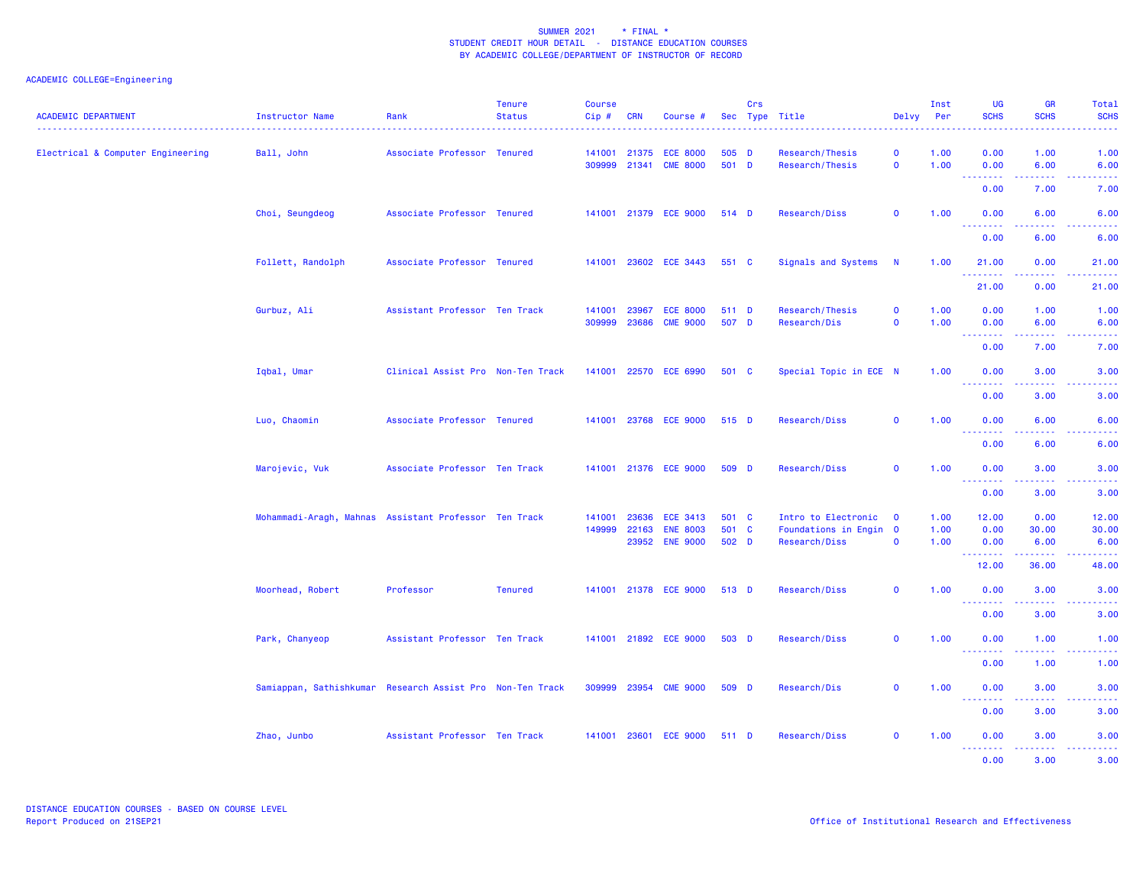| <b>ACADEMIC DEPARTMENT</b>        | Instructor Name                                           | Rank                              | <b>Tenure</b><br><b>Status</b> | <b>Course</b><br>Cip# | <b>CRN</b>     | Course #                           |                | <b>Crs</b> | Sec Type Title                     | Delvy                        | Inst<br>Per  | <b>UG</b><br><b>SCHS</b>                | <b>GR</b><br><b>SCHS</b>            | Total<br><b>SCHS</b>                                                                                                              |
|-----------------------------------|-----------------------------------------------------------|-----------------------------------|--------------------------------|-----------------------|----------------|------------------------------------|----------------|------------|------------------------------------|------------------------------|--------------|-----------------------------------------|-------------------------------------|-----------------------------------------------------------------------------------------------------------------------------------|
| Electrical & Computer Engineering | Ball, John                                                | Associate Professor Tenured       |                                | 141001<br>309999      | 21341          | 21375 ECE 8000<br><b>CME 8000</b>  | 505 D<br>501 D |            | Research/Thesis<br>Research/Thesis | $\mathbf 0$<br>$\mathbf 0$   | 1.00<br>1.00 | 0.00<br>0.00<br><u> - - - - - - - -</u> | 1.00<br>6.00<br>.                   | 1.00<br>6.00<br>.                                                                                                                 |
|                                   |                                                           |                                   |                                |                       |                |                                    |                |            |                                    |                              |              | 0.00                                    | 7.00                                | 7.00                                                                                                                              |
|                                   | Choi, Seungdeog                                           | Associate Professor Tenured       |                                |                       |                | 141001 21379 ECE 9000              | 514 D          |            | Research/Diss                      | $\mathbf 0$                  | 1.00         | 0.00<br><u>.</u>                        | 6.00                                | 6.00                                                                                                                              |
|                                   |                                                           |                                   |                                |                       |                |                                    |                |            |                                    |                              |              | 0.00                                    | 6.00                                | 6.00                                                                                                                              |
|                                   | Follett, Randolph                                         | Associate Professor Tenured       |                                |                       |                | 141001 23602 ECE 3443              | 551 C          |            | Signals and Systems                | N                            | 1.00         | 21.00<br>.                              | 0.00<br>.                           | 21.00<br>.                                                                                                                        |
|                                   |                                                           |                                   |                                |                       |                |                                    |                |            |                                    |                              |              | 21.00                                   | 0.00                                | 21.00                                                                                                                             |
|                                   | Gurbuz, Ali                                               | Assistant Professor Ten Track     |                                | 141001<br>309999      | 23967<br>23686 | <b>ECE 8000</b><br><b>CME 9000</b> | 511 D<br>507 D |            | Research/Thesis<br>Research/Dis    | $\mathbf{o}$<br>$\mathbf{0}$ | 1.00<br>1.00 | 0.00<br>0.00                            | 1.00<br>6.00                        | 1.00<br>6.00                                                                                                                      |
|                                   |                                                           |                                   |                                |                       |                |                                    |                |            |                                    |                              |              | ----<br>0.00                            | 7.00                                | 7.00                                                                                                                              |
|                                   | Iqbal, Umar                                               | Clinical Assist Pro Non-Ten Track |                                | 141001                |                | 22570 ECE 6990                     | 501 C          |            | Special Topic in ECE N             |                              | 1.00         | 0.00                                    | 3.00                                | 3.00                                                                                                                              |
|                                   |                                                           |                                   |                                |                       |                |                                    |                |            |                                    |                              |              | .<br>0.00                               | د د د د<br>3.00                     | $\frac{1}{2} \left( \frac{1}{2} \right) \left( \frac{1}{2} \right) \left( \frac{1}{2} \right) \left( \frac{1}{2} \right)$<br>3.00 |
|                                   | Luo, Chaomin                                              | Associate Professor Tenured       |                                |                       |                | 141001 23768 ECE 9000              | 515 D          |            | Research/Diss                      | $\mathbf 0$                  | 1.00         | 0.00                                    | 6.00                                | 6.00                                                                                                                              |
|                                   |                                                           |                                   |                                |                       |                |                                    |                |            |                                    |                              |              | <u>.</u><br>0.00                        | 6.00                                | 6.00                                                                                                                              |
|                                   | Marojevic, Vuk                                            | Associate Professor Ten Track     |                                |                       |                | 141001 21376 ECE 9000              | 509 D          |            | Research/Diss                      | $\mathbf 0$                  | 1.00         | 0.00                                    | 3.00                                | 3.00                                                                                                                              |
|                                   |                                                           |                                   |                                |                       |                |                                    |                |            |                                    |                              |              | .<br>0.00                               | د د د د<br>3.00                     | $\frac{1}{2} \left( \frac{1}{2} \right) \left( \frac{1}{2} \right) \left( \frac{1}{2} \right) \left( \frac{1}{2} \right)$<br>3.00 |
|                                   | Mohammadi-Aragh, Mahnas Assistant Professor Ten Track     |                                   |                                | 141001                | 23636          | <b>ECE 3413</b>                    | 501 C          |            | Intro to Electronic                | $\overline{\mathbf{0}}$      | 1.00         | 12.00                                   | 0.00                                | 12.00                                                                                                                             |
|                                   |                                                           |                                   |                                | 149999                | 22163          | <b>ENE 8003</b>                    | 501 C          |            | Foundations in Engin 0             |                              | 1.00         | 0.00                                    | 30.00                               | 30.00                                                                                                                             |
|                                   |                                                           |                                   |                                |                       | 23952          | <b>ENE 9000</b>                    | 502 D          |            | Research/Diss                      | $\mathbf 0$                  | 1.00         | 0.00                                    | 6.00                                | 6.00                                                                                                                              |
|                                   |                                                           |                                   |                                |                       |                |                                    |                |            |                                    |                              |              | .<br>12.00                              | .<br>36.00                          | . د د د د<br>48.00                                                                                                                |
|                                   | Moorhead, Robert                                          | Professor                         | <b>Tenured</b>                 |                       |                | 141001 21378 ECE 9000              | 513 D          |            | Research/Diss                      | $\mathbf{o}$                 | 1.00         | 0.00                                    | 3.00                                | 3.00                                                                                                                              |
|                                   |                                                           |                                   |                                |                       |                |                                    |                |            |                                    |                              |              | .<br>0.00                               | .<br>3.00                           | -----<br>3.00                                                                                                                     |
|                                   | Park, Chanyeop                                            | Assistant Professor Ten Track     |                                |                       |                | 141001 21892 ECE 9000              | 503 D          |            | Research/Diss                      | $\mathbf 0$                  | 1.00         | 0.00                                    | 1.00                                | 1.00                                                                                                                              |
|                                   |                                                           |                                   |                                |                       |                |                                    |                |            |                                    |                              |              | .<br>0.00                               | $\sim$ $\sim$ $\sim$ $\sim$<br>1.00 | 2222)                                                                                                                             |
|                                   | Samiappan, Sathishkumar Research Assist Pro Non-Ten Track |                                   |                                |                       |                | 309999 23954 CME 9000              | 509 D          |            | Research/Dis                       | $\mathbf{o}$                 | 1.00         | 0.00                                    | 3.00                                | 1.00<br>3.00                                                                                                                      |
|                                   |                                                           |                                   |                                |                       |                |                                    |                |            |                                    |                              |              | <u>.</u>                                |                                     |                                                                                                                                   |
|                                   |                                                           |                                   |                                |                       |                |                                    |                |            |                                    |                              |              | 0.00                                    | 3.00                                | 3.00                                                                                                                              |
|                                   | Zhao, Junbo                                               | Assistant Professor Ten Track     |                                |                       |                | 141001 23601 ECE 9000              | 511 D          |            | Research/Diss                      | $\mathbf 0$                  | 1.00         | 0.00<br><u>.</u>                        | 3.00<br>.                           | 3.00<br>$\frac{1}{2} \left( \frac{1}{2} \right) \left( \frac{1}{2} \right) \left( \frac{1}{2} \right) \left( \frac{1}{2} \right)$ |
|                                   |                                                           |                                   |                                |                       |                |                                    |                |            |                                    |                              |              | 0.00                                    | 3.00                                | 3.00                                                                                                                              |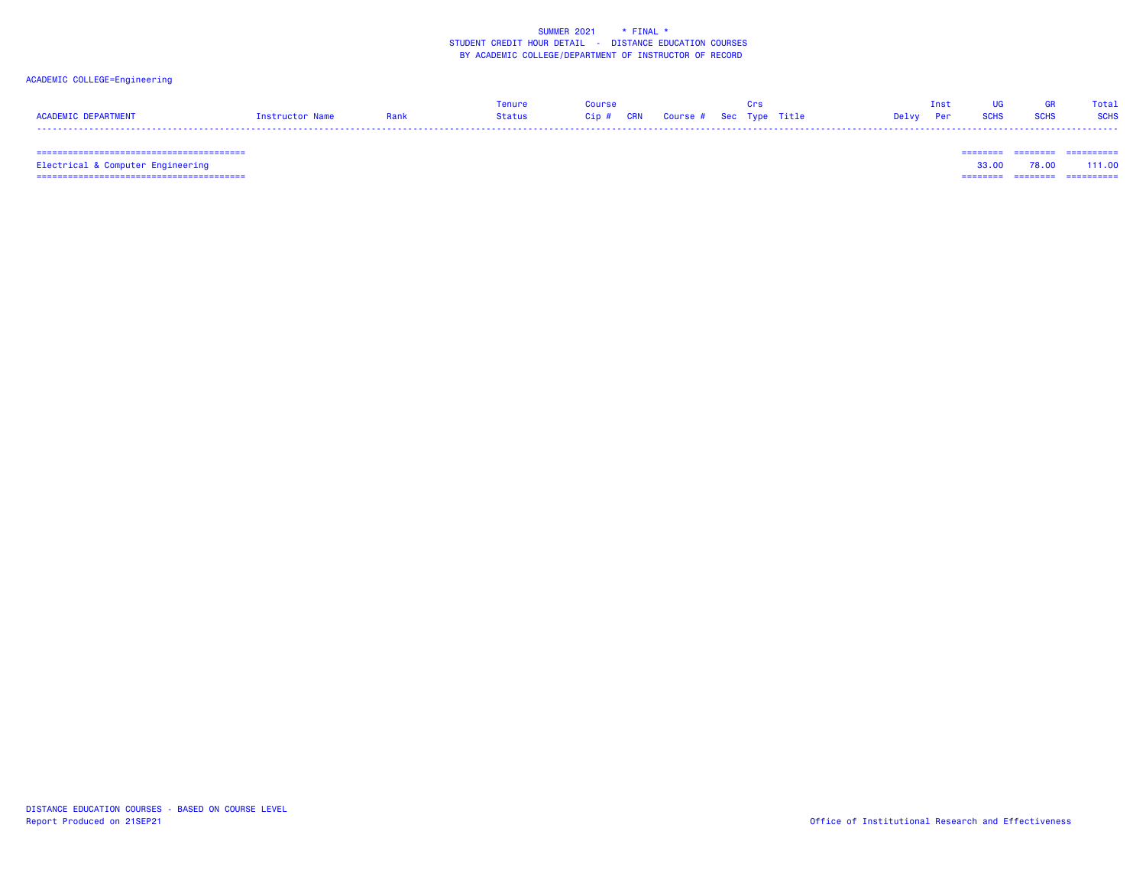## ACADEMIC COLLEGE=Engineering

|                     |                 |             | enure  | <b>Course</b> |                                   |  |        |  |             | Total       |
|---------------------|-----------------|-------------|--------|---------------|-----------------------------------|--|--------|--|-------------|-------------|
| ACADEMIC DEPARTMENT | Instructor Name | <u>tank</u> | Status |               | Cip # CRN Course # Sec Type Title |  | Delvv. |  | <b>SCHS</b> | <b>SCHS</b> |
|                     |                 |             |        |               |                                   |  |        |  |             |             |

======================================== ======== ======== ==========

 ======================================== ======== ======== ========== Electrical & Computer Engineering 33.00 78.00 111.00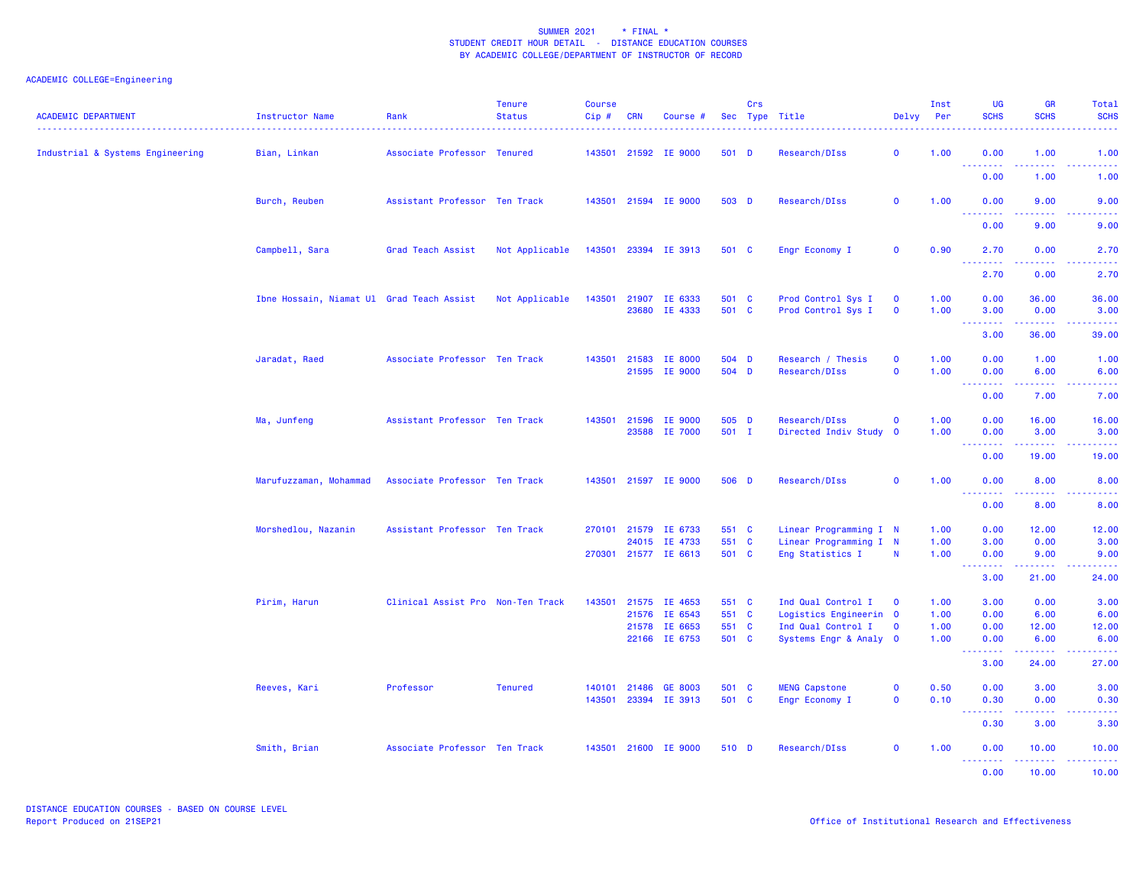| <b>ACADEMIC DEPARTMENT</b>       | Instructor Name                           | Rank                              | <b>Tenure</b><br><b>Status</b> | <b>Course</b><br>$Cip$ # | <b>CRN</b>   | Course #                              |                | Crs | Sec Type Title                               | Delvy                       | Inst<br>Per  | <b>UG</b><br><b>SCHS</b>                                                                                                                                                      | GR<br><b>SCHS</b>                                                                                                                                            | <b>Total</b><br><b>SCHS</b> |
|----------------------------------|-------------------------------------------|-----------------------------------|--------------------------------|--------------------------|--------------|---------------------------------------|----------------|-----|----------------------------------------------|-----------------------------|--------------|-------------------------------------------------------------------------------------------------------------------------------------------------------------------------------|--------------------------------------------------------------------------------------------------------------------------------------------------------------|-----------------------------|
| Industrial & Systems Engineering | Bian, Linkan                              | Associate Professor Tenured       |                                |                          |              | 143501 21592 IE 9000                  | 501 D          |     | Research/DIss                                | $\mathbf 0$                 | 1.00         | 0.00<br><b></b>                                                                                                                                                               | 1.00<br><u>.</u>                                                                                                                                             | 1.00                        |
|                                  |                                           |                                   |                                |                          |              |                                       |                |     |                                              |                             |              | 0.00                                                                                                                                                                          | 1.00                                                                                                                                                         | 1.00                        |
|                                  | Burch, Reuben                             | Assistant Professor Ten Track     |                                |                          |              | 143501 21594 IE 9000                  | 503 D          |     | Research/DIss                                | $\mathbf 0$                 | 1.00         | 0.00                                                                                                                                                                          | 9.00<br>.                                                                                                                                                    | 9.00                        |
|                                  |                                           |                                   |                                |                          |              |                                       |                |     |                                              |                             |              | 0.00                                                                                                                                                                          | 9.00                                                                                                                                                         | .<br>9.00                   |
|                                  | Campbell, Sara                            | Grad Teach Assist                 | Not Applicable                 |                          |              | 143501 23394 IE 3913                  | 501 C          |     | Engr Economy I                               | $\mathbf 0$                 | 0.90         | 2.70                                                                                                                                                                          | 0.00                                                                                                                                                         | 2.70                        |
|                                  |                                           |                                   |                                |                          |              |                                       |                |     |                                              |                             |              | $\sim 10$<br>2.70                                                                                                                                                             | 0.00                                                                                                                                                         | 2.70                        |
|                                  | Ibne Hossain, Niamat Ul Grad Teach Assist |                                   | Not Applicable                 | 143501                   | 21907        | IE 6333                               | 501 C          |     | Prod Control Sys I                           | $\mathbf 0$                 | 1.00         | 0.00                                                                                                                                                                          | 36.00                                                                                                                                                        | 36.00                       |
|                                  |                                           |                                   |                                |                          |              | 23680 IE 4333                         | 501 C          |     | Prod Control Sys I                           | $\mathbf 0$                 | 1.00         | 3.00<br>$\frac{1}{2} \left( \frac{1}{2} \right) \left( \frac{1}{2} \right) \left( \frac{1}{2} \right) \left( \frac{1}{2} \right) \left( \frac{1}{2} \right)$<br>$\frac{1}{2}$ | 0.00<br>$\frac{1}{2} \left( \frac{1}{2} \right) \left( \frac{1}{2} \right) \left( \frac{1}{2} \right) \left( \frac{1}{2} \right) \left( \frac{1}{2} \right)$ | 3.00<br>.                   |
|                                  |                                           |                                   |                                |                          |              |                                       |                |     |                                              |                             |              | 3.00                                                                                                                                                                          | 36.00                                                                                                                                                        | 39.00                       |
|                                  | Jaradat, Raed                             | Associate Professor Ten Track     |                                |                          | 143501 21583 | IE 8000<br>21595 IE 9000              | 504 D<br>504 D |     | Research / Thesis<br>Research/DIss           | $\mathbf{0}$<br>$\mathbf 0$ | 1.00<br>1.00 | 0.00<br>0.00                                                                                                                                                                  | 1.00<br>6.00                                                                                                                                                 | 1.00<br>6.00                |
|                                  |                                           |                                   |                                |                          |              |                                       |                |     |                                              |                             |              | $\sim 10$<br>$\sim$ $\sim$ $\sim$ $\sim$<br>0.00                                                                                                                              | 7.00                                                                                                                                                         | 7.00                        |
|                                  | Ma, Junfeng                               | Assistant Professor Ten Track     |                                |                          |              | 143501 21596 IE 9000                  | 505 D          |     | Research/DIss                                | $\mathbf 0$                 | 1.00         | 0.00                                                                                                                                                                          | 16.00                                                                                                                                                        | 16.00                       |
|                                  |                                           |                                   |                                |                          |              | 23588 IE 7000                         | 501 I          |     | Directed Indiv Study                         | $\overline{\mathbf{0}}$     | 1.00         | 0.00                                                                                                                                                                          | 3.00                                                                                                                                                         | 3.00                        |
|                                  |                                           |                                   |                                |                          |              |                                       |                |     |                                              |                             |              | <b><i><u>AAAAAAA</u></i></b><br>0.00                                                                                                                                          | $\frac{1}{2}$<br>19.00                                                                                                                                       | 19.00                       |
|                                  | Marufuzzaman, Mohammad                    | Associate Professor Ten Track     |                                |                          |              | 143501 21597 IE 9000                  | 506 D          |     | Research/DIss                                | $\mathbf{0}$                | 1.00         | 0.00                                                                                                                                                                          | 8.00                                                                                                                                                         | 8.00                        |
|                                  |                                           |                                   |                                |                          |              |                                       |                |     |                                              |                             |              | $\omega_{\rm c}$ and $\omega_{\rm c}$<br>22222<br>0.00                                                                                                                        | 8.00                                                                                                                                                         | 8.00                        |
|                                  | Morshedlou, Nazanin                       | Assistant Professor Ten Track     |                                |                          |              | 270101 21579 IE 6733                  | 551 C          |     | Linear Programming I N                       |                             | 1.00         | 0.00                                                                                                                                                                          | 12.00                                                                                                                                                        | 12.00                       |
|                                  |                                           |                                   |                                |                          |              | 24015 IE 4733<br>270301 21577 IE 6613 | 551 C<br>501 C |     | Linear Programming I N                       | N                           | 1.00<br>1.00 | 3.00<br>0.00                                                                                                                                                                  | 0.00<br>9.00                                                                                                                                                 | 3.00                        |
|                                  |                                           |                                   |                                |                          |              |                                       |                |     | Eng Statistics I                             |                             |              | <u>.</u>                                                                                                                                                                      |                                                                                                                                                              | 9.00                        |
|                                  |                                           |                                   |                                |                          |              |                                       |                |     |                                              |                             |              | 3.00                                                                                                                                                                          | 21.00                                                                                                                                                        | 24.00                       |
|                                  | Pirim, Harun                              | Clinical Assist Pro Non-Ten Track |                                |                          |              | 143501 21575 IE 4653                  | 551 C          |     | Ind Qual Control I                           | $\overline{\mathbf{0}}$     | 1.00         | 3.00                                                                                                                                                                          | 0.00                                                                                                                                                         | 3.00                        |
|                                  |                                           |                                   |                                |                          | 21576        | IE 6543                               | 551 C          |     | Logistics Engineerin 0                       |                             | 1.00         | 0.00                                                                                                                                                                          | 6.00                                                                                                                                                         | 6.00                        |
|                                  |                                           |                                   |                                |                          |              | 21578 IE 6653<br>22166 IE 6753        | 551 C<br>501 C |     | Ind Qual Control I<br>Systems Engr & Analy 0 | $\mathbf 0$                 | 1.00<br>1.00 | 0.00<br>0.00                                                                                                                                                                  | 12.00<br>6.00                                                                                                                                                | 12.00<br>6.00               |
|                                  |                                           |                                   |                                |                          |              |                                       |                |     |                                              |                             |              | .<br>3.00                                                                                                                                                                     | بالأباديات<br>24.00                                                                                                                                          | .<br>27.00                  |
|                                  | Reeves, Kari                              | Professor                         | <b>Tenured</b>                 | 140101                   | 21486        | GE 8003                               | 501 C          |     | <b>MENG Capstone</b>                         | $\mathbf 0$                 | 0.50         | 0.00                                                                                                                                                                          | 3.00                                                                                                                                                         | 3.00                        |
|                                  |                                           |                                   |                                | 143501                   |              | 23394 IE 3913                         | 501 C          |     | Engr Economy I                               | $\mathbf 0$                 | 0.10         | 0.30<br><b><i><u>AAAAAAA</u></i></b>                                                                                                                                          | 0.00                                                                                                                                                         | 0.30                        |
|                                  |                                           |                                   |                                |                          |              |                                       |                |     |                                              |                             |              | 0.30                                                                                                                                                                          | 3.00                                                                                                                                                         | 3.30                        |
|                                  | Smith, Brian                              | Associate Professor Ten Track     |                                |                          |              | 143501 21600 IE 9000                  | 510 D          |     | Research/DIss                                | $\mathbf{0}$                | 1.00         | 0.00<br><b><i><u>AAAAAAA</u></i></b>                                                                                                                                          | 10.00<br>.                                                                                                                                                   | 10.00                       |
|                                  |                                           |                                   |                                |                          |              |                                       |                |     |                                              |                             |              | 0.00                                                                                                                                                                          | 10.00                                                                                                                                                        | 10.00                       |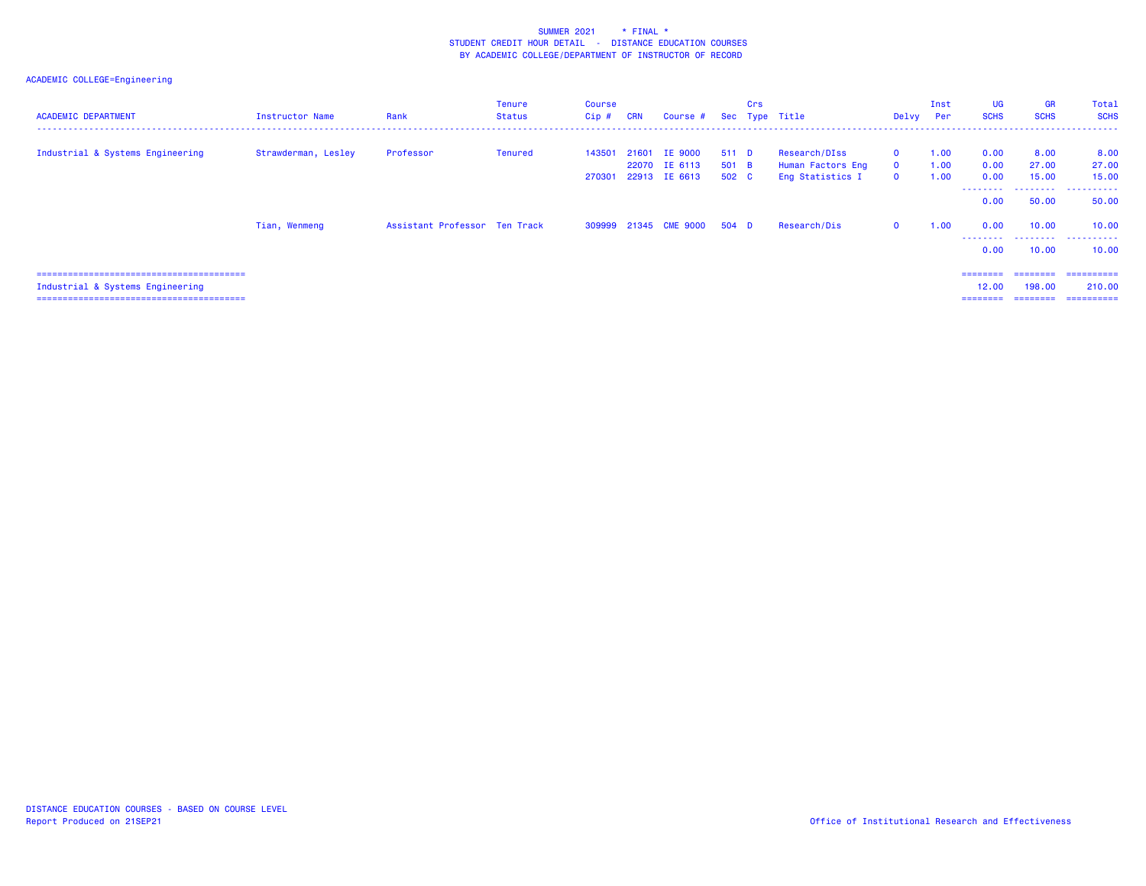| <b>ACADEMIC DEPARTMENT</b>       | Instructor Name     | Rank                          | <b>Tenure</b><br><b>Status</b> | <b>Course</b><br>$Cip$ # | <b>CRN</b> | Course #                                               |                         | Crs | Sec Type Title                                         | Delvy Per                                  | Inst                 | UG<br><b>SCHS</b>                              | GR<br><b>SCHS</b>                       | Total<br><b>SCHS</b>                        |
|----------------------------------|---------------------|-------------------------------|--------------------------------|--------------------------|------------|--------------------------------------------------------|-------------------------|-----|--------------------------------------------------------|--------------------------------------------|----------------------|------------------------------------------------|-----------------------------------------|---------------------------------------------|
| Industrial & Systems Engineering | Strawderman, Lesley | Professor                     | Tenured                        | 143501                   |            | 21601 IE 9000<br>22070 IE 6113<br>270301 22913 IE 6613 | 511 D<br>501 B<br>502 C |     | Research/DIss<br>Human Factors Eng<br>Eng Statistics I | $\mathbf 0$<br>$\mathbf 0$<br>$\mathbf{O}$ | 1.00<br>1.00<br>1.00 | 0.00<br>0.00<br>0.00<br>--------               | 8.00<br>27.00<br>15.00<br>.             | 8.00<br>27.00<br>15.00<br>.                 |
|                                  | Tian, Wenmeng       | Assistant Professor Ten Track |                                |                          |            | 309999 21345 CME 9000                                  | 504 D                   |     | Research/Dis                                           | $\mathbf 0$                                | 1.00                 | 0.00<br>0.00<br>---------                      | 50.00<br>10.00                          | 50.00<br>10.00<br>                          |
| Industrial & Systems Engineering |                     |                               |                                |                          |            |                                                        |                         |     |                                                        |                                            |                      | 0.00<br>$=$ = = = = = = =<br>12.00<br>======== | 10.00<br>========<br>198.00<br>======== | 10.00<br>==========<br>210,00<br>========== |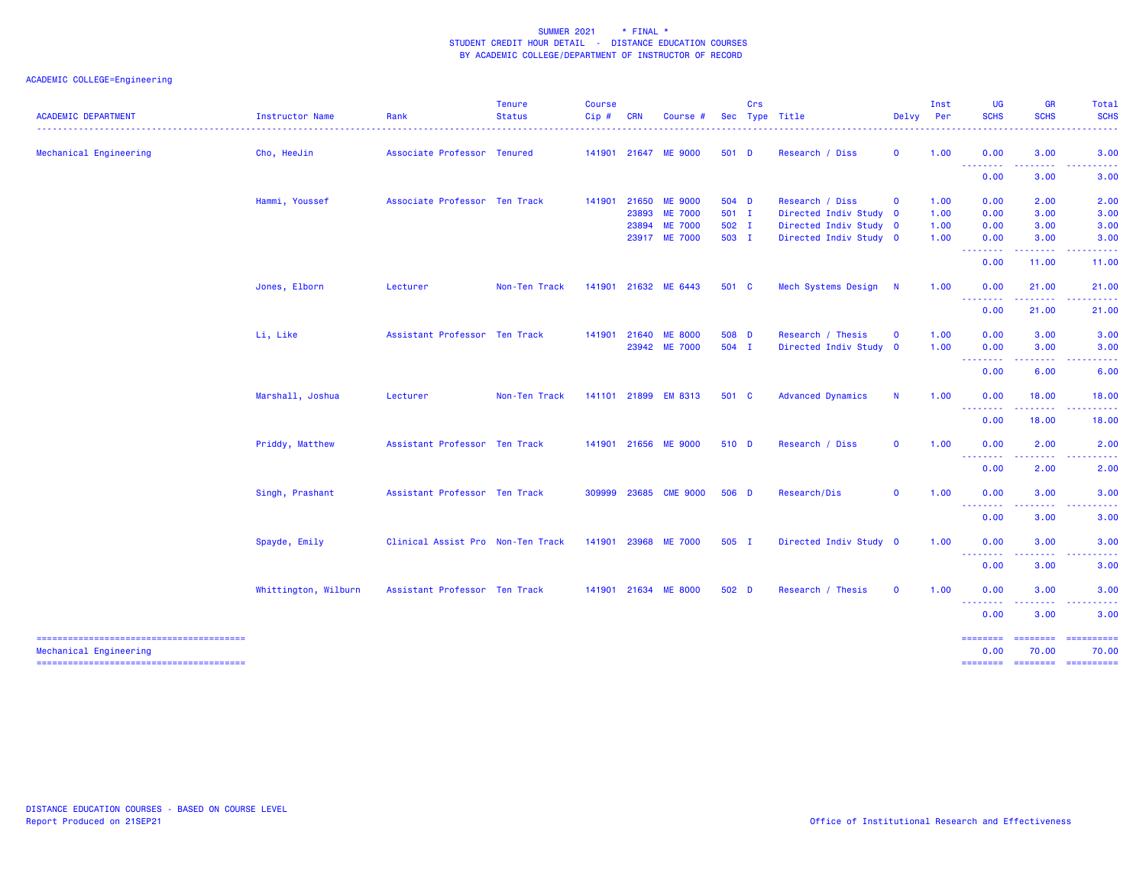| <b>ACADEMIC DEPARTMENT</b> | Instructor Name      | Rank                              | <b>Tenure</b><br><b>Status</b> | <b>Course</b><br>Cip# | <b>CRN</b> | Course #             |       | Crs | Sec Type Title           | Delvy        | Inst<br>Per | UG<br><b>SCHS</b>               | GR<br><b>SCHS</b>              | Total<br><b>SCHS</b>                  |
|----------------------------|----------------------|-----------------------------------|--------------------------------|-----------------------|------------|----------------------|-------|-----|--------------------------|--------------|-------------|---------------------------------|--------------------------------|---------------------------------------|
| Mechanical Engineering     | Cho, HeeJin          | Associate Professor Tenured       |                                |                       |            | 141901 21647 ME 9000 | 501 D |     | Research / Diss          | $\mathbf 0$  | 1.00        | 0.00                            | 3.00                           | 3.00                                  |
|                            |                      |                                   |                                |                       |            |                      |       |     |                          |              |             | ---------<br>0.00               | .<br>3.00                      | -----<br>3.00                         |
|                            | Hammi, Youssef       | Associate Professor Ten Track     |                                | 141901                | 21650      | <b>ME 9000</b>       | 504 D |     | Research / Diss          | $\mathbf 0$  | 1.00        | 0.00                            | 2.00                           | 2.00                                  |
|                            |                      |                                   |                                |                       |            | 23893 ME 7000        | 501 I |     | Directed Indiv Study 0   |              | 1.00        | 0.00                            | 3.00                           | 3.00                                  |
|                            |                      |                                   |                                |                       | 23894      | <b>ME 7000</b>       | 502 I |     | Directed Indiv Study 0   |              | 1.00        | 0.00                            | 3.00                           | 3.00                                  |
|                            |                      |                                   |                                |                       |            | 23917 ME 7000        | 503 I |     | Directed Indiv Study 0   |              | 1.00        | 0.00<br><b></b>                 | 3.00<br>.                      | 3.00<br>.                             |
|                            |                      |                                   |                                |                       |            |                      |       |     |                          |              |             | 0.00                            | 11.00                          | 11.00                                 |
|                            | Jones, Elborn        | Lecturer                          | Non-Ten Track                  | 141901                |            | 21632 ME 6443        | 501 C |     | Mech Systems Design N    |              | 1.00        | 0.00<br>.                       | 21.00<br><u> - - - - - - -</u> | 21.00                                 |
|                            |                      |                                   |                                |                       |            |                      |       |     |                          |              |             | 0.00                            | 21.00                          | 21.00                                 |
|                            | Li, Like             | Assistant Professor Ten Track     |                                |                       |            | 141901 21640 ME 8000 | 508 D |     | Research / Thesis        | $\mathbf 0$  | 1.00        | 0.00                            | 3.00                           | 3.00                                  |
|                            |                      |                                   |                                |                       |            | 23942 ME 7000        | 504 I |     | Directed Indiv Study 0   |              | 1.00        | 0.00                            | 3.00                           | 3.00                                  |
|                            |                      |                                   |                                |                       |            |                      |       |     |                          |              |             | --------                        |                                |                                       |
|                            |                      |                                   |                                |                       |            |                      |       |     |                          |              |             | 0.00                            | 6.00                           | 6.00                                  |
|                            | Marshall, Joshua     | Lecturer                          | Non-Ten Track                  |                       |            | 141101 21899 EM 8313 | 501 C |     | <b>Advanced Dynamics</b> | $\mathsf{N}$ | 1.00        | 0.00<br>--------                | 18.00<br>-----                 | 18.00                                 |
|                            |                      |                                   |                                |                       |            |                      |       |     |                          |              |             | 0.00                            | 18.00                          | 18.00                                 |
|                            | Priddy, Matthew      | Assistant Professor Ten Track     |                                |                       |            | 141901 21656 ME 9000 | 510 D |     | Research / Diss          | 0            | 1.00        | 0.00                            | 2.00                           | 2.00                                  |
|                            |                      |                                   |                                |                       |            |                      |       |     |                          |              |             | <u>.</u>                        |                                |                                       |
|                            |                      |                                   |                                |                       |            |                      |       |     |                          |              |             | 0.00                            | 2.00                           | 2.00                                  |
|                            | Singh, Prashant      | Assistant Professor Ten Track     |                                | 309999                | 23685      | <b>CME 9000</b>      | 506 D |     | Research/Dis             | $\mathbf{0}$ | 1.00        | 0.00<br>--------                | 3.00                           | 3.00                                  |
|                            |                      |                                   |                                |                       |            |                      |       |     |                          |              |             | 0.00                            | 3.00                           | 3.00                                  |
|                            | Spayde, Emily        | Clinical Assist Pro Non-Ten Track |                                | 141901                |            | 23968 ME 7000        | 505 I |     | Directed Indiv Study 0   |              | 1.00        | 0.00                            | 3.00                           | 3.00                                  |
|                            |                      |                                   |                                |                       |            |                      |       |     |                          |              |             | <u> - - - - - - - -</u><br>0.00 | 3.00                           | 3.00                                  |
|                            | Whittington, Wilburn | Assistant Professor Ten Track     |                                |                       |            | 141901 21634 ME 8000 | 502 D |     | Research / Thesis        | $\mathbf 0$  | 1.00        | 0.00                            | 3.00                           | 3.00                                  |
|                            |                      |                                   |                                |                       |            |                      |       |     |                          |              |             | --------<br>0.00                | .<br>3.00                      | 3.00                                  |
|                            |                      |                                   |                                |                       |            |                      |       |     |                          |              |             | $=$ = = = = = = =               | <b>ESSESSES</b>                |                                       |
| Mechanical Engineering     |                      |                                   |                                |                       |            |                      |       |     |                          |              |             | 0.00                            | 70.00                          | 70.00<br>======== ======== ========== |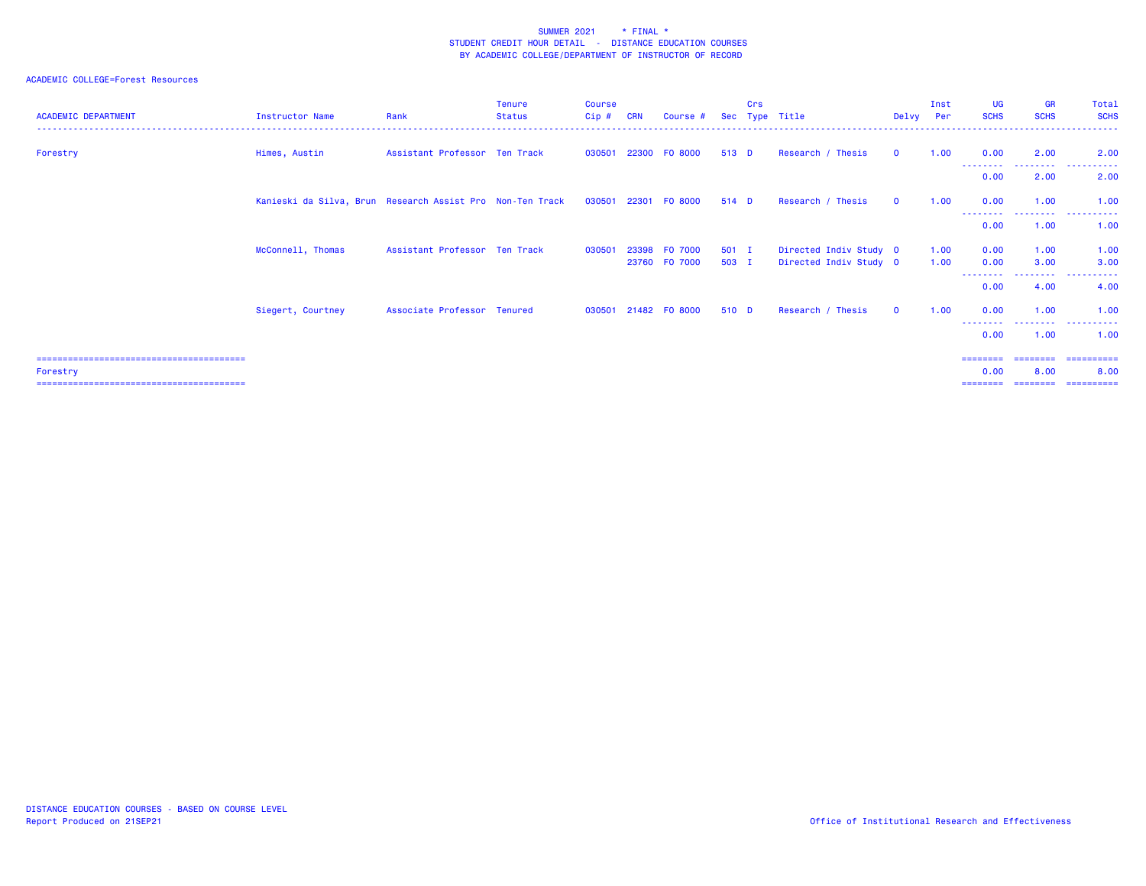## ACADEMIC COLLEGE=Forest Resources

| <b>ACADEMIC DEPARTMENT</b> | <b>Instructor Name</b>                                    | Rank                          | <b>Tenure</b><br>Status | <b>Course</b><br>Cip# | <b>CRN</b> | Course #                 | <b>Sec</b>     | Crs | Type Title                                       | Delvy        | Inst<br>Per  | <b>UG</b><br><b>SCHS</b> | <b>GR</b><br><b>SCHS</b> | Total<br><b>SCHS</b>             |
|----------------------------|-----------------------------------------------------------|-------------------------------|-------------------------|-----------------------|------------|--------------------------|----------------|-----|--------------------------------------------------|--------------|--------------|--------------------------|--------------------------|----------------------------------|
| Forestry                   | Himes, Austin                                             | Assistant Professor Ten Track |                         | 030501                | 22300      | FO 8000                  | 513 D          |     | Research / Thesis                                | $\Omega$     | 1.00         | 0.00                     | 2.00                     | 2.00                             |
|                            |                                                           |                               |                         |                       |            |                          |                |     |                                                  |              |              | 0.00                     | --------<br>2.00         | .<br>2.00                        |
|                            | Kanieski da Silva, Brun Research Assist Pro Non-Ten Track |                               |                         |                       |            | 030501 22301 F0 8000     | 514 D          |     | Research / Thesis                                | $\Omega$     | 1.00         | 0.00                     | 1.00<br><u>.</u>         | 1.00<br>.                        |
|                            |                                                           |                               |                         |                       |            |                          |                |     |                                                  |              |              | 0.00                     | 1.00                     | 1.00                             |
|                            | McConnell, Thomas                                         | Assistant Professor Ten Track |                         | 030501                | 23398      | F0 7000<br>23760 F0 7000 | 501 I<br>503 I |     | Directed Indiv Study 0<br>Directed Indiv Study 0 |              | 1.00<br>1.00 | 0.00<br>0.00             | 1.00<br>3.00             | 1.00<br>3.00                     |
|                            |                                                           |                               |                         |                       |            |                          |                |     |                                                  |              |              | <u>--------</u><br>0.00  | --------<br>4.00         | .<br>4.00                        |
|                            | Siegert, Courtney                                         | Associate Professor Tenured   |                         | 030501                |            | 21482 FO 8000            | 510 D          |     | Research / Thesis                                | $\mathbf{O}$ | 1.00         | 0.00                     | 1.00                     | 1.00                             |
|                            |                                                           |                               |                         |                       |            |                          |                |     |                                                  |              |              | --------<br>0.00         | .<br>1.00                | . <b>.</b><br>1.00               |
|                            |                                                           |                               |                         |                       |            |                          |                |     |                                                  |              |              |                          |                          | ================================ |
| Forestry                   |                                                           |                               |                         |                       |            |                          |                |     |                                                  |              |              | 0.00                     | 8.00                     | 8.00                             |
|                            |                                                           |                               |                         |                       |            |                          |                |     |                                                  |              |              | ========                 | ---------                | -----------                      |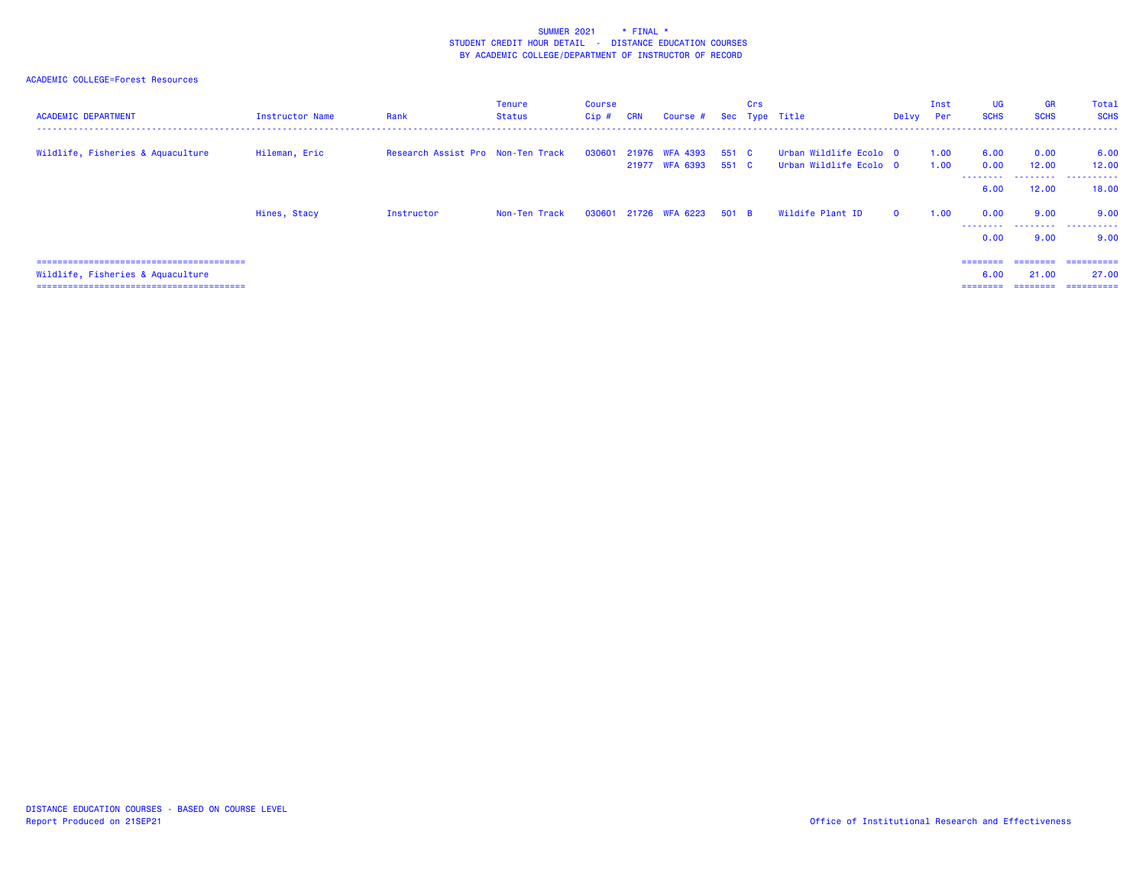## ACADEMIC COLLEGE=Forest Resources

| <b>ACADEMIC DEPARTMENT</b>        | Instructor Name | Rank                              | <b>Tenure</b><br>Status | Course<br>Cip# | <b>CRN</b> | Course #                               |       | Crs | Sec Type Title                                   | Delvy    | Inst<br>Per  | <b>UG</b><br><b>SCHS</b>     | <b>GR</b><br><b>SCHS</b>      | Total<br><b>SCHS</b>               |
|-----------------------------------|-----------------|-----------------------------------|-------------------------|----------------|------------|----------------------------------------|-------|-----|--------------------------------------------------|----------|--------------|------------------------------|-------------------------------|------------------------------------|
| Wildlife, Fisheries & Aquaculture | Hileman, Eric   | Research Assist Pro Non-Ten Track |                         | 030601         |            | 21976 WFA 4393<br>21977 WFA 6393 551 C | 551 C |     | Urban Wildlife Ecolo O<br>Urban Wildlife Ecolo 0 |          | 1.00<br>1.00 | 6.00<br>0.00<br>6.00         | 0.00<br>12.00<br>.<br>12.00   | 6.00<br>12.00<br>.<br>18.00        |
|                                   | Hines, Stacy    | Instructor                        | Non-Ten Track           |                |            | 030601 21726 WFA 6223 501 B            |       |     | Wildife Plant ID                                 | $\Omega$ | 1.00         | 0.00<br>.<br>0.00            | 9.00<br>9.00                  | 9.00<br>.<br>9.00                  |
| Wildlife, Fisheries & Aquaculture |                 |                                   |                         |                |            |                                        |       |     |                                                  |          |              | ========<br>6.00<br>======== | ========<br>21.00<br>-------- | -----------<br>27.00<br>========== |